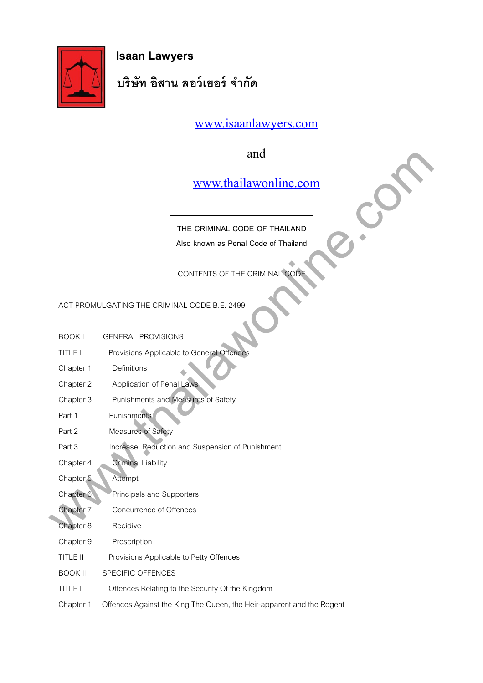

 **Isaan Lawyers** 

**บริษัท อิสาน ลอว์เยอร์ จำากัด**

[www.isaanlawyers.com](http://www.isaanlawyers.com/)

and

|                      | and                                                                   |
|----------------------|-----------------------------------------------------------------------|
|                      | www.thailawonline.com                                                 |
|                      | THE CRIMINAL CODE OF THAILAND                                         |
|                      | Also known as Penal Code of Thailand                                  |
|                      | CONTENTS OF THE CRIMINAL CODI                                         |
|                      |                                                                       |
|                      | ACT PROMULGATING THE CRIMINAL CODE B.E. 2499                          |
| <b>BOOKI</b>         | <b>GENERAL PROVISIONS</b>                                             |
| <b>TITLE I</b>       | Provisions Applicable to General Offences                             |
| Chapter 1            | Definitions                                                           |
| Chapter 2            | Application of Penal Laws                                             |
| Chapter 3            | Punishments and Measures of Safety                                    |
| Part 1               | Punishments                                                           |
| Part 2               | Measures of Safety                                                    |
| Part 3               | Increase, Reduction and Suspension of Punishment                      |
| Chapter 4            | <b>Criminal Liability</b>                                             |
| Chapter <sub>5</sub> | Attempt                                                               |
| Chapter 6            | Principals and Supporters                                             |
| Chapter 7            | Concurrence of Offences                                               |
| Chapter 8            | Recidive                                                              |
| Chapter 9            | Prescription                                                          |
| TITLE II             | Provisions Applicable to Petty Offences                               |
| <b>BOOK II</b>       | SPECIFIC OFFENCES                                                     |
| <b>TITLE I</b>       | Offences Relating to the Security Of the Kingdom                      |
| Chapter 1            | Offences Against the King The Queen, the Heir-apparent and the Regent |
|                      |                                                                       |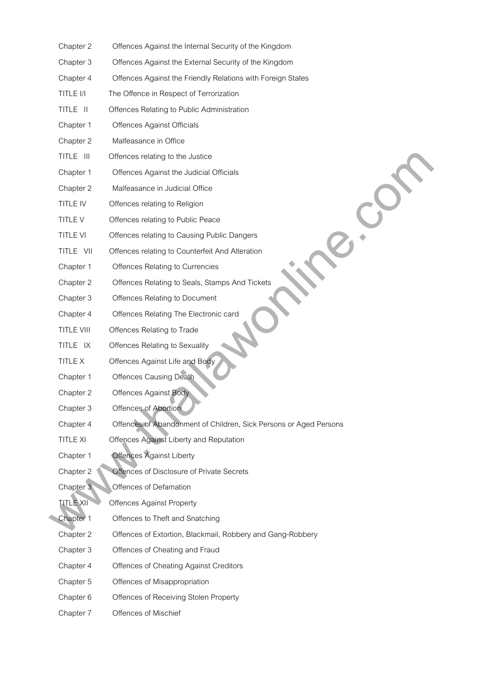| Chapter 2         | Offences Against the Internal Security of the Kingdom             |
|-------------------|-------------------------------------------------------------------|
| Chapter 3         | Offences Against the External Security of the Kingdom             |
| Chapter 4         | Offences Against the Friendly Relations with Foreign States       |
| TITLE I/I         | The Offence in Respect of Terrorization                           |
| TITLE II          | Offences Relating to Public Administration                        |
| Chapter 1         | <b>Offences Against Officials</b>                                 |
| Chapter 2         | Malfeasance in Office                                             |
| TITLE III         | Offences relating to the Justice                                  |
| Chapter 1         | Offences Against the Judicial Officials                           |
| Chapter 2         | Malfeasance in Judicial Office                                    |
| TITLE IV          | Offences relating to Religion                                     |
| <b>TITLE V</b>    | Offences relating to Public Peace                                 |
| <b>TITLE VI</b>   | Offences relating to Causing Public Dangers                       |
| TITLE VII         | Offences relating to Counterfeit And Alteration                   |
| Chapter 1         | Offences Relating to Currencies                                   |
| Chapter 2         | Offences Relating to Seals, Stamps And Tickets                    |
| Chapter 3         | Offences Relating to Document                                     |
| Chapter 4         | Offences Relating The Electronic card                             |
| <b>TITLE VIII</b> | Offences Relating to Trade                                        |
| TITLE IX          | Offences Relating to Sexuality                                    |
| <b>TITLE X</b>    | Offences Against Life and Body                                    |
| Chapter 1         | <b>Offences Causing Death</b>                                     |
| Chapter 2         | <b>Offences Against Body</b>                                      |
| Chapter 3         | Offences of Abortion                                              |
| Chapter 4         | Offences of Abandonment of Children, Sick Persons or Aged Persons |
| <b>TITLE XI</b>   | Offences Against Liberty and Reputation                           |
| Chapter 1         | <b>Offences Against Liberty</b>                                   |
| Chapter 2         | Offences of Disclosure of Private Secrets                         |
| Chapter 3         | Offences of Defamation                                            |
| <b>TITLE XII</b>  | <b>Offences Against Property</b>                                  |
| Chapter 1         | Offences to Theft and Snatching                                   |
| Chapter 2         | Offences of Extortion, Blackmail, Robbery and Gang-Robbery        |
| Chapter 3         | Offences of Cheating and Fraud                                    |
| Chapter 4         | Offences of Cheating Against Creditors                            |
| Chapter 5         | Offences of Misappropriation                                      |
| Chapter 6         | Offences of Receiving Stolen Property                             |
| Chapter 7         | Offences of Mischief                                              |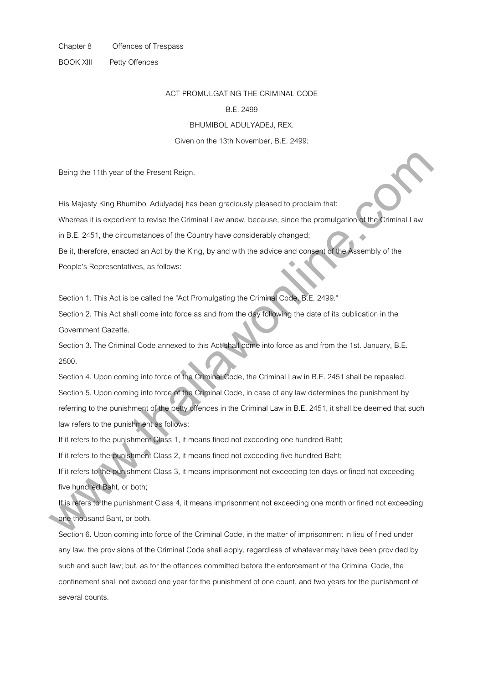BOOK XIII Petty Offences

#### ACT PROMULGATING THE CRIMINAL CODE

#### B.E. 2499

BHUMIBOL ADULYADEJ, REX.

#### Given on the 13th November, B.E. 2499;

Being the 11th year of the Present Reign.

His Majesty King Bhumibol Adulyadej has been graciously pleased to proclaim that:

Whereas it is expedient to revise the Criminal Law anew, because, since the promulgation of the Criminal Law

in B.E. 2451, the circumstances of the Country have considerably changed;

Be it, therefore, enacted an Act by the King, by and with the advice and consent of the Assembly of the People's Representatives, as follows:

Section 1. This Act is be called the "Act Promulgating the Criminal Code, B.E. 2499."

Section 2. This Act shall come into force as and from the day following the date of its publication in the Government Gazette.

Section 3. The Criminal Code annexed to this Act shall come into force as and from the 1st. January, B.E. 2500.

Section 4. Upon coming into force of the Criminal Code, the Criminal Law in B.E. 2451 shall be repealed. Section 5. Upon coming into force of the Criminal Code, in case of any law determines the punishment by referring to the punishment of the petty offences in the Criminal Law in B.E. 2451, it shall be deemed that such law refers to the punishment as follows: Being the 11th year of the Present Reign.<br>
His Majesty King Bhumbol Adulyacej has been graciously pleased to problem that:<br>
Whereas it is expedient to revise the Criminal Law anew, because, since the promulgation of the Cr

If it refers to the punishment Class 1, it means fined not exceeding one hundred Baht;

If it refers to the punishment Class 2, it means fined not exceeding five hundred Baht;

If it refers to the punishment Class 3, it means imprisonment not exceeding ten days or fined not exceeding five hundred Baht, or both;

If is refers to the punishment Class 4, it means imprisonment not exceeding one month or fined not exceeding one thousand Baht, or both.

Section 6. Upon coming into force of the Criminal Code, in the matter of imprisonment in lieu of fined under any law, the provisions of the Criminal Code shall apply, regardless of whatever may have been provided by such and such law; but, as for the offences committed before the enforcement of the Criminal Code, the confinement shall not exceed one year for the punishment of one count, and two years for the punishment of several counts.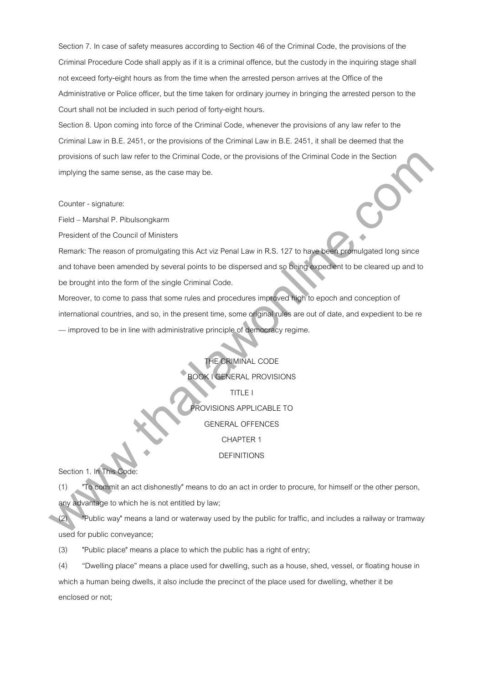Section 7. In case of safety measures according to Section 46 of the Criminal Code, the provisions of the Criminal Procedure Code shall apply as if it is a criminal offence, but the custody in the inquiring stage shall not exceed forty-eight hours as from the time when the arrested person arrives at the Office of the Administrative or Police officer, but the time taken for ordinary journey in bringing the arrested person to the Court shall not be included in such period of forty-eight hours.

Section 8. Upon coming into force of the Criminal Code, whenever the provisions of any law refer to the Criminal Law in B.E. 2451, or the provisions of the Criminal Law in B.E. 2451, it shall be deemed that the provisions of such law refer to the Criminal Code, or the provisions of the Criminal Code in the Section implying the same sense, as the case may be.

Counter - signature:

Field – Marshal P. Pibulsongkarm

President of the Council of Ministers

Remark: The reason of promulgating this Act viz Penal Law in R.S. 127 to have been promulgated long since and tohave been amended by several points to be dispersed and so being expedient to be cleared up and to be brought into the form of the single Criminal Code. provisions at such law retire to be Criminal Code, or this provisions of the Criminal Code in the Suchar<br>Implying the same sense, as the cases may be.<br>
Counter - signature:<br>
Field Morshal P. Pilotisongkarm<br>
Fresident of th

Moreover, to come to pass that some rules and procedures improved high to epoch and conception of international countries, and so, in the present time, some original rules are out of date, and expedient to be re — improved to be in line with administrative principle of democracy regime.

> THE CRIMINAL CODE BOOK I GENERAL PROVISIONS TITLE I PROVISIONS APPLICABLE TO GENERAL OFFENCES CHAPTER 1 DEFINITIONS

Section 1. In This Code:

(1) "To commit an act dishonestly" means to do an act in order to procure, for himself or the other person, any advantage to which he is not entitled by law;

(2) "Public way" means a land or waterway used by the public for traffic, and includes a railway or tramway used for public conveyance;

(3) "Public place" means a place to which the public has a right of entry;

(4) "Dwelling place" means a place used for dwelling, such as a house, shed, vessel, or floating house in which a human being dwells, it also include the precinct of the place used for dwelling, whether it be enclosed or not;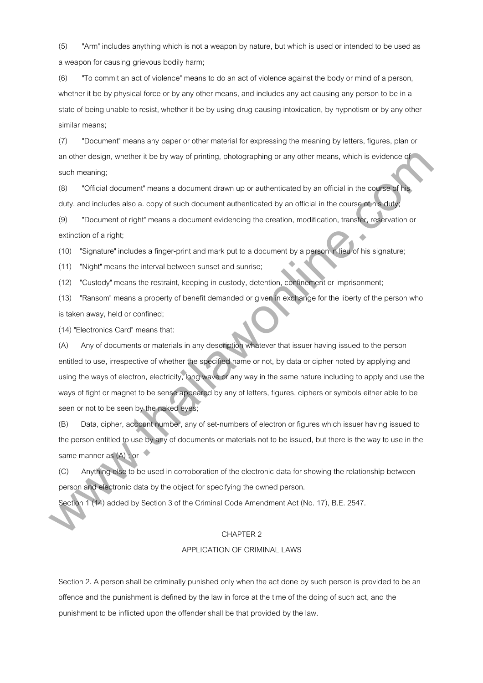(5) "Arm" includes anything which is not a weapon by nature, but which is used or intended to be used as a weapon for causing grievous bodily harm;

(6) "To commit an act of violence" means to do an act of violence against the body or mind of a person, whether it be by physical force or by any other means, and includes any act causing any person to be in a state of being unable to resist, whether it be by using drug causing intoxication, by hypnotism or by any other similar means;

(7) "Document" means any paper or other material for expressing the meaning by letters, figures, plan or an other design, whether it be by way of printing, photographing or any other means, which is evidence of such meaning;

(8) "Official document" means a document drawn up or authenticated by an official in the course of his duty, and includes also a. copy of such document authenticated by an official in the course of his duty;

(9) "Document of right" means a document evidencing the creation, modification, transfer, reservation or extinction of a right;

(10) "Signature" includes a finger-print and mark put to a document by a person in lieu of his signature;

(11) "Night" means the interval between sunset and sunrise;

(12) "Custody" means the restraint, keeping in custody, detention, confinement or imprisonment;

(13) "Ransom" means a property of benefit demanded or given in exchange for the liberty of the person who is taken away, held or confined;

(14) "Electronics Card" means that:

(A) Any of documents or materials in any description whatever that issuer having issued to the person entitled to use, irrespective of whether the specified name or not, by data or cipher noted by applying and using the ways of electron, electricity, long wave or any way in the same nature including to apply and use the ways of fight or magnet to be sense appeared by any of letters, figures, ciphers or symbols either able to be seen or not to be seen by the naked eyes; which their chaign, whether it be by way of princing, photographing or any other means, which is evidence at such meaning:<br>
worth manning:<br>
why, and includes also is, copy of such document drawn up or authenticated by an o

(B) Data, cipher, account number, any of set-numbers of electron or figures which issuer having issued to the person entitled to use by any of documents or materials not to be issued, but there is the way to use in the same manner as  $(A)$ ; or

(C) Anything else to be used in corroboration of the electronic data for showing the relationship between person and electronic data by the object for specifying the owned person.

Section 1 (14) added by Section 3 of the Criminal Code Amendment Act (No. 17), B.E. 2547.

#### CHAPTER 2

#### APPLICATION OF CRIMINAL LAWS

Section 2. A person shall be criminally punished only when the act done by such person is provided to be an offence and the punishment is defined by the law in force at the time of the doing of such act, and the punishment to be inflicted upon the offender shall be that provided by the law.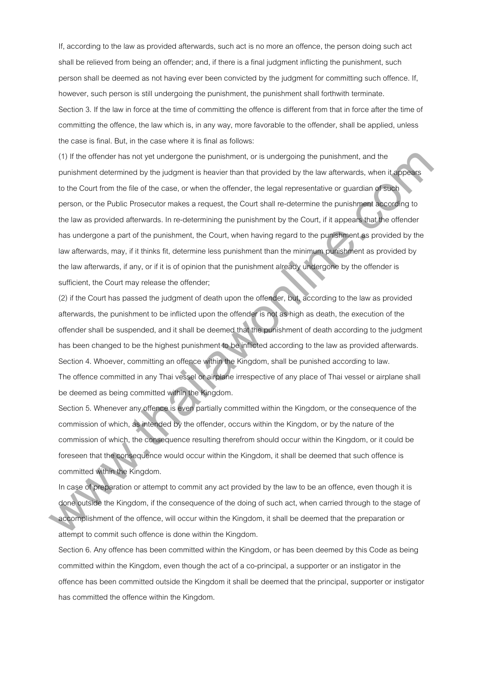If, according to the law as provided afterwards, such act is no more an offence, the person doing such act shall be relieved from being an offender; and, if there is a final judgment inflicting the punishment, such person shall be deemed as not having ever been convicted by the judgment for committing such offence. If, however, such person is still undergoing the punishment, the punishment shall forthwith terminate. Section 3. If the law in force at the time of committing the offence is different from that in force after the time of committing the offence, the law which is, in any way, more favorable to the offender, shall be applied, unless the case is final. But, in the case where it is final as follows:

(1) If the offender has not yet undergone the punishment, or is undergoing the punishment, and the punishment determined by the judgment is heavier than that provided by the law afterwards, when it appears to the Court from the file of the case, or when the offender, the legal representative or guardian of such person, or the Public Prosecutor makes a request, the Court shall re-determine the punishment according to the law as provided afterwards. In re-determining the punishment by the Court, if it appears that the offender has undergone a part of the punishment, the Court, when having regard to the punishment as provided by the law afterwards, may, if it thinks fit, determine less punishment than the minimum punishment as provided by the law afterwards, if any, or if it is of opinion that the punishment already undergone by the offender is sufficient, the Court may release the offender; (1) If the otherder has not yet undergone the punishment, or is undergoing the punishment, and the punishment determinion by the pulgrene in henviroid by the law silencescome information by the pulgrene in the court from t

(2) if the Court has passed the judgment of death upon the offender, but, according to the law as provided afterwards, the punishment to be inflicted upon the offender is not as high as death, the execution of the offender shall be suspended, and it shall be deemed that the punishment of death according to the judgment has been changed to be the highest punishment to be inflicted according to the law as provided afterwards. Section 4. Whoever, committing an offence within the Kingdom, shall be punished according to law. The offence committed in any Thai vessel or airplane irrespective of any place of Thai vessel or airplane shall be deemed as being committed within the Kingdom.

Section 5. Whenever any offence is even partially committed within the Kingdom, or the consequence of the commission of which, as intended by the offender, occurs within the Kingdom, or by the nature of the commission of which, the consequence resulting therefrom should occur within the Kingdom, or it could be foreseen that the consequence would occur within the Kingdom, it shall be deemed that such offence is committed within the Kingdom.

In case of preparation or attempt to commit any act provided by the law to be an offence, even though it is done outside the Kingdom, if the consequence of the doing of such act, when carried through to the stage of accomplishment of the offence, will occur within the Kingdom, it shall be deemed that the preparation or attempt to commit such offence is done within the Kingdom.

Section 6. Any offence has been committed within the Kingdom, or has been deemed by this Code as being committed within the Kingdom, even though the act of a co-principal, a supporter or an instigator in the offence has been committed outside the Kingdom it shall be deemed that the principal, supporter or instigator has committed the offence within the Kingdom.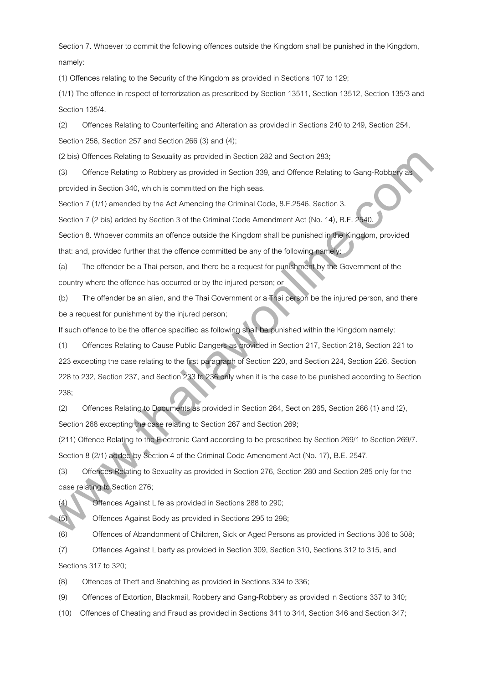Section 7. Whoever to commit the following offences outside the Kingdom shall be punished in the Kingdom, namely:

(1) Offences relating to the Security of the Kingdom as provided in Sections 107 to 129;

(1/1) The offence in respect of terrorization as prescribed by Section 13511, Section 13512, Section 135/3 and Section 135/4.

(2) Offences Relating to Counterfeiting and Alteration as provided in Sections 240 to 249, Section 254,

Section 256, Section 257 and Section 266 (3) and (4);

(2 bis) Offences Relating to Sexuality as provided in Section 282 and Section 283;

(3) Offence Relating to Robbery as provided in Section 339, and Offence Relating to Gang-Robbery as provided in Section 340, which is committed on the high seas.

Section 7 (1/1) amended by the Act Amending the Criminal Code, 8.E.2546, Section 3.

Section 7 (2 bis) added by Section 3 of the Criminal Code Amendment Act (No. 14), B.E. 2540.

Section 8. Whoever commits an offence outside the Kingdom shall be punished in the Kingdom, provided that: and, provided further that the offence committed be any of the following namely:

(a) The offender be a Thai person, and there be a request for punishment by the Government of the country where the offence has occurred or by the injured person; or

(b) The offender be an alien, and the Thai Government or a Thai person be the injured person, and there be a request for punishment by the injured person;

If such offence to be the offence specified as following shall be punished within the Kingdom namely:

(1) Offences Relating to Cause Public Dangers as provided in Section 217, Section 218, Section 221 to 223 excepting the case relating to the first paragraph of Section 220, and Section 224, Section 226, Section 228 to 232, Section 237, and Section 233 to 236 only when it is the case to be punished according to Section 238; (2) as) Ottences Reliating to Sexuality as provided in Section 282 and Section 283.<br>
(3) Ottences Railaing Is Robbery as provided in Section 339, and Ottence Railaing to Camp-Robbery as<br>
(3) Ottences Railaing Is Robbery as

(2) Offences Relating to Documents as provided in Section 264, Section 265, Section 266 (1) and (2), Section 268 excepting the case relating to Section 267 and Section 269;

(211) Offence Relating to the Electronic Card according to be prescribed by Section 269/1 to Section 269/7. Section 8 (2/1) added by Section 4 of the Criminal Code Amendment Act (No. 17), B.E. 2547.

(3) Offences Relating to Sexuality as provided in Section 276, Section 280 and Section 285 only for the case relating to Section 276;

(4) Offences Against Life as provided in Sections 288 to 290;

(5) Offences Against Body as provided in Sections 295 to 298;

(6) Offences of Abandonment of Children, Sick or Aged Persons as provided in Sections 306 to 308;

(7) Offences Against Liberty as provided in Section 309, Section 310, Sections 312 to 315, and Sections 317 to 320;

(8) Offences of Theft and Snatching as provided in Sections 334 to 336;

(9) Offences of Extortion, Blackmail, Robbery and Gang-Robbery as provided in Sections 337 to 340;

(10) Offences of Cheating and Fraud as provided in Sections 341 to 344, Section 346 and Section 347;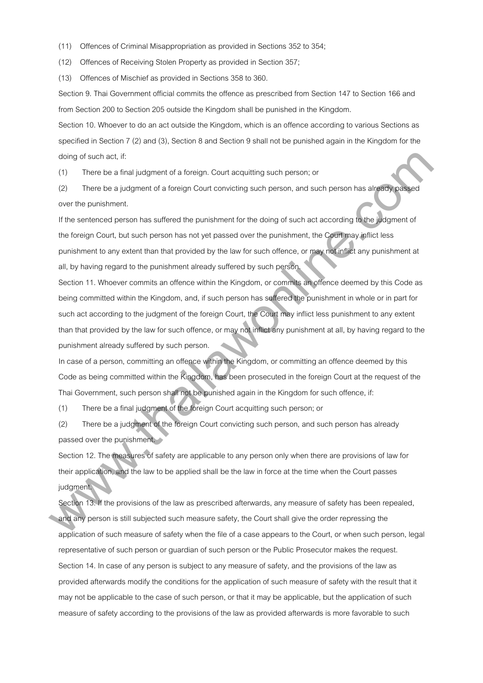(11) Offences of Criminal Misappropriation as provided in Sections 352 to 354;

(12) Offences of Receiving Stolen Property as provided in Section 357;

(13) Offences of Mischief as provided in Sections 358 to 360.

Section 9. Thai Government official commits the offence as prescribed from Section 147 to Section 166 and from Section 200 to Section 205 outside the Kingdom shall be punished in the Kingdom.

Section 10. Whoever to do an act outside the Kingdom, which is an offence according to various Sections as specified in Section 7 (2) and (3), Section 8 and Section 9 shall not be punished again in the Kingdom for the doing of such act, if:

(1) There be a final judgment of a foreign. Court acquitting such person; or

(2) There be a judgment of a foreign Court convicting such person, and such person has already passed over the punishment.

If the sentenced person has suffered the punishment for the doing of such act according to the judgment of the foreign Court, but such person has not yet passed over the punishment, the Court may inflict less punishment to any extent than that provided by the law for such offence, or may not inflict any punishment at all, by having regard to the punishment already suffered by such person.

Section 11. Whoever commits an offence within the Kingdom, or commits an offence deemed by this Code as being committed within the Kingdom, and, if such person has suffered the punishment in whole or in part for such act according to the judgment of the foreign Court, the Court may inflict less punishment to any extent than that provided by the law for such offence, or may not inflict any punishment at all, by having regard to the punishment already suffered by such person. dring at such incl., it.<br>
(1) There be a linial judgment at al tereign. Court sequiting such person, and such person has algebra asset<br>
(2) There be a judgment of a foreign Court convicting such person, and such person has

In case of a person, committing an offence within the Kingdom, or committing an offence deemed by this Code as being committed within the Kingdom, has been prosecuted in the foreign Court at the request of the Thai Government, such person shall not be punished again in the Kingdom for such offence, if:

(1) There be a final judgment of the foreign Court acquitting such person; or

(2) There be a judgment of the foreign Court convicting such person, and such person has already passed over the punishment.

Section 12. The measures of safety are applicable to any person only when there are provisions of law for their application, and the law to be applied shall be the law in force at the time when the Court passes judament.

Section 13. If the provisions of the law as prescribed afterwards, any measure of safety has been repealed, and any person is still subjected such measure safety, the Court shall give the order repressing the application of such measure of safety when the file of a case appears to the Court, or when such person, legal representative of such person or guardian of such person or the Public Prosecutor makes the request. Section 14. In case of any person is subject to any measure of safety, and the provisions of the law as provided afterwards modify the conditions for the application of such measure of safety with the result that it may not be applicable to the case of such person, or that it may be applicable, but the application of such measure of safety according to the provisions of the law as provided afterwards is more favorable to such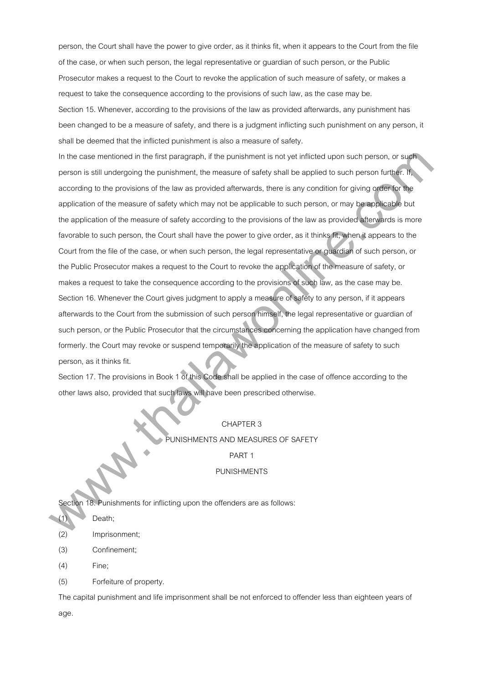person, the Court shall have the power to give order, as it thinks fit, when it appears to the Court from the file of the case, or when such person, the legal representative or guardian of such person, or the Public Prosecutor makes a request to the Court to revoke the application of such measure of safety, or makes a request to take the consequence according to the provisions of such law, as the case may be. Section 15. Whenever, according to the provisions of the law as provided afterwards, any punishment has been changed to be a measure of safety, and there is a judgment inflicting such punishment on any person, it shall be deemed that the inflicted punishment is also a measure of safety.

In the case mentioned in the first paragraph, if the punishment is not yet inflicted upon such person, or such person is still undergoing the punishment, the measure of safety shall be applied to such person further. If, according to the provisions of the law as provided afterwards, there is any condition for giving order for the application of the measure of safety which may not be applicable to such person, or may be applicable but the application of the measure of safety according to the provisions of the law as provided afterwards is more favorable to such person, the Court shall have the power to give order, as it thinks fit, when it appears to the Court from the file of the case, or when such person, the legal representative or guardian of such person, or the Public Prosecutor makes a request to the Court to revoke the application of the measure of safety, or makes a request to take the consequence according to the provisions of such law, as the case may be. Section 16. Whenever the Court gives judgment to apply a measure of safety to any person, if it appears afterwards to the Court from the submission of such person himself, the legal representative or guardian of such person, or the Public Prosecutor that the circumstances concerning the application have changed from formerly. the Court may revoke or suspend temporarily the application of the measure of safety to such person, as it thinks fit. In the case marticized in the linit paragraph, it the punishment is not yet inflicted upon such person, or suprements sittle university in punishments the sample of the measure of selecty which may have been provided to su

Section 17. The provisions in Book 1 of this Code shall be applied in the case of offence according to the other laws also, provided that such laws will have been prescribed otherwise.

### CHAPTER 3

PUNISHMENTS AND MEASURES OF SAFETY

PART 1

#### PUNISHMENTS

Section 18. Punishments for inflicting upon the offenders are as follows:

Death;

(2) Imprisonment;

(3) Confinement;

(4) Fine;

(5) Forfeiture of property.

The capital punishment and life imprisonment shall be not enforced to offender less than eighteen years of age.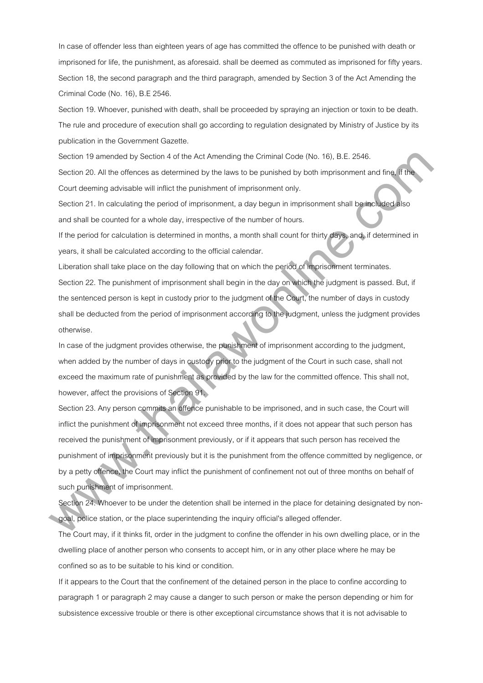In case of offender less than eighteen years of age has committed the offence to be punished with death or imprisoned for life, the punishment, as aforesaid. shall be deemed as commuted as imprisoned for fifty years. Section 18, the second paragraph and the third paragraph, amended by Section 3 of the Act Amending the Criminal Code (No. 16), B.E 2546.

Section 19. Whoever, punished with death, shall be proceeded by spraying an injection or toxin to be death. The rule and procedure of execution shall go according to regulation designated by Ministry of Justice by its publication in the Government Gazette.

Section 19 amended by Section 4 of the Act Amending the Criminal Code (No. 16), B.E. 2546.

Section 20. All the offences as determined by the laws to be punished by both imprisonment and fine, if the Court deeming advisable will inflict the punishment of imprisonment only.

Section 21. In calculating the period of imprisonment, a day begun in imprisonment shall be included also and shall be counted for a whole day, irrespective of the number of hours.

If the period for calculation is determined in months, a month shall count for thirty days, and, if determined in years, it shall be calculated according to the official calendar.

Liberation shall take place on the day following that on which the period of imprisonment terminates. Section 22. The punishment of imprisonment shall begin in the day on which the judgment is passed. But, if the sentenced person is kept in custody prior to the judgment of the Court, the number of days in custody shall be deducted from the period of imprisonment according to the judgment, unless the judgment provides otherwise.

In case of the judgment provides otherwise, the punishment of imprisonment according to the judgment, when added by the number of days in custody prior to the judgment of the Court in such case, shall not exceed the maximum rate of punishment as provided by the law for the committed offence. This shall not, however, affect the provisions of Section 91.

Section 23. Any person commits an offence punishable to be imprisoned, and in such case, the Court will inflict the punishment of imprisonment not exceed three months, if it does not appear that such person has received the punishment of imprisonment previously, or if it appears that such person has received the punishment of imprisonment previously but it is the punishment from the offence committed by negligence, or by a petty offence, the Court may inflict the punishment of confinement not out of three months on behalf of such punishment of imprisonment. Saccian 19 amended by Saccian 4 of the Act Amending the Christian Code (No. 16), B.E. 2566.<br>Saccian 20. All the otheroas as determined by the lases to so paraheld by both impresentant and ting. Time<br>Control comparison by t

Section 24. Whoever to be under the detention shall be interned in the place for detaining designated by nongoal, police station, or the place superintending the inquiry official's alleged offender.

The Court may, if it thinks fit, order in the judgment to confine the offender in his own dwelling place, or in the dwelling place of another person who consents to accept him, or in any other place where he may be confined so as to be suitable to his kind or condition.

If it appears to the Court that the confinement of the detained person in the place to confine according to paragraph 1 or paragraph 2 may cause a danger to such person or make the person depending or him for subsistence excessive trouble or there is other exceptional circumstance shows that it is not advisable to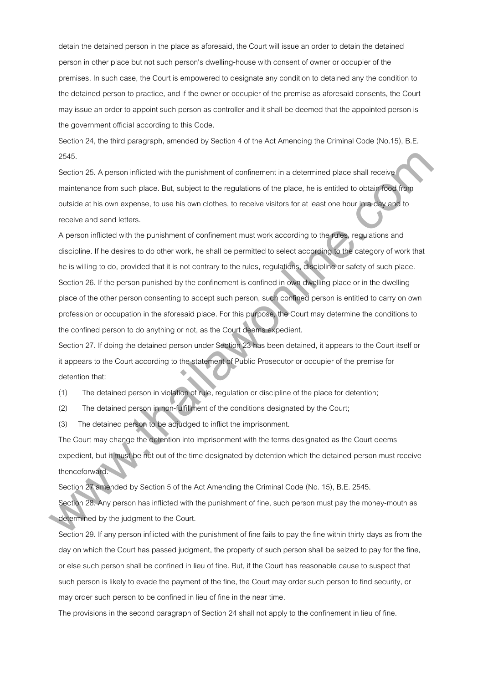detain the detained person in the place as aforesaid, the Court will issue an order to detain the detained person in other place but not such person's dwelling-house with consent of owner or occupier of the premises. In such case, the Court is empowered to designate any condition to detained any the condition to the detained person to practice, and if the owner or occupier of the premise as aforesaid consents, the Court may issue an order to appoint such person as controller and it shall be deemed that the appointed person is the government official according to this Code.

Section 24, the third paragraph, amended by Section 4 of the Act Amending the Criminal Code (No.15), B.E. 2545.

Section 25. A person inflicted with the punishment of confinement in a determined place shall receive maintenance from such place. But, subject to the regulations of the place, he is entitled to obtain food from outside at his own expense, to use his own clothes, to receive visitors for at least one hour in a day and to receive and send letters.

A person inflicted with the punishment of confinement must work according to the rules, regulations and discipline. If he desires to do other work, he shall be permitted to select according to the category of work that he is willing to do, provided that it is not contrary to the rules, regulations, discipline or safety of such place. Section 26. If the person punished by the confinement is confined in own dwelling place or in the dwelling place of the other person consenting to accept such person, such confined person is entitled to carry on own profession or occupation in the aforesaid place. For this purpose, the Court may determine the conditions to the confined person to do anything or not, as the Court deems expedient. 2645.<br>
Siscilin: 25. A penson initiated with the punishment of continument in a determined place shall receive<br>
minimanone form such place. But, subject to the regulations of the place, he is entitled to obta probability<br>

Section 27. If doing the detained person under Section 23 has been detained, it appears to the Court itself or it appears to the Court according to the statement of Public Prosecutor or occupier of the premise for detention that:

(1) The detained person in violation of rule, regulation or discipline of the place for detention;

(2) The detained person in non-fulfillment of the conditions designated by the Court;

(3) The detained person to be adjudged to inflict the imprisonment.

The Court may change the detention into imprisonment with the terms designated as the Court deems expedient, but it must be not out of the time designated by detention which the detained person must receive thenceforward.

Section 27 amended by Section 5 of the Act Amending the Criminal Code (No. 15), B.E. 2545.

Section 28. Any person has inflicted with the punishment of fine, such person must pay the money-mouth as determined by the judgment to the Court.

Section 29. If any person inflicted with the punishment of fine fails to pay the fine within thirty days as from the day on which the Court has passed judgment, the property of such person shall be seized to pay for the fine, or else such person shall be confined in lieu of fine. But, if the Court has reasonable cause to suspect that such person is likely to evade the payment of the fine, the Court may order such person to find security, or may order such person to be confined in lieu of fine in the near time.

The provisions in the second paragraph of Section 24 shall not apply to the confinement in lieu of fine.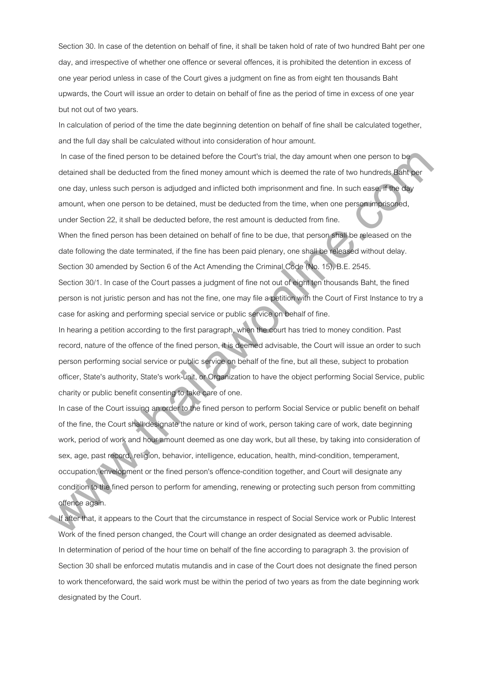Section 30. In case of the detention on behalf of fine, it shall be taken hold of rate of two hundred Baht per one day, and irrespective of whether one offence or several offences, it is prohibited the detention in excess of one year period unless in case of the Court gives a judgment on fine as from eight ten thousands Baht upwards, the Court will issue an order to detain on behalf of fine as the period of time in excess of one year but not out of two years.

In calculation of period of the time the date beginning detention on behalf of fine shall be calculated together, and the full day shall be calculated without into consideration of hour amount.

In case of the fined person to be detained before the Court's trial, the day amount when one person to be detained shall be deducted from the fined money amount which is deemed the rate of two hundreds Baht per one day, unless such person is adjudged and inflicted both imprisonment and fine. In such ease, if the day amount, when one person to be detained, must be deducted from the time, when one person imprisoned, under Section 22, it shall be deducted before, the rest amount is deducted from fine.

When the fined person has been detained on behalf of fine to be due, that person shall be released on the date following the date terminated, if the fine has been paid plenary, one shall be released without delay. Section 30 amended by Section 6 of the Act Amending the Criminal Code (No. 15), B.E. 2545.

Section 30/1. In case of the Court passes a judgment of fine not out of eight ten thousands Baht, the fined person is not juristic person and has not the fine, one may file a petition with the Court of First Instance to try a case for asking and performing special service or public service on behalf of fine.

In hearing a petition according to the first paragraph, when the court has tried to money condition. Past record, nature of the offence of the fined person, it is deemed advisable, the Court will issue an order to such person performing social service or public service on behalf of the fine, but all these, subject to probation officer, State's authority, State's work-unit, or Organization to have the object performing Social Service, public charity or public benefit consenting to take care of one.

In case of the Court issuing an order to the fined person to perform Social Service or public benefit on behalf of the fine, the Court shall designate the nature or kind of work, person taking care of work, date beginning work, period of work and hour amount deemed as one day work, but all these, by taking into consideration of sex, age, past record, religion, behavior, intelligence, education, health, mind-condition, temperament, occupation, envelopment or the fined person's offence-condition together, and Court will designate any condition to the fined person to perform for amending, renewing or protecting such person from committing offence again. In asses of the fired person to be deteined belons the Caurls trial, the day amount when one person to be<br>detained shall be idetunited from the first minister many mount which is desembed by a late of the functions, a<br>sing

If after that, it appears to the Court that the circumstance in respect of Social Service work or Public Interest Work of the fined person changed, the Court will change an order designated as deemed advisable. In determination of period of the hour time on behalf of the fine according to paragraph 3. the provision of Section 30 shall be enforced mutatis mutandis and in case of the Court does not designate the fined person to work thenceforward, the said work must be within the period of two years as from the date beginning work designated by the Court.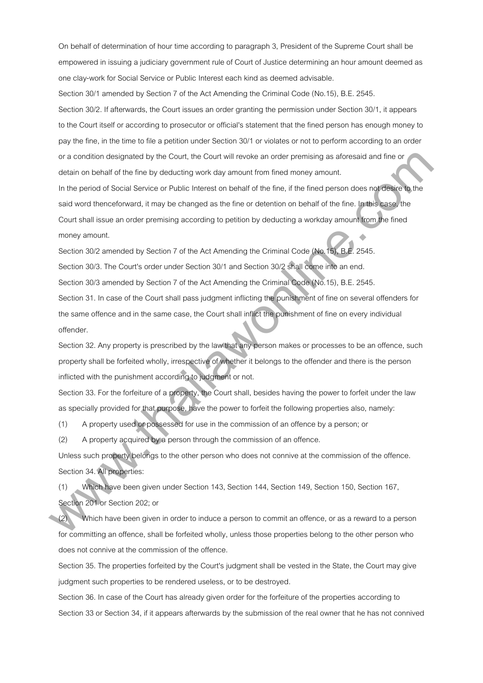On behalf of determination of hour time according to paragraph 3, President of the Supreme Court shall be empowered in issuing a judiciary government rule of Court of Justice determining an hour amount deemed as one clay-work for Social Service or Public Interest each kind as deemed advisable.

Section 30/1 amended by Section 7 of the Act Amending the Criminal Code (No.15), B.E. 2545.

Section 30/2. If afterwards, the Court issues an order granting the permission under Section 30/1, it appears to the Court itself or according to prosecutor or official's statement that the fined person has enough money to pay the fine, in the time to file a petition under Section 30/1 or violates or not to perform according to an order or a condition designated by the Court, the Court will revoke an order premising as aforesaid and fine or detain on behalf of the fine by deducting work day amount from fined money amount.

In the period of Social Service or Public Interest on behalf of the fine, if the fined person does not desire to the said word thenceforward, it may be changed as the fine or detention on behalf of the fine. In this case, the Court shall issue an order premising according to petition by deducting a workday amount from the fined money amount. ar a condition designated by the Cauti, the Cauti will revolve an order premising as alonesid and final entail<br>addition to be the limit by the distribution with they amount from first<br>and word then efforts Society and Soci

Section 30/2 amended by Section 7 of the Act Amending the Criminal Code (No.15), B.E. 2545. Section 30/3. The Court's order under Section 30/1 and Section 30/2 shall come into an end.

Section 30/3 amended by Section 7 of the Act Amending the Criminal Code (No.15), B.E. 2545.

Section 31. In case of the Court shall pass judgment inflicting the punishment of fine on several offenders for the same offence and in the same case, the Court shall inflict the punishment of fine on every individual offender.

Section 32. Any property is prescribed by the law that any person makes or processes to be an offence, such property shall be forfeited wholly, irrespective of whether it belongs to the offender and there is the person inflicted with the punishment according to judgment or not.

Section 33. For the forfeiture of a property, the Court shall, besides having the power to forfeit under the law as specially provided for that purpose, have the power to forfeit the following properties also, namely:

(1) A property used or possessed for use in the commission of an offence by a person; or

(2) A property acquired by a person through the commission of an offence.

Unless such property belongs to the other person who does not connive at the commission of the offence. Section 34. All properties:

(1) Which have been given under Section 143, Section 144, Section 149, Section 150, Section 167, Section 201 or Section 202; or

(2) Which have been given in order to induce a person to commit an offence, or as a reward to a person for committing an offence, shall be forfeited wholly, unless those properties belong to the other person who does not connive at the commission of the offence.

Section 35. The properties forfeited by the Court's judgment shall be vested in the State, the Court may give judgment such properties to be rendered useless, or to be destroyed.

Section 36. In case of the Court has already given order for the forfeiture of the properties according to Section 33 or Section 34, if it appears afterwards by the submission of the real owner that he has not connived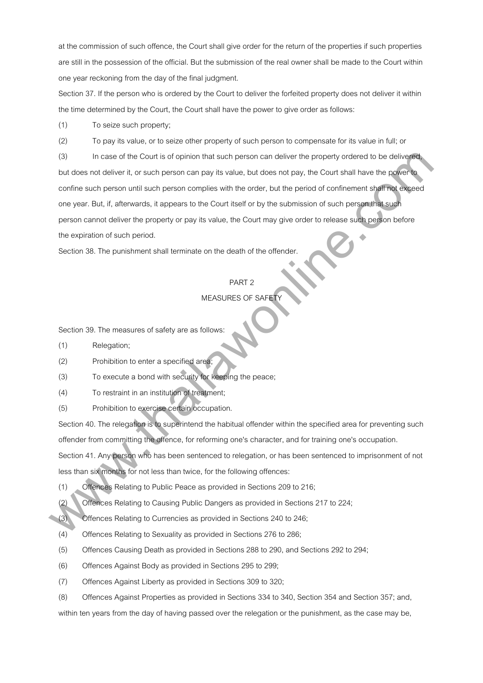at the commission of such offence, the Court shall give order for the return of the properties if such properties are still in the possession of the official. But the submission of the real owner shall be made to the Court within one year reckoning from the day of the final judgment.

Section 37. If the person who is ordered by the Court to deliver the forfeited property does not deliver it within the time determined by the Court, the Court shall have the power to give order as follows:

(1) To seize such property;

(2) To pay its value, or to seize other property of such person to compensate for its value in full; or

(3) In case of the Court is of opinion that such person can deliver the property ordered to be delivered, but does not deliver it, or such person can pay its value, but does not pay, the Court shall have the power to confine such person until such person complies with the order, but the period of confinement shall not exceed one year. But, if, afterwards, it appears to the Court itself or by the submission of such person that such person cannot deliver the property or pay its value, the Court may give order to release such person before the expiration of such period. (3) In case of the Court is of certain strach paneon can deliver the property cristered to be delivered<br>but does not deliver it, an each person can pay in switch, but does not pay, the Court shall there also<br>confine such p

Section 38. The punishment shall terminate on the death of the offender.

#### PART 2

# MEASURES OF SAFET

Section 39. The measures of safety are as follows:

- (1) Relegation;
- (2) Prohibition to enter a specified area;
- (3) To execute a bond with security for keeping the peace;
- (4) To restraint in an institution of treatment;
- (5) Prohibition to exercise certain occupation.

Section 40. The relegation is to superintend the habitual offender within the specified area for preventing such offender from committing the offence, for reforming one's character, and for training one's occupation.

Section 41. Any person who has been sentenced to relegation, or has been sentenced to imprisonment of not less than six months for not less than twice, for the following offences:

(1) Offences Relating to Public Peace as provided in Sections 209 to 216;

(2) Offences Relating to Causing Public Dangers as provided in Sections 217 to 224;

- (3) Offences Relating to Currencies as provided in Sections 240 to 246;
- (4) Offences Relating to Sexuality as provided in Sections 276 to 286;
- (5) Offences Causing Death as provided in Sections 288 to 290, and Sections 292 to 294;
- (6) Offences Against Body as provided in Sections 295 to 299;
- (7) Offences Against Liberty as provided in Sections 309 to 320;
- (8) Offences Against Properties as provided in Sections 334 to 340, Section 354 and Section 357; and,

within ten years from the day of having passed over the relegation or the punishment, as the case may be,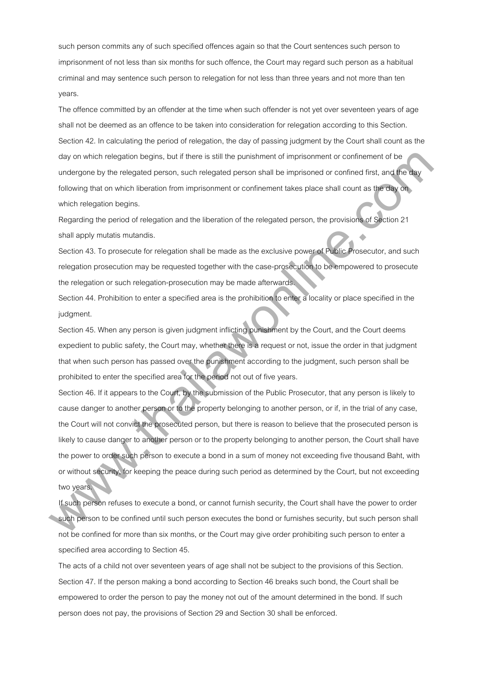such person commits any of such specified offences again so that the Court sentences such person to imprisonment of not less than six months for such offence, the Court may regard such person as a habitual criminal and may sentence such person to relegation for not less than three years and not more than ten years.

The offence committed by an offender at the time when such offender is not yet over seventeen years of age shall not be deemed as an offence to be taken into consideration for relegation according to this Section. Section 42. In calculating the period of relegation, the day of passing judgment by the Court shall count as the day on which relegation begins, but if there is still the punishment of imprisonment or confinement of be undergone by the relegated person, such relegated person shall be imprisoned or confined first, and the day following that on which liberation from imprisonment or confinement takes place shall count as the day on which relegation begins.

Regarding the period of relegation and the liberation of the relegated person, the provisions of Section 21 shall apply mutatis mutandis.

Section 43. To prosecute for relegation shall be made as the exclusive power of Public Prosecutor, and such relegation prosecution may be requested together with the case-prosecution to be empowered to prosecute the relegation or such relegation-prosecution may be made afterwards.

Section 44. Prohibition to enter a specified area is the prohibition to enter a locality or place specified in the judgment.

Section 45. When any person is given judgment inflicting punishment by the Court, and the Court deems expedient to public safety, the Court may, whether there is a request or not, issue the order in that judgment that when such person has passed over the punishment according to the judgment, such person shall be prohibited to enter the specified area for the period not out of five years.

Section 46. If it appears to the Court, by the submission of the Public Prosecutor, that any person is likely to cause danger to another person or to the property belonging to another person, or if, in the trial of any case, the Court will not convict the prosecuted person, but there is reason to believe that the prosecuted person is likely to cause danger to another person or to the property belonging to another person, the Court shall have the power to order such person to execute a bond in a sum of money not exceeding five thousand Baht, with or without security, for keeping the peace during such period as determined by the Court, but not exceeding two years. day on which relegation begins, but it here is still the purishment of imprisonment or continement of the material but the comparison, such relegated person shall be impresened ar contine linet, and further and the undergo

If such person refuses to execute a bond, or cannot furnish security, the Court shall have the power to order such person to be confined until such person executes the bond or furnishes security, but such person shall not be confined for more than six months, or the Court may give order prohibiting such person to enter a specified area according to Section 45.

The acts of a child not over seventeen years of age shall not be subject to the provisions of this Section. Section 47. If the person making a bond according to Section 46 breaks such bond, the Court shall be empowered to order the person to pay the money not out of the amount determined in the bond. If such person does not pay, the provisions of Section 29 and Section 30 shall be enforced.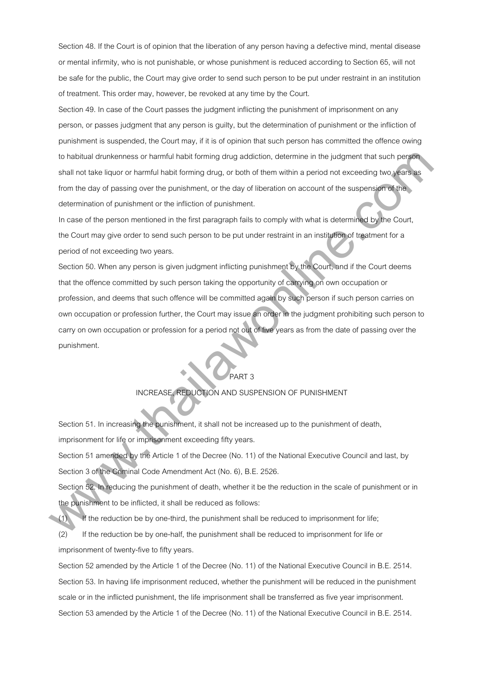Section 48. If the Court is of opinion that the liberation of any person having a defective mind, mental disease or mental infirmity, who is not punishable, or whose punishment is reduced according to Section 65, will not be safe for the public, the Court may give order to send such person to be put under restraint in an institution of treatment. This order may, however, be revoked at any time by the Court.

Section 49. In case of the Court passes the judgment inflicting the punishment of imprisonment on any person, or passes judgment that any person is guilty, but the determination of punishment or the infliction of punishment is suspended, the Court may, if it is of opinion that such person has committed the offence owing to habitual drunkenness or harmful habit forming drug addiction, determine in the judgment that such person shall not take liquor or harmful habit forming drug, or both of them within a period not exceeding two years as from the day of passing over the punishment, or the day of liberation on account of the suspension of the determination of punishment or the infliction of punishment.

In case of the person mentioned in the first paragraph fails to comply with what is determined by the Court, the Court may give order to send such person to be put under restraint in an institution of treatment for a period of not exceeding two years.

Section 50. When any person is given judgment inflicting punishment by the Court, and if the Court deems that the offence committed by such person taking the opportunity of carrying on own occupation or profession, and deems that such offence will be committed again by such person if such person carries on own occupation or profession further, the Court may issue an order in the judgment prohibiting such person to carry on own occupation or profession for a period not out of five years as from the date of passing over the punishment. is habitual drunkeness or harmlul habit terming drup addiction, determine in the judgment hait such persons<br>aball not take liquor or harmlul habit terming drup, or beit of them within a period rat isoseeding two function<br>o

# PART 3

## INCREASE, REDUCTION AND SUSPENSION OF PUNISHMENT

Section 51. In increasing the punishment, it shall not be increased up to the punishment of death, imprisonment for life or imprisonment exceeding fifty years.

Section 51 amended by the Article 1 of the Decree (No. 11) of the National Executive Council and last, by Section 3 of the Criminal Code Amendment Act (No. 6), B.E. 2526.

Section 52. In reducing the punishment of death, whether it be the reduction in the scale of punishment or in the punishment to be inflicted, it shall be reduced as follows:

(1) If the reduction be by one-third, the punishment shall be reduced to imprisonment for life;

(2) If the reduction be by one-half, the punishment shall be reduced to imprisonment for life or imprisonment of twenty-five to fifty years.

Section 52 amended by the Article 1 of the Decree (No. 11) of the National Executive Council in B.E. 2514. Section 53. In having life imprisonment reduced, whether the punishment will be reduced in the punishment scale or in the inflicted punishment, the life imprisonment shall be transferred as five year imprisonment. Section 53 amended by the Article 1 of the Decree (No. 11) of the National Executive Council in B.E. 2514.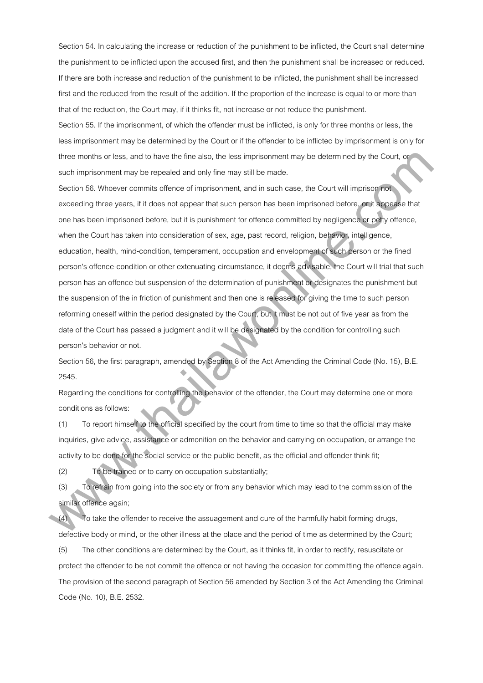Section 54. In calculating the increase or reduction of the punishment to be inflicted, the Court shall determine the punishment to be inflicted upon the accused first, and then the punishment shall be increased or reduced. If there are both increase and reduction of the punishment to be inflicted, the punishment shall be increased first and the reduced from the result of the addition. If the proportion of the increase is equal to or more than that of the reduction, the Court may, if it thinks fit, not increase or not reduce the punishment.

Section 55. If the imprisonment, of which the offender must be inflicted, is only for three months or less, the less imprisonment may be determined by the Court or if the offender to be inflicted by imprisonment is only for three months or less, and to have the fine also, the less imprisonment may be determined by the Court, or such imprisonment may be repealed and only fine may still be made.

Section 56. Whoever commits offence of imprisonment, and in such case, the Court will imprison not exceeding three years, if it does not appear that such person has been imprisoned before, or it appease that one has been imprisoned before, but it is punishment for offence committed by negligence or petty offence, when the Court has taken into consideration of sex, age, past record, religion, behavior, intelligence, education, health, mind-condition, temperament, occupation and envelopment of such person or the fined person's offence-condition or other extenuating circumstance, it deems advisable, the Court will trial that such person has an offence but suspension of the determination of punishment or designates the punishment but the suspension of the in friction of punishment and then one is released for giving the time to such person reforming oneself within the period designated by the Court, but it must be not out of five year as from the date of the Court has passed a judgment and it will be designated by the condition for controlling such person's behavior or not. three menths or lines, and to have the line also, the lies improamment may be determined by the Court, as<br>such improximinal may be repeated and only time may still be matter.<br>Such as the court is determined and only time m

Section 56, the first paragraph, amended by Section 8 of the Act Amending the Criminal Code (No. 15), B.E. 2545.

Regarding the conditions for controlling the behavior of the offender, the Court may determine one or more conditions as follows:

(1) To report himself to the official specified by the court from time to time so that the official may make inquiries, give advice, assistance or admonition on the behavior and carrying on occupation, or arrange the activity to be done for the social service or the public benefit, as the official and offender think fit;

(2) To be trained or to carry on occupation substantially;

(3) To refrain from going into the society or from any behavior which may lead to the commission of the similar offence again;

(4) To take the offender to receive the assuagement and cure of the harmfully habit forming drugs, defective body or mind, or the other illness at the place and the period of time as determined by the Court;

(5) The other conditions are determined by the Court, as it thinks fit, in order to rectify, resuscitate or protect the offender to be not commit the offence or not having the occasion for committing the offence again. The provision of the second paragraph of Section 56 amended by Section 3 of the Act Amending the Criminal Code (No. 10), B.E. 2532.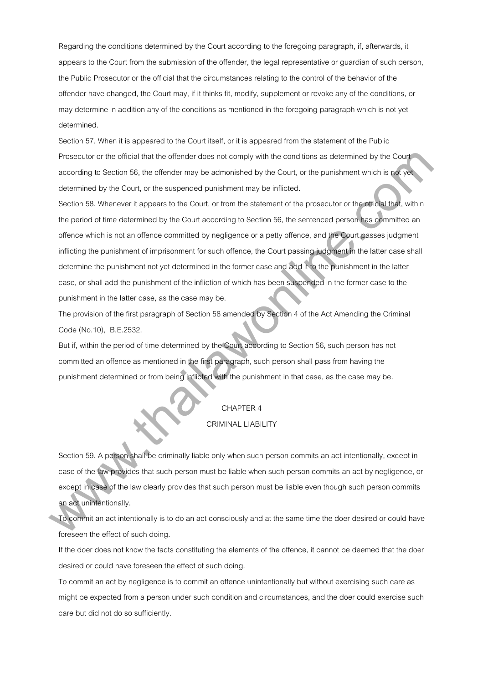Regarding the conditions determined by the Court according to the foregoing paragraph, if, afterwards, it appears to the Court from the submission of the offender, the legal representative or guardian of such person, the Public Prosecutor or the official that the circumstances relating to the control of the behavior of the offender have changed, the Court may, if it thinks fit, modify, supplement or revoke any of the conditions, or may determine in addition any of the conditions as mentioned in the foregoing paragraph which is not yet determined.

Section 57. When it is appeared to the Court itself, or it is appeared from the statement of the Public Prosecutor or the official that the offender does not comply with the conditions as determined by the Court. according to Section 56, the offender may be admonished by the Court, or the punishment which is not yet determined by the Court, or the suspended punishment may be inflicted.

Section 58. Whenever it appears to the Court, or from the statement of the prosecutor or the official that, within the period of time determined by the Court according to Section 56, the sentenced person has committed an offence which is not an offence committed by negligence or a petty offence, and the Court passes judgment inflicting the punishment of imprisonment for such offence, the Court passing judgment in the latter case shall determine the punishment not yet determined in the former case and add it to the punishment in the latter case, or shall add the punishment of the infliction of which has been suspended in the former case to the punishment in the latter case, as the case may be. Prosecular or the ollicial that the defender does nat comply with the conditions as streamined by the Court<br>according to Sacision 56, the ollicial remay be adminished by the Court, or the punishment witch is not content<br>Se

The provision of the first paragraph of Section 58 amended by Section 4 of the Act Amending the Criminal Code (No.10), B.E.2532.

But if, within the period of time determined by the Court according to Section 56, such person has not committed an offence as mentioned in the first paragraph, such person shall pass from having the punishment determined or from being inflicted with the punishment in that case, as the case may be.

# CHAPTER 4

#### CRIMINAL LIABILITY

Section 59. A person shall be criminally liable only when such person commits an act intentionally, except in case of the law provides that such person must be liable when such person commits an act by negligence, or except in case of the law clearly provides that such person must be liable even though such person commits an act unintentionally.

To commit an act intentionally is to do an act consciously and at the same time the doer desired or could have foreseen the effect of such doing.

If the doer does not know the facts constituting the elements of the offence, it cannot be deemed that the doer desired or could have foreseen the effect of such doing.

To commit an act by negligence is to commit an offence unintentionally but without exercising such care as might be expected from a person under such condition and circumstances, and the doer could exercise such care but did not do so sufficiently.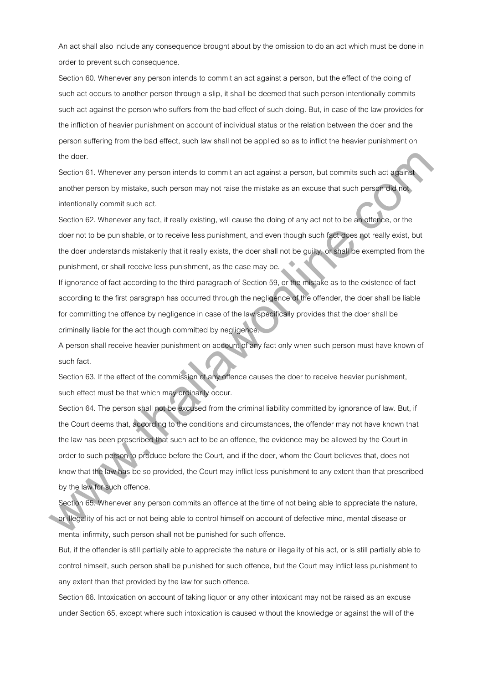An act shall also include any consequence brought about by the omission to do an act which must be done in order to prevent such consequence.

Section 60. Whenever any person intends to commit an act against a person, but the effect of the doing of such act occurs to another person through a slip, it shall be deemed that such person intentionally commits such act against the person who suffers from the bad effect of such doing. But, in case of the law provides for the infliction of heavier punishment on account of individual status or the relation between the doer and the person suffering from the bad effect, such law shall not be applied so as to inflict the heavier punishment on the doer.

Section 61. Whenever any person intends to commit an act against a person, but commits such act against another person by mistake, such person may not raise the mistake as an excuse that such person did not intentionally commit such act.

Section 62. Whenever any fact, if really existing, will cause the doing of any act not to be an offence, or the doer not to be punishable, or to receive less punishment, and even though such fact does not really exist, but the doer understands mistakenly that it really exists, the doer shall not be guilty, or shall be exempted from the punishment, or shall receive less punishment, as the case may be.

If ignorance of fact according to the third paragraph of Section 59, or the mistake as to the existence of fact according to the first paragraph has occurred through the negligence of the offender, the doer shall be liable for committing the offence by negligence in case of the law specifically provides that the doer shall be criminally liable for the act though committed by negligence.

A person shall receive heavier punishment on account of any fact only when such person must have known of such fact.

Section 63. If the effect of the commission of any offence causes the doer to receive heavier punishment, such effect must be that which may ordinarily occur.

Section 64. The person shall not be excused from the criminal liability committed by ignorance of law. But, if the Court deems that, according to the conditions and circumstances, the offender may not have known that the law has been prescribed that such act to be an offence, the evidence may be allowed by the Court in order to such person to produce before the Court, and if the doer, whom the Court believes that, does not know that the law has be so provided, the Court may inflict less punishment to any extent than that prescribed by the law for such offence. the dour.<br>Section 61. Whenever any person intends to commit an ad against a person, but commits such add against<br>action for the person by mistake, such person may not rate the middle as an excuse that such person of a memb

Section 65. Whenever any person commits an offence at the time of not being able to appreciate the nature, or illegality of his act or not being able to control himself on account of defective mind, mental disease or mental infirmity, such person shall not be punished for such offence.

But, if the offender is still partially able to appreciate the nature or illegality of his act, or is still partially able to control himself, such person shall be punished for such offence, but the Court may inflict less punishment to any extent than that provided by the law for such offence.

Section 66. Intoxication on account of taking liquor or any other intoxicant may not be raised as an excuse under Section 65, except where such intoxication is caused without the knowledge or against the will of the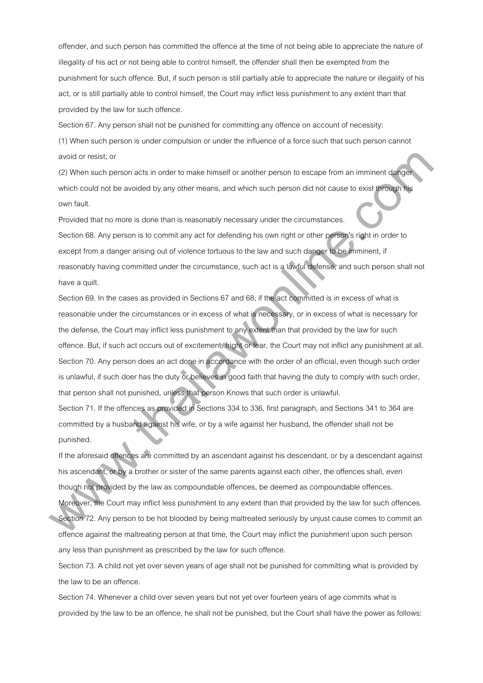offender, and such person has committed the offence at the time of not being able to appreciate the nature of illegality of his act or not being able to control himself, the offender shall then be exempted from the punishment for such offence. But, if such person is still partially able to appreciate the nature or illegality of his act, or is still partially able to control himself, the Court may inflict less punishment to any extent than that provided by the law for such offence.

Section 67. Any person shall not be punished for committing any offence on account of necessity: (1) When such person is under compulsion or under the influence of a force such that such person cannot

avoid or resist; or

(2) When such person acts in order to make himself or another person to escape from an imminent danger which could not be avoided by any other means, and which such person did not cause to exist through his own fault.

Provided that no more is done than is reasonably necessary under the circumstances. Section 68. Any person is to commit any act for defending his own right or other person's right in order to except from a danger arising out of violence tortuous to the law and such danger to be imminent, if reasonably having committed under the circumstance, such act is a lawful defense, and such person shall not have a quilt.

Section 69. In the cases as provided in Sections 67 and 68, if the act committed is in excess of what is reasonable under the circumstances or in excess of what is necessary, or in excess of what is necessary for the defense, the Court may inflict less punishment to any extent than that provided by the law for such offence. But, if such act occurs out of excitement, fright or fear, the Court may not inflict any punishment at all. Section 70. Any person does an act done in accordance with the order of an official, even though such order is unlawful, if such doer has the duty or believes in good faith that having the duty to comply with such order, that person shall not punished, unless that person Knows that such order is unlawful. avoid ar massi; or<br>
(2) white such parson asis in order to make himsell or another parson to exasps hem an imminent darget<br>
which could not be avoided by any other means, and which such person did not couse to exist propag

Section 71. If the offences as provided in Sections 334 to 336, first paragraph, and Sections 341 to 364 are committed by a husband against his wife, or by a wife against her husband, the offender shall not be punished.

If the aforesaid offences are committed by an ascendant against his descendant, or by a descendant against his ascendant, or by a brother or sister of the same parents against each other, the offences shall, even though not provided by the law as compoundable offences, be deemed as compoundable offences.

Moreover, the Court may inflict less punishment to any extent than that provided by the law for such offences. Section 72. Any person to be hot blooded by being maltreated seriously by unjust cause comes to commit an offence against the maltreating person at that time, the Court may inflict the punishment upon such person any less than punishment as prescribed by the law for such offence.

Section 73. A child not yet over seven years of age shall not be punished for committing what is provided by the law to be an offence.

Section 74. Whenever a child over seven years but not yet over fourteen years of age commits what is provided by the law to be an offence, he shall not be punished, but the Court shall have the power as follows: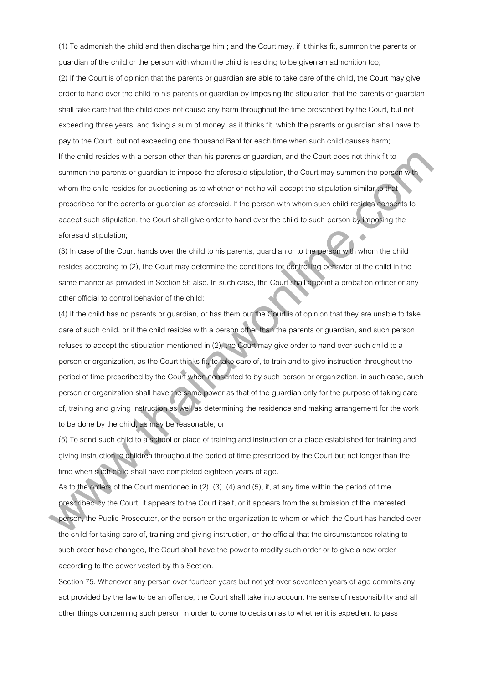(1) To admonish the child and then discharge him ; and the Court may, if it thinks fit, summon the parents or guardian of the child or the person with whom the child is residing to be given an admonition too;

(2) If the Court is of opinion that the parents or guardian are able to take care of the child, the Court may give order to hand over the child to his parents or guardian by imposing the stipulation that the parents or guardian shall take care that the child does not cause any harm throughout the time prescribed by the Court, but not exceeding three years, and fixing a sum of money, as it thinks fit, which the parents or guardian shall have to pay to the Court, but not exceeding one thousand Baht for each time when such child causes harm; If the child resides with a person other than his parents or guardian, and the Court does not think fit to summon the parents or guardian to impose the aforesaid stipulation, the Court may summon the person with whom the child resides for questioning as to whether or not he will accept the stipulation similar to that prescribed for the parents or guardian as aforesaid. If the person with whom such child resides consents to accept such stipulation, the Court shall give order to hand over the child to such person by imposing the aforesaid stipulation;

(3) In case of the Court hands over the child to his parents, guardian or to the person with whom the child resides according to (2), the Court may determine the conditions for controlling behavior of the child in the same manner as provided in Section 56 also. In such case, the Court shall appoint a probation officer or any other official to control behavior of the child;

(4) If the child has no parents or guardian, or has them but the Court is of opinion that they are unable to take care of such child, or if the child resides with a person other than the parents or guardian, and such person refuses to accept the stipulation mentioned in (2), the Court may give order to hand over such child to a person or organization, as the Court thinks fit, to take care of, to train and to give instruction throughout the period of time prescribed by the Court when consented to by such person or organization. in such case, such person or organization shall have the same power as that of the guardian only for the purpose of taking care of, training and giving instruction as well as determining the residence and making arrangement for the work to be done by the child, as may be reasonable; or If the child resides with a penson sther than his parents or pusedian, and the Court dises not think it is becomen the parents are alternative or pused in a local may summarize the parents with the court may summarize the

(5) To send such child to a school or place of training and instruction or a place established for training and giving instruction to children throughout the period of time prescribed by the Court but not longer than the time when such child shall have completed eighteen years of age.

As to the orders of the Court mentioned in (2), (3), (4) and (5), if, at any time within the period of time prescribed by the Court, it appears to the Court itself, or it appears from the submission of the interested person, the Public Prosecutor, or the person or the organization to whom or which the Court has handed over the child for taking care of, training and giving instruction, or the official that the circumstances relating to such order have changed, the Court shall have the power to modify such order or to give a new order according to the power vested by this Section.

Section 75. Whenever any person over fourteen years but not yet over seventeen years of age commits any act provided by the law to be an offence, the Court shall take into account the sense of responsibility and all other things concerning such person in order to come to decision as to whether it is expedient to pass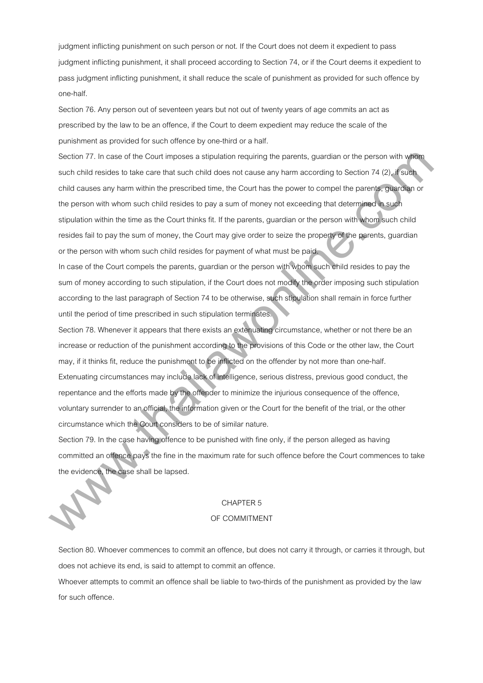judgment inflicting punishment on such person or not. If the Court does not deem it expedient to pass judgment inflicting punishment, it shall proceed according to Section 74, or if the Court deems it expedient to pass judgment inflicting punishment, it shall reduce the scale of punishment as provided for such offence by one-half.

Section 76. Any person out of seventeen years but not out of twenty years of age commits an act as prescribed by the law to be an offence, if the Court to deem expedient may reduce the scale of the punishment as provided for such offence by one-third or a half.

Section 77. In case of the Court imposes a stipulation requiring the parents, guardian or the person with whom such child resides to take care that such child does not cause any harm according to Section 74 (2), if such child causes any harm within the prescribed time, the Court has the power to compel the parents, guardian or the person with whom such child resides to pay a sum of money not exceeding that determined in such stipulation within the time as the Court thinks fit. If the parents, guardian or the person with whom such child resides fail to pay the sum of money, the Court may give order to seize the property of the parents, guardian or the person with whom such child resides for payment of what must be paid. Sinction 77. In case of the Court imposes a stipulation requiring the parents, punction or the parson with with<br>such child reastes to take care that such child does not causar any harm according to Saction 74.0<sub>%</sub> has<br>the

In case of the Court compels the parents, guardian or the person with whom such child resides to pay the sum of money according to such stipulation, if the Court does not modify the order imposing such stipulation according to the last paragraph of Section 74 to be otherwise, such stipulation shall remain in force further until the period of time prescribed in such stipulation terminates.

Section 78. Whenever it appears that there exists an extenuating circumstance, whether or not there be an increase or reduction of the punishment according to the provisions of this Code or the other law, the Court may, if it thinks fit, reduce the punishment to be inflicted on the offender by not more than one-half. Extenuating circumstances may include lack of intelligence, serious distress, previous good conduct, the repentance and the efforts made by the offender to minimize the injurious consequence of the offence, voluntary surrender to an official, the information given or the Court for the benefit of the trial, or the other circumstance which the Court considers to be of similar nature.

Section 79. In the case having offence to be punished with fine only, if the person alleged as having committed an offence pays the fine in the maximum rate for such offence before the Court commences to take the evidence, the case shall be lapsed.

### CHAPTER 5

## OF COMMITMENT

Section 80. Whoever commences to commit an offence, but does not carry it through, or carries it through, but does not achieve its end, is said to attempt to commit an offence.

Whoever attempts to commit an offence shall be liable to two-thirds of the punishment as provided by the law for such offence.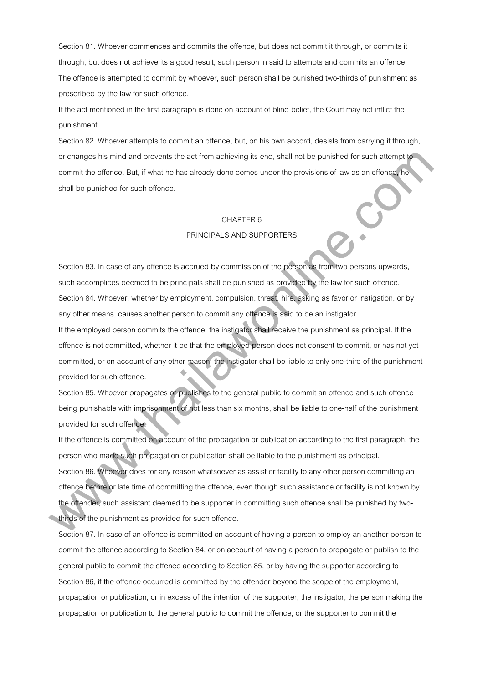Section 81. Whoever commences and commits the offence, but does not commit it through, or commits it through, but does not achieve its a good result, such person in said to attempts and commits an offence. The offence is attempted to commit by whoever, such person shall be punished two-thirds of punishment as prescribed by the law for such offence.

If the act mentioned in the first paragraph is done on account of blind belief, the Court may not inflict the punishment.

Section 82. Whoever attempts to commit an offence, but, on his own accord, desists from carrying it through, or changes his mind and prevents the act from achieving its end, shall not be punished for such attempt to commit the offence. But, if what he has already done comes under the provisions of law as an offence, he shall be punished for such offence.

### CHAPTER 6

### PRINCIPALS AND SUPPORTERS

Section 83. In case of any offence is accrued by commission of the person as from two persons upwards, such accomplices deemed to be principals shall be punished as provided by the law for such offence. Section 84. Whoever, whether by employment, compulsion, threat, hire, asking as favor or instigation, or by any other means, causes another person to commit any offence is said to be an instigator.

If the employed person commits the offence, the instigator shall receive the punishment as principal. If the offence is not committed, whether it be that the employed person does not consent to commit, or has not yet committed, or on account of any ether reason, the instigator shall be liable to only one-third of the punishment provided for such offence.

Section 85. Whoever propagates or publishes to the general public to commit an offence and such offence being punishable with imprisonment of not less than six months, shall be liable to one-half of the punishment provided for such offence.

If the offence is committed on account of the propagation or publication according to the first paragraph, the person who made such propagation or publication shall be liable to the punishment as principal. Section 86. Whoever does for any reason whatsoever as assist or facility to any other person committing an offence before or late time of committing the offence, even though such assistance or facility is not known by the offender, such assistant deemed to be supporter in committing such offence shall be punished by twothirds of the punishment as provided for such offence. are changes his mind and prevents the act from achieving its and, shall not be purished for such attempt to<br>commit the otherce. But, it what has has dready done comes under the provisions of law as an otherce for<br>shall be

Section 87. In case of an offence is committed on account of having a person to employ an another person to commit the offence according to Section 84, or on account of having a person to propagate or publish to the general public to commit the offence according to Section 85, or by having the supporter according to Section 86, if the offence occurred is committed by the offender beyond the scope of the employment, propagation or publication, or in excess of the intention of the supporter, the instigator, the person making the propagation or publication to the general public to commit the offence, or the supporter to commit the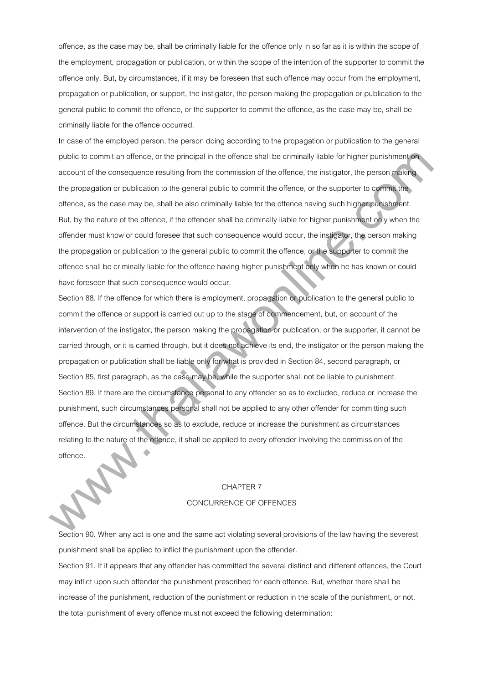offence, as the case may be, shall be criminally liable for the offence only in so far as it is within the scope of the employment, propagation or publication, or within the scope of the intention of the supporter to commit the offence only. But, by circumstances, if it may be foreseen that such offence may occur from the employment, propagation or publication, or support, the instigator, the person making the propagation or publication to the general public to commit the offence, or the supporter to commit the offence, as the case may be, shall be criminally liable for the offence occurred.

In case of the employed person, the person doing according to the propagation or publication to the general public to commit an offence, or the principal in the offence shall be criminally liable for higher punishment on account of the consequence resulting from the commission of the offence, the instigator, the person making the propagation or publication to the general public to commit the offence, or the supporter to commit the offence, as the case may be, shall be also criminally liable for the offence having such higher punishment. But, by the nature of the offence, if the offender shall be criminally liable for higher punishment only when the offender must know or could foresee that such consequence would occur, the instigator, the person making the propagation or publication to the general public to commit the offence, or the supporter to commit the offence shall be criminally liable for the offence having higher punishment only when he has known or could have foreseen that such consequence would occur.

Section 88. If the offence for which there is employment, propagation or publication to the general public to commit the offence or support is carried out up to the stage of commencement, but, on account of the intervention of the instigator, the person making the propagation or publication, or the supporter, it cannot be carried through, or it is carried through, but it does not achieve its end, the instigator or the person making the propagation or publication shall be liable only for what is provided in Section 84, second paragraph, or Section 85, first paragraph, as the case may be, while the supporter shall not be liable to punishment. Section 89. If there are the circumstance personal to any offender so as to excluded, reduce or increase the punishment, such circumstances personal shall not be applied to any other offender for committing such offence. But the circumstances so as to exclude, reduce or increase the punishment as circumstances relating to the nature of the offence, it shall be applied to every offender involving the commission of the offence. public the commit an attende, or the principal in the oftence shall be criminally lable to higher punishment and<br>account of the consequence resulting from the committees of the ultimace, the insiglator, the person publicat

# CHAPTER 7 CONCURRENCE OF OFFENCES

Section 90. When any act is one and the same act violating several provisions of the law having the severest punishment shall be applied to inflict the punishment upon the offender.

Section 91. If it appears that any offender has committed the several distinct and different offences, the Court may inflict upon such offender the punishment prescribed for each offence. But, whether there shall be increase of the punishment, reduction of the punishment or reduction in the scale of the punishment, or not, the total punishment of every offence must not exceed the following determination: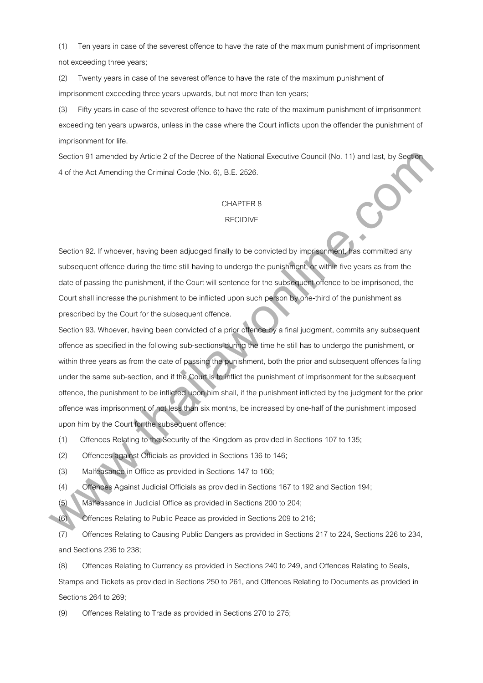(1) Ten years in case of the severest offence to have the rate of the maximum punishment of imprisonment not exceeding three years;

(2) Twenty years in case of the severest offence to have the rate of the maximum punishment of imprisonment exceeding three years upwards, but not more than ten years;

(3) Fifty years in case of the severest offence to have the rate of the maximum punishment of imprisonment exceeding ten years upwards, unless in the case where the Court inflicts upon the offender the punishment of imprisonment for life.

Section 91 amended by Article 2 of the Decree of the National Executive Council (No. 11) and last, by Section 4 of the Act Amending the Criminal Code (No. 6), B.E. 2526.

# CHAPTER 8

# RECIDIVE

Section 92. If whoever, having been adjudged finally to be convicted by imprisonment, has committed any subsequent offence during the time still having to undergo the punishment, or within five years as from the date of passing the punishment, if the Court will sentence for the subsequent offence to be imprisoned, the Court shall increase the punishment to be inflicted upon such person by one-third of the punishment as prescribed by the Court for the subsequent offence.

Section 93. Whoever, having been convicted of a prior offence by a final judgment, commits any subsequent offence as specified in the following sub-sections during the time he still has to undergo the punishment, or within three years as from the date of passing the punishment, both the prior and subsequent offences falling under the same sub-section, and if the Court is to inflict the punishment of imprisonment for the subsequent offence, the punishment to be inflicted upon him shall, if the punishment inflicted by the judgment for the prior offence was imprisonment of not less than six months, be increased by one-half of the punishment imposed upon him by the Court for the subsequent offence: Siacitary 31 aminoide by Article 2 at the Decrete of the National Executive Council (No. 11) and last, by Siaple<br>
4 of the Act Amunding the Criminal Cade (No. 6), B.E. 2626.<br>
CHAPTER 8<br>
RECODVE<br>
Siacitary 92. II whole was

(1) Offences Relating to the Security of the Kingdom as provided in Sections 107 to 135;

(2) Offences against Officials as provided in Sections 136 to 146;

(3) Malfeasance in Office as provided in Sections 147 to 166;

(4) Offences Against Judicial Officials as provided in Sections 167 to 192 and Section 194;

(5) Malfeasance in Judicial Office as provided in Sections 200 to 204;

(6) Offences Relating to Public Peace as provided in Sections 209 to 216;

(7) Offences Relating to Causing Public Dangers as provided in Sections 217 to 224, Sections 226 to 234, and Sections 236 to 238;

(8) Offences Relating to Currency as provided in Sections 240 to 249, and Offences Relating to Seals,

Stamps and Tickets as provided in Sections 250 to 261, and Offences Relating to Documents as provided in Sections 264 to 269;

(9) Offences Relating to Trade as provided in Sections 270 to 275;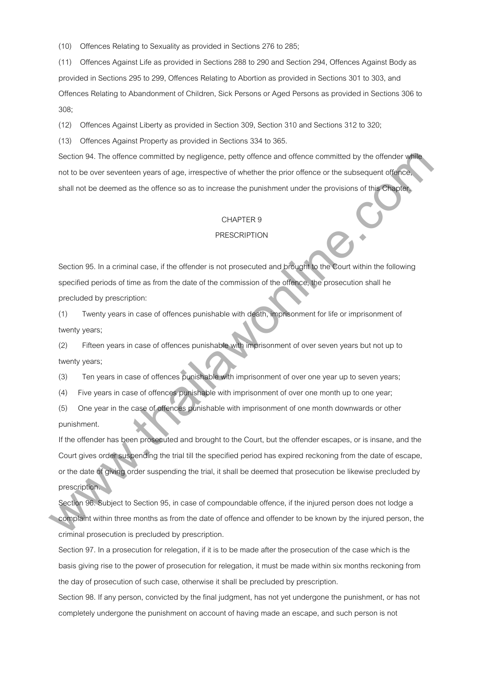(10) Offences Relating to Sexuality as provided in Sections 276 to 285;

(11) Offences Against Life as provided in Sections 288 to 290 and Section 294, Offences Against Body as provided in Sections 295 to 299, Offences Relating to Abortion as provided in Sections 301 to 303, and Offences Relating to Abandonment of Children, Sick Persons or Aged Persons as provided in Sections 306 to 308;

(12) Offences Against Liberty as provided in Section 309, Section 310 and Sections 312 to 320;

(13) Offences Against Property as provided in Sections 334 to 365.

Section 94. The offence committed by negligence, petty offence and offence committed by the offender while not to be over seventeen years of age, irrespective of whether the prior offence or the subsequent offence, shall not be deemed as the offence so as to increase the punishment under the provisions of this Chapter.

# CHAPTER 9

#### **PRESCRIPTION**

Section 95. In a criminal case, if the offender is not prosecuted and brought to the Court within the following specified periods of time as from the date of the commission of the offence, the prosecution shall he precluded by prescription:

(1) Twenty years in case of offences punishable with death, imprisonment for life or imprisonment of twenty years;

(2) Fifteen years in case of offences punishable with imprisonment of over seven years but not up to twenty years;

(3) Ten years in case of offences punishable with imprisonment of over one year up to seven years;

(4) Five years in case of offences punishable with imprisonment of over one month up to one year;

(5) One year in the case of offences punishable with imprisonment of one month downwards or other punishment.

If the offender has been prosecuted and brought to the Court, but the offender escapes, or is insane, and the Court gives order suspending the trial till the specified period has expired reckoning from the date of escape, or the date of giving order suspending the trial, it shall be deemed that prosecution be likewise precluded by prescription. Siecitori 94. The otherois committed by registence, pathy otherois and standard committed by the otherois with<br>and to be over several environmental and primary contents of which the prior otherois of the subsequent diamon<br>

Section 96. Subject to Section 95, in case of compoundable offence, if the injured person does not lodge a complaint within three months as from the date of offence and offender to be known by the injured person, the criminal prosecution is precluded by prescription.

Section 97. In a prosecution for relegation, if it is to be made after the prosecution of the case which is the basis giving rise to the power of prosecution for relegation, it must be made within six months reckoning from the day of prosecution of such case, otherwise it shall be precluded by prescription.

Section 98. If any person, convicted by the final judgment, has not yet undergone the punishment, or has not completely undergone the punishment on account of having made an escape, and such person is not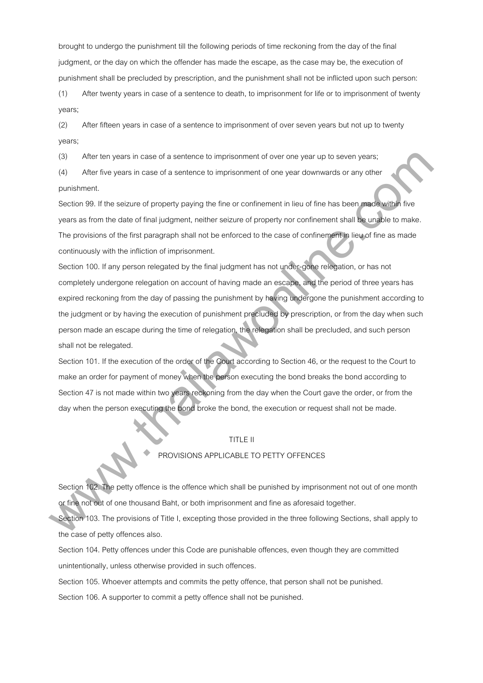brought to undergo the punishment till the following periods of time reckoning from the day of the final judgment, or the day on which the offender has made the escape, as the case may be, the execution of punishment shall be precluded by prescription, and the punishment shall not be inflicted upon such person:

(1) After twenty years in case of a sentence to death, to imprisonment for life or to imprisonment of twenty years;

(2) After fifteen years in case of a sentence to imprisonment of over seven years but not up to twenty years;

(3) After ten years in case of a sentence to imprisonment of over one year up to seven years;

(4) After five years in case of a sentence to imprisonment of one year downwards or any other punishment.

Section 99. If the seizure of property paying the fine or confinement in lieu of fine has been made within five years as from the date of final judgment, neither seizure of property nor confinement shall be unable to make. The provisions of the first paragraph shall not be enforced to the case of confinement in lieu of fine as made continuously with the infliction of imprisonment.

Section 100. If any person relegated by the final judgment has not under-gone relegation, or has not completely undergone relegation on account of having made an escape, and the period of three years has expired reckoning from the day of passing the punishment by having undergone the punishment according to the judgment or by having the execution of punishment precluded by prescription, or from the day when such person made an escape during the time of relegation, the relegation shall be precluded, and such person shall not be relegated. (3) Alter lain years in case of a santience its imprisonment of over one year up to seven years;<br>
(4) Alter hive years in case of a sentence to imprisonment of one year downwards or any other<br>
Section 90. If the seizure of

Section 101. If the execution of the order of the Court according to Section 46, or the request to the Court to make an order for payment of money when the person executing the bond breaks the bond according to Section 47 is not made within two years reckoning from the day when the Court gave the order, or from the day when the person executing the bond broke the bond, the execution or request shall not be made.

# TITLE II

### PROVISIONS APPLICABLE TO PETTY OFFENCES

Section 102. The petty offence is the offence which shall be punished by imprisonment not out of one month or fine not out of one thousand Baht, or both imprisonment and fine as aforesaid together.

Section 103. The provisions of Title I, excepting those provided in the three following Sections, shall apply to the case of petty offences also.

Section 104. Petty offences under this Code are punishable offences, even though they are committed unintentionally, unless otherwise provided in such offences.

Section 105. Whoever attempts and commits the petty offence, that person shall not be punished. Section 106. A supporter to commit a petty offence shall not be punished.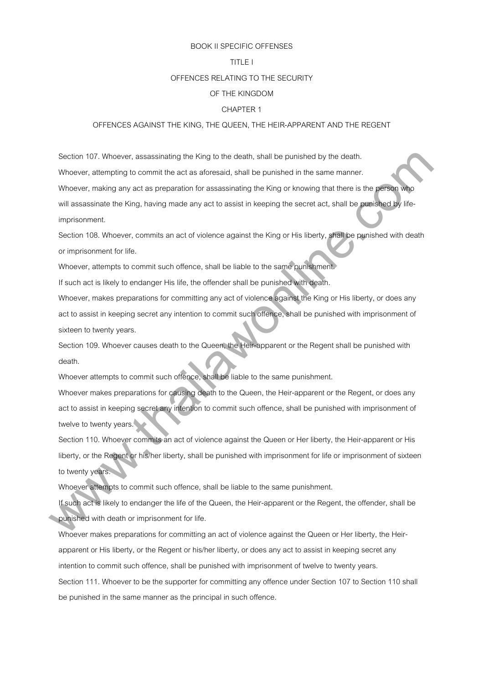#### BOOK II SPECIFIC OFFENSES

# TITLE I

#### OFFENCES RELATING TO THE SECURITY

#### OF THE KINGDOM

#### CHAPTER 1

#### OFFENCES AGAINST THE KING, THE QUEEN, THE HEIR-APPARENT AND THE REGENT

Section 107. Whoever, assassinating the King to the death, shall be punished by the death. Whoever, attempting to commit the act as aforesaid, shall be punished in the same manner. Whoever, making any act as preparation for assassinating the King or knowing that there is the person who will assassinate the King, having made any act to assist in keeping the secret act, shall be punished by lifeimprisonment. Section 107. Whoewer, assessinating the King to the distall be punished by the distalt.<br>Whoweve, alternating to commit the art as absoncesia, shall be punished in the same manner.<br>We come the person of the person of a spec

Section 108. Whoever, commits an act of violence against the King or His liberty, shall be punished with death or imprisonment for life.

Whoever, attempts to commit such offence, shall be liable to the same punishment.

If such act is likely to endanger His life, the offender shall be punished with death.

Whoever, makes preparations for committing any act of violence against the King or His liberty, or does any act to assist in keeping secret any intention to commit such offence, shall be punished with imprisonment of sixteen to twenty years.

Section 109. Whoever causes death to the Queen, the Heir-apparent or the Regent shall be punished with death.

Whoever attempts to commit such offence, shall be liable to the same punishment.

Whoever makes preparations for causing death to the Queen, the Heir-apparent or the Regent, or does any act to assist in keeping secret any intention to commit such offence, shall be punished with imprisonment of twelve to twenty years.

Section 110. Whoever commits an act of violence against the Queen or Her liberty, the Heir-apparent or His liberty, or the Regent or his/her liberty, shall be punished with imprisonment for life or imprisonment of sixteen to twenty years.

Whoever attempts to commit such offence, shall be liable to the same punishment.

If such act is likely to endanger the life of the Queen, the Heir-apparent or the Regent, the offender, shall be punished with death or imprisonment for life.

Whoever makes preparations for committing an act of violence against the Queen or Her liberty, the Heirapparent or His liberty, or the Regent or his/her liberty, or does any act to assist in keeping secret any intention to commit such offence, shall be punished with imprisonment of twelve to twenty years.

Section 111. Whoever to be the supporter for committing any offence under Section 107 to Section 110 shall be punished in the same manner as the principal in such offence.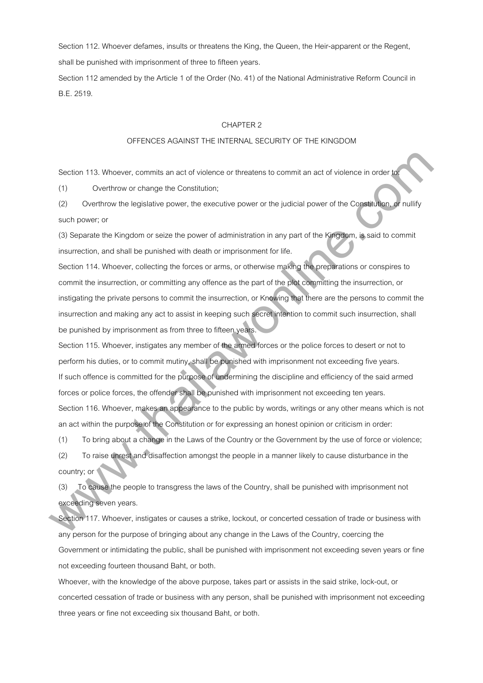Section 112. Whoever defames, insults or threatens the King, the Queen, the Heir-apparent or the Regent, shall be punished with imprisonment of three to fifteen years.

Section 112 amended by the Article 1 of the Order (No. 41) of the National Administrative Reform Council in B.E. 2519.

#### CHAPTER 2

## OFFENCES AGAINST THE INTERNAL SECURITY OF THE KINGDOM

Section 113. Whoever, commits an act of violence or threatens to commit an act of violence in order

(1) Overthrow or change the Constitution;

(2) Overthrow the legislative power, the executive power or the judicial power of the Constitution, or nullify such power; or

(3) Separate the Kingdom or seize the power of administration in any part of the Kingdom, is said to commit insurrection, and shall be punished with death or imprisonment for life.

Section 114. Whoever, collecting the forces or arms, or otherwise making the preparations or conspires to commit the insurrection, or committing any offence as the part of the plot committing the insurrection, or instigating the private persons to commit the insurrection, or Knowing that there are the persons to commit the insurrection and making any act to assist in keeping such secret intention to commit such insurrection, shall be punished by imprisonment as from three to fifteen years.

Section 115. Whoever, instigates any member of the armed forces or the police forces to desert or not to perform his duties, or to commit mutiny, shall be punished with imprisonment not exceeding five years. If such offence is committed for the purpose of undermining the discipline and efficiency of the said armed forces or police forces, the offender shall be punished with imprisonment not exceeding ten years. Section 116. Whoever, makes an appearance to the public by words, writings or any other means which is not an act within the purpose of the Constitution or for expressing an honest opinion or criticism in order: Section 113. Whenever, commiss an act of vietnice or threstiens to commit an act of violince in ander (1) Overthrow or change the Constitution:<br>
(2) Overthrow the legislative power, the executive power or the judicial powe

(1) To bring about a change in the Laws of the Country or the Government by the use of force or violence;

(2) To raise unrest and disaffection amongst the people in a manner likely to cause disturbance in the country; or

(3) To cause the people to transgress the laws of the Country, shall be punished with imprisonment not exceeding seven years.

Section 117. Whoever, instigates or causes a strike, lockout, or concerted cessation of trade or business with any person for the purpose of bringing about any change in the Laws of the Country, coercing the Government or intimidating the public, shall be punished with imprisonment not exceeding seven years or fine not exceeding fourteen thousand Baht, or both.

Whoever, with the knowledge of the above purpose, takes part or assists in the said strike, lock-out, or concerted cessation of trade or business with any person, shall be punished with imprisonment not exceeding three years or fine not exceeding six thousand Baht, or both.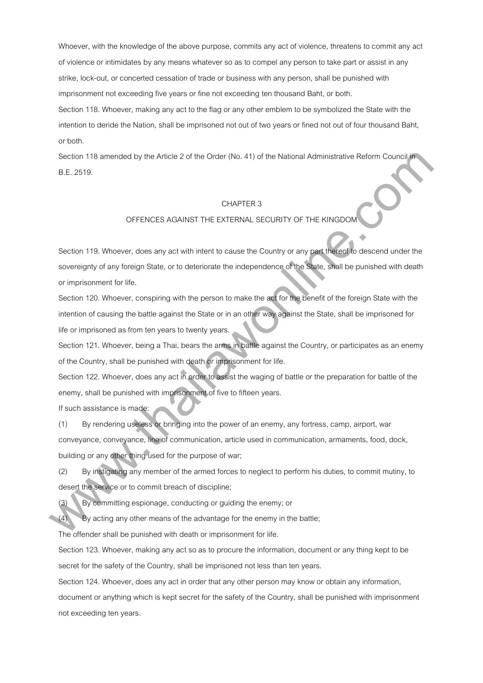Whoever, with the knowledge of the above purpose, commits any act of violence, threatens to commit any act of violence or intimidates by any means whatever so as to compel any person to take part or assist in any strike, lock-out, or concerted cessation of trade or business with any person, shall be punished with imprisonment not exceeding five years or fine not exceeding ten thousand Baht, or both.

Section 118. Whoever, making any act to the flag or any other emblem to be symbolized the State with the intention to deride the Nation, shall be imprisoned not out of two years or fined not out of four thousand Baht, or both.

Section 118 amended by the Article 2 of the Order (No. 41) of the National Administrative Reform Council in B.E. 2519.

# CHAPTER 3

# OFFENCES AGAINST THE EXTERNAL SECURITY OF THE KINGDOM

Section 119. Whoever, does any act with intent to cause the Country or any part thereof to descend under the sovereignty of any foreign State, or to deteriorate the independence of the State, shall be punished with death or imprisonment for life. Sieclien 118 amended by the Article 2 at the Order (No. 41) at the National Administrative Retorm Council<br>
B.E. 2519.<br>
CFFENCES AGAINST THE EXTERNAL SECURTY OF THE KINGDOM<br>
Sieclien 119. Whosever, does any act with intent

Section 120. Whoever, conspiring with the person to make the act for the benefit of the foreign State with the intention of causing the battle against the State or in an other way against the State, shall be imprisoned for life or imprisoned as from ten years to twenty years.

Section 121. Whoever, being a Thai, bears the arms in battle against the Country, or participates as an enemy of the Country, shall be punished with death or imprisonment for life.

Section 122. Whoever, does any act in order to assist the waging of battle or the preparation for battle of the enemy, shall be punished with imprisonment of five to fifteen years.

If such assistance is made:

(1) By rendering useless or bringing into the power of an enemy, any fortress, camp, airport, war conveyance, conveyance, line of communication, article used in communication, armaments, food, dock, building or any other thing used for the purpose of war;

(2) By instigating any member of the armed forces to neglect to perform his duties, to commit mutiny, to desert the service or to commit breach of discipline;

(3) By committing espionage, conducting or guiding the enemy; or

(4) By acting any other means of the advantage for the enemy in the battle;

The offender shall be punished with death or imprisonment for life.

Section 123. Whoever, making any act so as to procure the information, document or any thing kept to be secret for the safety of the Country, shall be imprisoned not less than ten years.

Section 124. Whoever, does any act in order that any other person may know or obtain any information,

document or anything which is kept secret for the safety of the Country, shall be punished with imprisonment not exceeding ten years.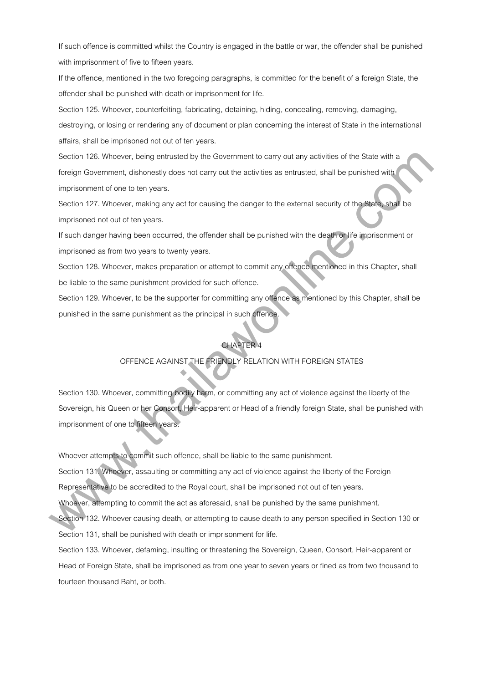If such offence is committed whilst the Country is engaged in the battle or war, the offender shall be punished with imprisonment of five to fifteen years.

If the offence, mentioned in the two foregoing paragraphs, is committed for the benefit of a foreign State, the offender shall be punished with death or imprisonment for life.

Section 125. Whoever, counterfeiting, fabricating, detaining, hiding, concealing, removing, damaging,

destroying, or losing or rendering any of document or plan concerning the interest of State in the international affairs, shall be imprisoned not out of ten years.

Section 126. Whoever, being entrusted by the Government to carry out any activities of the State with a foreign Government, dishonestly does not carry out the activities as entrusted, shall be punished with imprisonment of one to ten years.

Section 127. Whoever, making any act for causing the danger to the external security of the State, shall be imprisoned not out of ten years.

If such danger having been occurred, the offender shall be punished with the death or life imprisonment or imprisoned as from two years to twenty years.

Section 128. Whoever, makes preparation or attempt to commit any offence mentioned in this Chapter, shall be liable to the same punishment provided for such offence.

Section 129. Whoever, to be the supporter for committing any offence as mentioned by this Chapter, shall be punished in the same punishment as the principal in such offence.

# CHAPTER 4

# OFFENCE AGAINST THE FRIENDLY RELATION WITH FOREIGN STATES

Section 130. Whoever, committing bodily harm, or committing any act of violence against the liberty of the Sovereign, his Queen or her Consort, Heir-apparent or Head of a friendly foreign State, shall be punished with imprisonment of one to fifteen years. Siaction 120, Whowever, being and using the Covernment to carry out any sectivities of the Share with a<br>longing Covernment, distances<br>ly the solar of the solar properties and the section are sectively distanced with<br>spectr

Whoever attempts to commit such offence, shall be liable to the same punishment.

Section 131. Whoever, assaulting or committing any act of violence against the liberty of the Foreign

Representative to be accredited to the Royal court, shall be imprisoned not out of ten years.

Whoever, attempting to commit the act as aforesaid, shall be punished by the same punishment.

Section 132. Whoever causing death, or attempting to cause death to any person specified in Section 130 or Section 131, shall be punished with death or imprisonment for life.

Section 133. Whoever, defaming, insulting or threatening the Sovereign, Queen, Consort, Heir-apparent or Head of Foreign State, shall be imprisoned as from one year to seven years or fined as from two thousand to fourteen thousand Baht, or both.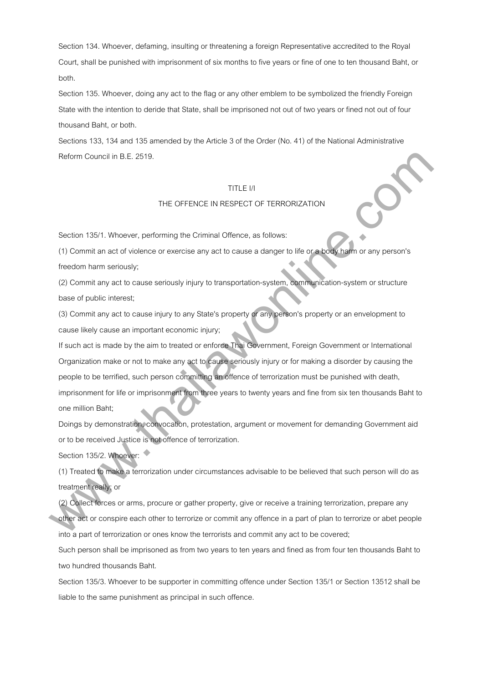Section 134. Whoever, defaming, insulting or threatening a foreign Representative accredited to the Royal Court, shall be punished with imprisonment of six months to five years or fine of one to ten thousand Baht, or both.

Section 135. Whoever, doing any act to the flag or any other emblem to be symbolized the friendly Foreign State with the intention to deride that State, shall be imprisoned not out of two years or fined not out of four thousand Baht, or both.

Sections 133, 134 and 135 amended by the Article 3 of the Order (No. 41) of the National Administrative Reform Council in B.E. 2519.

## TITLE I/I

## THE OFFENCE IN RESPECT OF TERRORIZATION

Section 135/1. Whoever, performing the Criminal Offence, as follows:

(1) Commit an act of violence or exercise any act to cause a danger to life or a body harm or any person's freedom harm seriously;

(2) Commit any act to cause seriously injury to transportation-system, communication-system or structure base of public interest;

(3) Commit any act to cause injury to any State's property or any person's property or an envelopment to cause likely cause an important economic injury;

If such act is made by the aim to treated or enforce Thai Government, Foreign Government or International Organization make or not to make any act to cause seriously injury or for making a disorder by causing the people to be terrified, such person committing an offence of terrorization must be punished with death, imprisonment for life or imprisonment from three years to twenty years and fine from six ten thousands Baht to one million Baht; Relation (Solution B.B., 2619,<br>
TITLE IV<br>
THE OFFENCE IN RESPECT OF TERRORIZATION<br>
(5) Commit any and to valence or exercise any architect as distinger to like or a beneficient or any person's<br>
(7) Commit any act to cause

Doings by demonstration, convocation, protestation, argument or movement for demanding Government aid or to be received Justice is not offence of terrorization.

Section 135/2. Whoever:

(1) Treated to make a terrorization under circumstances advisable to be believed that such person will do as treatment really; or

(2) Collect forces or arms, procure or gather property, give or receive a training terrorization, prepare any other act or conspire each other to terrorize or commit any offence in a part of plan to terrorize or abet people into a part of terrorization or ones know the terrorists and commit any act to be covered;

Such person shall be imprisoned as from two years to ten years and fined as from four ten thousands Baht to two hundred thousands Baht.

Section 135/3. Whoever to be supporter in committing offence under Section 135/1 or Section 13512 shall be liable to the same punishment as principal in such offence.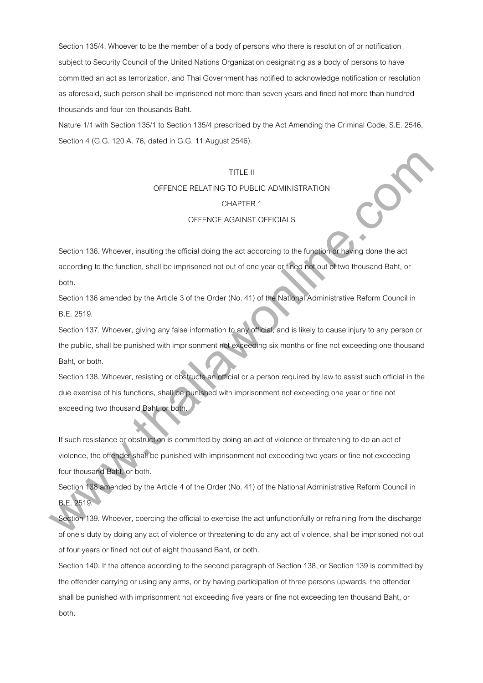Section 135/4. Whoever to be the member of a body of persons who there is resolution of or notification subject to Security Council of the United Nations Organization designating as a body of persons to have committed an act as terrorization, and Thai Government has notified to acknowledge notification or resolution as aforesaid, such person shall be imprisoned not more than seven years and fined not more than hundred thousands and four ten thousands Baht.

Nature 1/1 with Section 135/1 to Section 135/4 prescribed by the Act Amending the Criminal Code, S.E. 2546, Section 4 (G.G. 120 A. 76, dated in G.G. 11 August 2546).

# TITLE II

# OFFENCE RELATING TO PUBLIC ADMINISTRATION

## CHAPTER 1

## OFFENCE AGAINST OFFICIALS

Section 136. Whoever, insulting the official doing the act according to the function or having done the act according to the function, shall be imprisoned not out of one year or fined not out of two thousand Baht, or both.

Section 136 amended by the Article 3 of the Order (No. 41) of the National Administrative Reform Council in B.E. 2519.

Section 137. Whoever, giving any false information to any official, and is likely to cause injury to any person or the public, shall be punished with imprisonment not exceeding six months or fine not exceeding one thousand Baht, or both.

Section 138. Whoever, resisting or obstructs an official or a person required by law to assist such official in the due exercise of his functions, shall be punished with imprisonment not exceeding one year or fine not exceeding two thousand Baht, or both. TITLE II<br>
OFFENCE RELATING TO PUBLIC ADMINISTRATION<br>
CHAPTER 1<br>
OFFENCE ASAINST OFFICIALS<br>
Section 136. Whoever, insulting the othical doing the act according to the lunglion section<br>
section 136. Whose writing the interme

If such resistance or obstruction is committed by doing an act of violence or threatening to do an act of violence, the offender shall be punished with imprisonment not exceeding two years or fine not exceeding four thousand Baht, or both.

Section 138 amended by the Article 4 of the Order (No. 41) of the National Administrative Reform Council in B.E. 2519.

Section 139. Whoever, coercing the official to exercise the act unfunctionfully or refraining from the discharge of one's duty by doing any act of violence or threatening to do any act of violence, shall be imprisoned not out of four years or fined not out of eight thousand Baht, or both.

Section 140. If the offence according to the second paragraph of Section 138, or Section 139 is committed by the offender carrying or using any arms, or by having participation of three persons upwards, the offender shall be punished with imprisonment not exceeding five years or fine not exceeding ten thousand Baht, or both.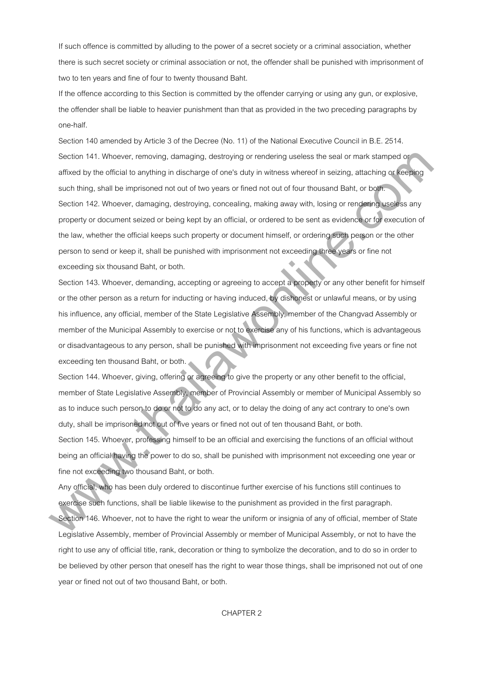If such offence is committed by alluding to the power of a secret society or a criminal association, whether there is such secret society or criminal association or not, the offender shall be punished with imprisonment of two to ten years and fine of four to twenty thousand Baht.

If the offence according to this Section is committed by the offender carrying or using any gun, or explosive, the offender shall be liable to heavier punishment than that as provided in the two preceding paragraphs by one-half.

Section 140 amended by Article 3 of the Decree (No. 11) of the National Executive Council in B.E. 2514. Section 141. Whoever, removing, damaging, destroying or rendering useless the seal or mark stamped or affixed by the official to anything in discharge of one's duty in witness whereof in seizing, attaching or keeping such thing, shall be imprisoned not out of two years or fined not out of four thousand Baht, or both. Section 142. Whoever, damaging, destroying, concealing, making away with, losing or rendering useless any property or document seized or being kept by an official, or ordered to be sent as evidence or for execution of the law, whether the official keeps such property or document himself, or ordering such person or the other person to send or keep it, shall be punished with imprisonment not exceeding three years or fine not exceeding six thousand Baht, or both. Sinction 141, Whowever, removing, damaging, distinctying or mindining useless the seal or mark stamped or arist and the phonon of mark stamped or arist damaging. Interaction is the particle of the stamps of the stamps of t

Section 143. Whoever, demanding, accepting or agreeing to accept a property or any other benefit for himself or the other person as a return for inducting or having induced, by dishonest or unlawful means, or by using his influence, any official, member of the State Legislative Assembly, member of the Changvad Assembly or member of the Municipal Assembly to exercise or not to exercise any of his functions, which is advantageous or disadvantageous to any person, shall be punished with imprisonment not exceeding five years or fine not exceeding ten thousand Baht, or both.

Section 144. Whoever, giving, offering or agreeing to give the property or any other benefit to the official, member of State Legislative Assembly, member of Provincial Assembly or member of Municipal Assembly so as to induce such person to do or not to do any act, or to delay the doing of any act contrary to one's own duty, shall be imprisoned not out of five years or fined not out of ten thousand Baht, or both. Section 145. Whoever, professing himself to be an official and exercising the functions of an official without being an official having the power to do so, shall be punished with imprisonment not exceeding one year or

fine not exceeding two thousand Baht, or both.

Any official, who has been duly ordered to discontinue further exercise of his functions still continues to exercise such functions, shall be liable likewise to the punishment as provided in the first paragraph.

Section 146. Whoever, not to have the right to wear the uniform or insignia of any of official, member of State Legislative Assembly, member of Provincial Assembly or member of Municipal Assembly, or not to have the right to use any of official title, rank, decoration or thing to symbolize the decoration, and to do so in order to be believed by other person that oneself has the right to wear those things, shall be imprisoned not out of one year or fined not out of two thousand Baht, or both.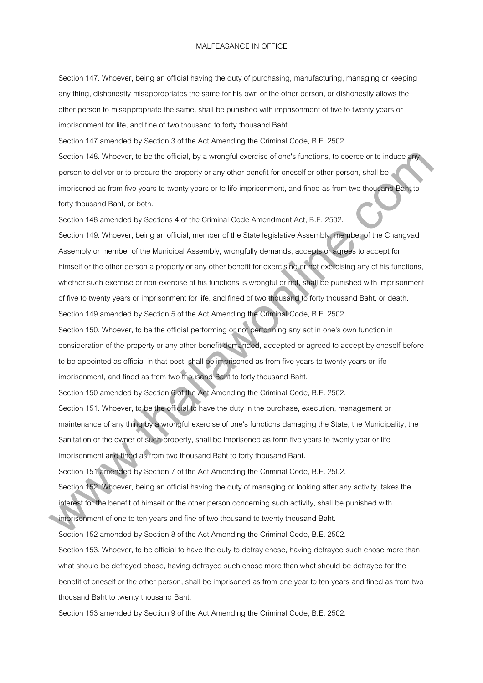#### MALFEASANCE IN OFFICE

Section 147. Whoever, being an official having the duty of purchasing, manufacturing, managing or keeping any thing, dishonestly misappropriates the same for his own or the other person, or dishonestly allows the other person to misappropriate the same, shall be punished with imprisonment of five to twenty years or imprisonment for life, and fine of two thousand to forty thousand Baht.

Section 147 amended by Section 3 of the Act Amending the Criminal Code, B.E. 2502.

Section 148. Whoever, to be the official, by a wrongful exercise of one's functions, to coerce or to induce any person to deliver or to procure the property or any other benefit for oneself or other person, shall be imprisoned as from five years to twenty years or to life imprisonment, and fined as from two thousand Baht to forty thousand Baht, or both.

Section 148 amended by Sections 4 of the Criminal Code Amendment Act, B.E. 2502.

Section 149. Whoever, being an official, member of the State legislative Assembly, member of the Changvad Assembly or member of the Municipal Assembly, wrongfully demands, accepts or agrees to accept for himself or the other person a property or any other benefit for exercising or not exercising any of his functions, whether such exercise or non-exercise of his functions is wrongful or not, shall be punished with imprisonment of five to twenty years or imprisonment for life, and fined of two thousand to forty thousand Baht, or death. Section 149 amended by Section 5 of the Act Amending the Criminal Code, B.E. 2502. Section 148. Whoewer, to be the ofticial, by a womplut exercise of oncis functions, to coarce or to induce any<br>person to deliver an tap modern to property or any other tenelit for consell an other person, shell be<br>three fo

Section 150. Whoever, to be the official performing or not performing any act in one's own function in consideration of the property or any other benefit demanded, accepted or agreed to accept by oneself before to be appointed as official in that post, shall be imprisoned as from five years to twenty years or life imprisonment, and fined as from two thousand Baht to forty thousand Baht.

Section 150 amended by Section 6 of the Act Amending the Criminal Code, B.E. 2502.

Section 151. Whoever, to be the official to have the duty in the purchase, execution, management or maintenance of any thing by a wrongful exercise of one's functions damaging the State, the Municipality, the Sanitation or the owner of such property, shall be imprisoned as form five years to twenty year or life imprisonment and fined as from two thousand Baht to forty thousand Baht.

Section 151 amended by Section 7 of the Act Amending the Criminal Code, B.E. 2502.

Section 152. Whoever, being an official having the duty of managing or looking after any activity, takes the interest for the benefit of himself or the other person concerning such activity, shall be punished with

imprisonment of one to ten years and fine of two thousand to twenty thousand Baht.

Section 152 amended by Section 8 of the Act Amending the Criminal Code, B.E. 2502.

Section 153. Whoever, to be official to have the duty to defray chose, having defrayed such chose more than what should be defrayed chose, having defrayed such chose more than what should be defrayed for the benefit of oneself or the other person, shall be imprisoned as from one year to ten years and fined as from two thousand Baht to twenty thousand Baht.

Section 153 amended by Section 9 of the Act Amending the Criminal Code, B.E. 2502.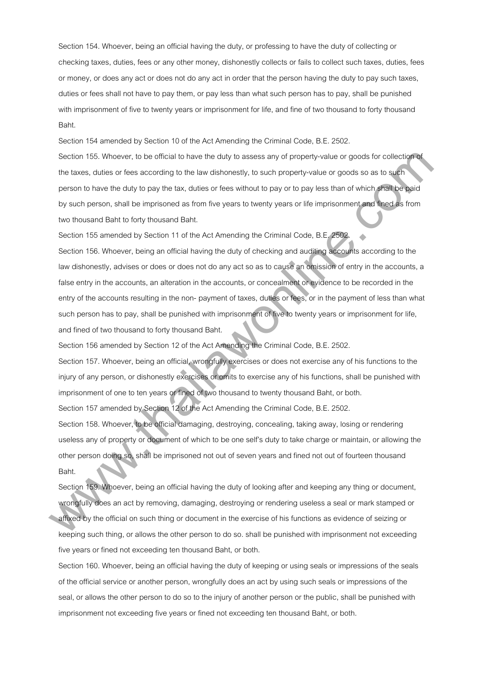Section 154. Whoever, being an official having the duty, or professing to have the duty of collecting or checking taxes, duties, fees or any other money, dishonestly collects or fails to collect such taxes, duties, fees or money, or does any act or does not do any act in order that the person having the duty to pay such taxes, duties or fees shall not have to pay them, or pay less than what such person has to pay, shall be punished with imprisonment of five to twenty years or imprisonment for life, and fine of two thousand to forty thousand Baht.

Section 154 amended by Section 10 of the Act Amending the Criminal Code, B.E. 2502.

Section 155. Whoever, to be official to have the duty to assess any of property-value or goods for collection of the taxes, duties or fees according to the law dishonestly, to such property-value or goods so as to such person to have the duty to pay the tax, duties or fees without to pay or to pay less than of which shall be paid by such person, shall be imprisoned as from five years to twenty years or life imprisonment and fined as from two thousand Baht to forty thousand Baht.

Section 155 amended by Section 11 of the Act Amending the Criminal Code, B.E. 2502.

Section 156. Whoever, being an official having the duty of checking and auditing accounts according to the law dishonestly, advises or does or does not do any act so as to cause an omission of entry in the accounts, a false entry in the accounts, an alteration in the accounts, or concealment or evidence to be recorded in the entry of the accounts resulting in the non- payment of taxes, duties or fees, or in the payment of less than what such person has to pay, shall be punished with imprisonment of five to twenty years or imprisonment for life, and fined of two thousand to forty thousand Baht. Sinction 155. Whowever, to be official to have the day to assess any of property-value or goods for collections<br>the tasse, duline or less according to the law dishensels), to such property-value or goods for collections<br>th

Section 156 amended by Section 12 of the Act Amending the Criminal Code, B.E. 2502.

Section 157. Whoever, being an official, wrongfully exercises or does not exercise any of his functions to the injury of any person, or dishonestly exercises or omits to exercise any of his functions, shall be punished with imprisonment of one to ten years or fined of two thousand to twenty thousand Baht, or both.

Section 157 amended by Section 12 of the Act Amending the Criminal Code, B.E. 2502.

Section 158. Whoever, to be official damaging, destroying, concealing, taking away, losing or rendering useless any of property or document of which to be one self's duty to take charge or maintain, or allowing the other person doing so, shall be imprisoned not out of seven years and fined not out of fourteen thousand Baht.

Section 159. Whoever, being an official having the duty of looking after and keeping any thing or document, wrongfully does an act by removing, damaging, destroying or rendering useless a seal or mark stamped or affixed by the official on such thing or document in the exercise of his functions as evidence of seizing or keeping such thing, or allows the other person to do so. shall be punished with imprisonment not exceeding five years or fined not exceeding ten thousand Baht, or both.

Section 160. Whoever, being an official having the duty of keeping or using seals or impressions of the seals of the official service or another person, wrongfully does an act by using such seals or impressions of the seal, or allows the other person to do so to the injury of another person or the public, shall be punished with imprisonment not exceeding five years or fined not exceeding ten thousand Baht, or both.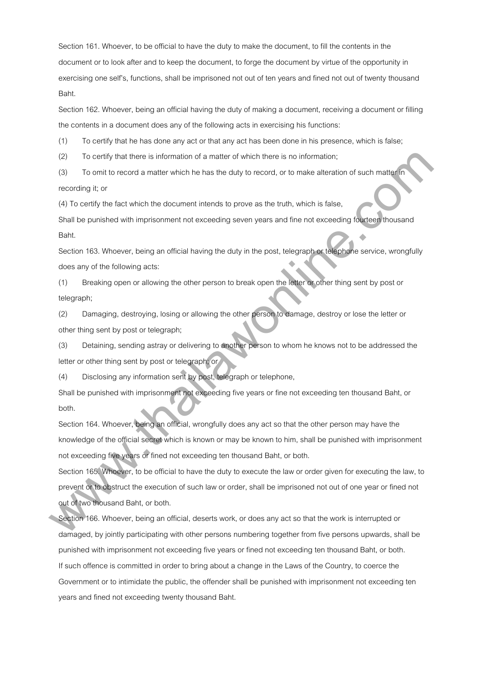Section 161. Whoever, to be official to have the duty to make the document, to fill the contents in the document or to look after and to keep the document, to forge the document by virtue of the opportunity in exercising one self's, functions, shall be imprisoned not out of ten years and fined not out of twenty thousand Baht.

Section 162. Whoever, being an official having the duty of making a document, receiving a document or filling the contents in a document does any of the following acts in exercising his functions:

(1) To certify that he has done any act or that any act has been done in his presence, which is false;

(2) To certify that there is information of a matter of which there is no information;

(3) To omit to record a matter which he has the duty to record, or to make alteration of such matter in recording it; or

(4) To certify the fact which the document intends to prove as the truth, which is false,

Shall be punished with imprisonment not exceeding seven years and fine not exceeding fourteen thousand Baht.

Section 163. Whoever, being an official having the duty in the post, telegraph or telephone service, wrongfully does any of the following acts:

(1) Breaking open or allowing the other person to break open the letter or other thing sent by post or telegraph;

(2) Damaging, destroying, losing or allowing the other person to damage, destroy or lose the letter or other thing sent by post or telegraph;

(3) Detaining, sending astray or delivering to another person to whom he knows not to be addressed the letter or other thing sent by post or telegraph; or

(4) Disclosing any information sent by post, telegraph or telephone,

Shall be punished with imprisonment not exceeding five years or fine not exceeding ten thousand Baht, or both.

Section 164. Whoever, being an official, wrongfully does any act so that the other person may have the knowledge of the official secret which is known or may be known to him, shall be punished with imprisonment not exceeding five years or fined not exceeding ten thousand Baht, or both.

Section 165. Whoever, to be official to have the duty to execute the law or order given for executing the law, to prevent or to obstruct the execution of such law or order, shall be imprisoned not out of one year or fined not out of two thousand Baht, or both. (2) To contig that there is information of a matter of which there is no information;<br>
(3) To contribute osciol a matter which he has the duty to record, or to make atternation of such matter<br>
(4) To certify the fact which

Section 166. Whoever, being an official, deserts work, or does any act so that the work is interrupted or damaged, by jointly participating with other persons numbering together from five persons upwards, shall be punished with imprisonment not exceeding five years or fined not exceeding ten thousand Baht, or both. If such offence is committed in order to bring about a change in the Laws of the Country, to coerce the Government or to intimidate the public, the offender shall be punished with imprisonment not exceeding ten years and fined not exceeding twenty thousand Baht.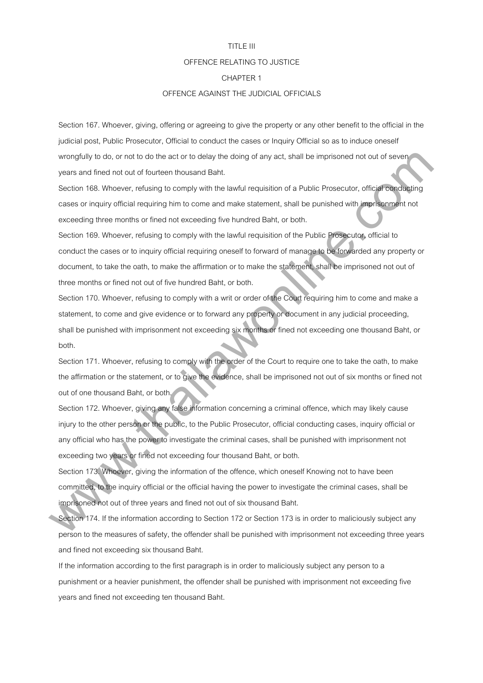#### TITLE III

#### OFFENCE RELATING TO JUSTICE

# CHAPTER 1

# OFFENCE AGAINST THE JUDICIAL OFFICIALS

Section 167. Whoever, giving, offering or agreeing to give the property or any other benefit to the official in the judicial post, Public Prosecutor, Official to conduct the cases or Inquiry Official so as to induce oneself wrongfully to do, or not to do the act or to delay the doing of any act, shall be imprisoned not out of seven years and fined not out of fourteen thousand Baht.

Section 168. Whoever, refusing to comply with the lawful requisition of a Public Prosecutor, official conducting cases or inquiry official requiring him to come and make statement, shall be punished with imprisonment not exceeding three months or fined not exceeding five hundred Baht, or both.

Section 169. Whoever, refusing to comply with the lawful requisition of the Public Prosecutor, official to conduct the cases or to inquiry official requiring oneself to forward of manage to be forwarded any property or document, to take the oath, to make the affirmation or to make the statement, shall be imprisoned not out of three months or fined not out of five hundred Baht, or both. wrongtuily to sta, ar not to do the act or til delay the doing of any act, shall be imprisoned nut to do severy<br>years and finder nat out of thurders thoseand Baht.<br>Consider a complete the state of the state of the state of

Section 170. Whoever, refusing to comply with a writ or order of the Court requiring him to come and make a statement, to come and give evidence or to forward any property or document in any judicial proceeding, shall be punished with imprisonment not exceeding six months or fined not exceeding one thousand Baht, or both.

Section 171. Whoever, refusing to comply with the order of the Court to require one to take the oath, to make the affirmation or the statement, or to give the evidence, shall be imprisoned not out of six months or fined not out of one thousand Baht, or both.

Section 172. Whoever, giving any false information concerning a criminal offence, which may likely cause injury to the other person or the public, to the Public Prosecutor, official conducting cases, inquiry official or any official who has the power to investigate the criminal cases, shall be punished with imprisonment not exceeding two years or fined not exceeding four thousand Baht, or both.

Section 173. Whoever, giving the information of the offence, which oneself Knowing not to have been committed, to the inquiry official or the official having the power to investigate the criminal cases, shall be imprisoned not out of three years and fined not out of six thousand Baht.

Section 174. If the information according to Section 172 or Section 173 is in order to maliciously subject any person to the measures of safety, the offender shall be punished with imprisonment not exceeding three years and fined not exceeding six thousand Baht.

If the information according to the first paragraph is in order to maliciously subject any person to a punishment or a heavier punishment, the offender shall be punished with imprisonment not exceeding five years and fined not exceeding ten thousand Baht.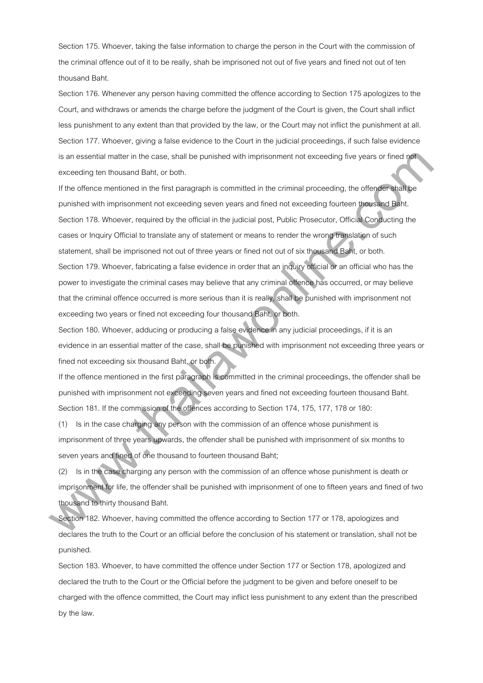Section 175. Whoever, taking the false information to charge the person in the Court with the commission of the criminal offence out of it to be really, shah be imprisoned not out of five years and fined not out of ten thousand Baht.

Section 176. Whenever any person having committed the offence according to Section 175 apologizes to the Court, and withdraws or amends the charge before the judgment of the Court is given, the Court shall inflict less punishment to any extent than that provided by the law, or the Court may not inflict the punishment at all. Section 177. Whoever, giving a false evidence to the Court in the judicial proceedings, if such false evidence is an essential matter in the case, shall be punished with imprisonment not exceeding five years or fined not exceeding ten thousand Baht, or both.

If the offence mentioned in the first paragraph is committed in the criminal proceeding, the offender shall be punished with imprisonment not exceeding seven years and fined not exceeding fourteen thousand Baht. Section 178. Whoever, required by the official in the judicial post, Public Prosecutor, Official Conducting the cases or Inquiry Official to translate any of statement or means to render the wrong translation of such statement, shall be imprisoned not out of three years or fined not out of six thousand Baht, or both. Section 179. Whoever, fabricating a false evidence in order that an inquiry official or an official who has the power to investigate the criminal cases may believe that any criminal offence has occurred, or may believe that the criminal offence occurred is more serious than it is really, shall be punished with imprisonment not exceeding two years or fined not exceeding four thousand Baht, or both. is an essential matter in the case, shall be punished with imprisonment not associate for eigenvential and associate the membership of the offendal station of the difference of the membership in the chinari Bank, or but t

Section 180. Whoever, adducing or producing a false evidence in any judicial proceedings, if it is an evidence in an essential matter of the case, shall be punished with imprisonment not exceeding three years or fined not exceeding six thousand Baht, or both.

If the offence mentioned in the first paragraph is committed in the criminal proceedings, the offender shall be punished with imprisonment not exceeding seven years and fined not exceeding fourteen thousand Baht. Section 181. If the commission of the offences according to Section 174, 175, 177, 178 or 180:

(1) Is in the case charging any person with the commission of an offence whose punishment is imprisonment of three years upwards, the offender shall be punished with imprisonment of six months to seven years and fined of one thousand to fourteen thousand Baht;

(2) Is in the case charging any person with the commission of an offence whose punishment is death or imprisonment for life, the offender shall be punished with imprisonment of one to fifteen years and fined of two thousand to thirty thousand Baht.

Section 182. Whoever, having committed the offence according to Section 177 or 178, apologizes and declares the truth to the Court or an official before the conclusion of his statement or translation, shall not be punished.

Section 183. Whoever, to have committed the offence under Section 177 or Section 178, apologized and declared the truth to the Court or the Official before the judgment to be given and before oneself to be charged with the offence committed, the Court may inflict less punishment to any extent than the prescribed by the law.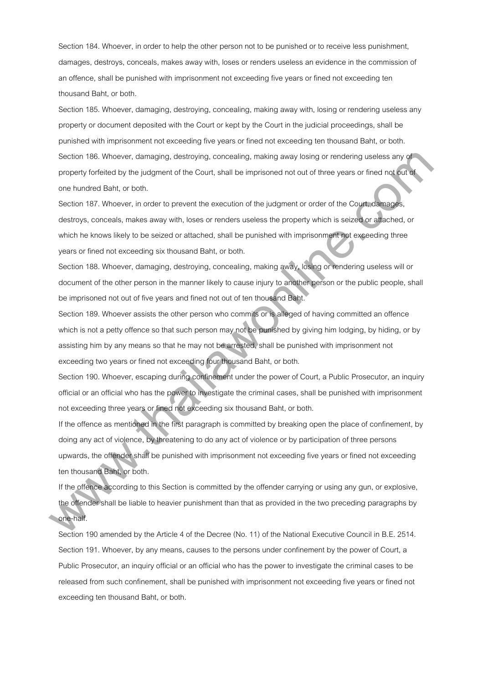Section 184. Whoever, in order to help the other person not to be punished or to receive less punishment, damages, destroys, conceals, makes away with, loses or renders useless an evidence in the commission of an offence, shall be punished with imprisonment not exceeding five years or fined not exceeding ten thousand Baht, or both.

Section 185. Whoever, damaging, destroying, concealing, making away with, losing or rendering useless any property or document deposited with the Court or kept by the Court in the judicial proceedings, shall be punished with imprisonment not exceeding five years or fined not exceeding ten thousand Baht, or both. Section 186. Whoever, damaging, destroying, concealing, making away losing or rendering useless any of property forfeited by the judgment of the Court, shall be imprisoned not out of three years or fined not out of one hundred Baht, or both.

Section 187. Whoever, in order to prevent the execution of the judgment or order of the Court, damages, destroys, conceals, makes away with, loses or renders useless the property which is seized or attached, or which he knows likely to be seized or attached, shall be punished with imprisonment not exceeding three years or fined not exceeding six thousand Baht, or both.

Section 188. Whoever, damaging, destroying, concealing, making away, losing or rendering useless will or document of the other person in the manner likely to cause injury to another person or the public people, shall be imprisoned not out of five years and fined not out of ten thousand Baht.

Section 189. Whoever assists the other person who commits or is alleged of having committed an offence which is not a petty offence so that such person may not be punished by giving him lodging, by hiding, or by assisting him by any means so that he may not be arrested, shall be punished with imprisonment not exceeding two years or fined not exceeding four thousand Baht, or both. Saccian 186. Whowever, duringing, destroying, concessing, making away losing or rendering ussiless any of<br>property idrivided by the independent of the Cauri, attail be imprisoned not cult of three years or lined not<br>away f

Section 190. Whoever, escaping during confinement under the power of Court, a Public Prosecutor, an inquiry official or an official who has the power to investigate the criminal cases, shall be punished with imprisonment not exceeding three years or fined not exceeding six thousand Baht, or both.

If the offence as mentioned in the first paragraph is committed by breaking open the place of confinement, by doing any act of violence, by threatening to do any act of violence or by participation of three persons upwards, the offender shall be punished with imprisonment not exceeding five years or fined not exceeding ten thousand Baht, or both.

If the offence according to this Section is committed by the offender carrying or using any gun, or explosive, the offender shall be liable to heavier punishment than that as provided in the two preceding paragraphs by one-half.

Section 190 amended by the Article 4 of the Decree (No. 11) of the National Executive Council in B.E. 2514. Section 191. Whoever, by any means, causes to the persons under confinement by the power of Court, a Public Prosecutor, an inquiry official or an official who has the power to investigate the criminal cases to be released from such confinement, shall be punished with imprisonment not exceeding five years or fined not exceeding ten thousand Baht, or both.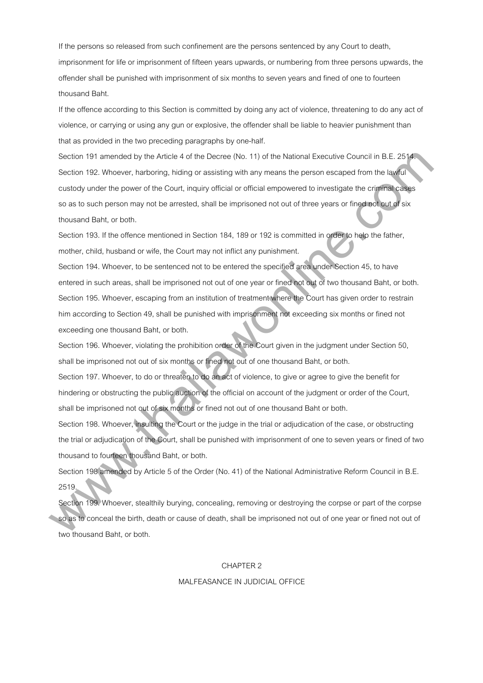If the persons so released from such confinement are the persons sentenced by any Court to death, imprisonment for life or imprisonment of fifteen years upwards, or numbering from three persons upwards, the offender shall be punished with imprisonment of six months to seven years and fined of one to fourteen thousand Baht.

If the offence according to this Section is committed by doing any act of violence, threatening to do any act of violence, or carrying or using any gun or explosive, the offender shall be liable to heavier punishment than that as provided in the two preceding paragraphs by one-half.

Section 191 amended by the Article 4 of the Decree (No. 11) of the National Executive Council in B.E. 2514. Section 192. Whoever, harboring, hiding or assisting with any means the person escaped from the lawful custody under the power of the Court, inquiry official or official empowered to investigate the criminal cases so as to such person may not be arrested, shall be imprisoned not out of three years or fined not out of six thousand Baht, or both. Siaction 191 simended by the Article 4 of this Decree (No. 11) of the National Factorize Council in R.F. 2614<br>Section 192. Where we have frequency histing or assisting with any means the parson example from the lability<br>co

Section 193. If the offence mentioned in Section 184, 189 or 192 is committed in order to help the father, mother, child, husband or wife, the Court may not inflict any punishment.

Section 194. Whoever, to be sentenced not to be entered the specified area under Section 45, to have entered in such areas, shall be imprisoned not out of one year or fined not out of two thousand Baht, or both. Section 195. Whoever, escaping from an institution of treatment where the Court has given order to restrain him according to Section 49, shall be punished with imprisonment not exceeding six months or fined not exceeding one thousand Baht, or both.

Section 196. Whoever, violating the prohibition order of the Court given in the judgment under Section 50, shall be imprisoned not out of six months or fined not out of one thousand Baht, or both.

Section 197. Whoever, to do or threaten to do an act of violence, to give or agree to give the benefit for hindering or obstructing the public auction of the official on account of the judgment or order of the Court, shall be imprisoned not out of six months or fined not out of one thousand Baht or both.

Section 198. Whoever, insulting the Court or the judge in the trial or adjudication of the case, or obstructing the trial or adjudication of the Court, shall be punished with imprisonment of one to seven years or fined of two thousand to fourteen thousand Baht, or both.

Section 198 amended by Article 5 of the Order (No. 41) of the National Administrative Reform Council in B.E. 2519.

Section 199. Whoever, stealthily burying, concealing, removing or destroying the corpse or part of the corpse so as to conceal the birth, death or cause of death, shall be imprisoned not out of one year or fined not out of two thousand Baht, or both.

#### CHAPTER 2

# MALFEASANCE IN JUDICIAL OFFICE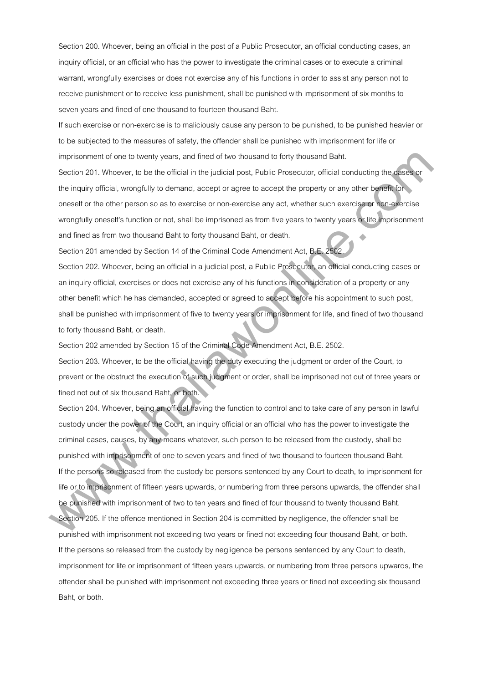Section 200. Whoever, being an official in the post of a Public Prosecutor, an official conducting cases, an inquiry official, or an official who has the power to investigate the criminal cases or to execute a criminal warrant, wrongfully exercises or does not exercise any of his functions in order to assist any person not to receive punishment or to receive less punishment, shall be punished with imprisonment of six months to seven years and fined of one thousand to fourteen thousand Baht.

If such exercise or non-exercise is to maliciously cause any person to be punished, to be punished heavier or to be subjected to the measures of safety, the offender shall be punished with imprisonment for life or imprisonment of one to twenty years, and fined of two thousand to forty thousand Baht.

Section 201. Whoever, to be the official in the judicial post, Public Prosecutor, official conducting the cases or the inquiry official, wrongfully to demand, accept or agree to accept the property or any other benefit for oneself or the other person so as to exercise or non-exercise any act, whether such exercise or non-exercise wrongfully oneself's function or not, shall be imprisoned as from five years to twenty years or life imprisonment and fined as from two thousand Baht to forty thousand Baht, or death.

Section 201 amended by Section 14 of the Criminal Code Amendment Act, B.E. 2502.

Section 202. Whoever, being an official in a judicial post, a Public Prosecutor, an official conducting cases or an inquiry official, exercises or does not exercise any of his functions in consideration of a property or any other benefit which he has demanded, accepted or agreed to accept before his appointment to such post, shall be punished with imprisonment of five to twenty years or imprisonment for life, and fined of two thousand to forty thousand Baht, or death.

Section 202 amended by Section 15 of the Criminal Code Amendment Act, B.E. 2502.

Section 203. Whoever, to be the official having the duty executing the judgment or order of the Court, to prevent or the obstruct the execution of such judgment or order, shall be imprisoned not out of three years or fined not out of six thousand Baht, or both.

Section 204. Whoever, being an official having the function to control and to take care of any person in lawful custody under the power of the Court, an inquiry official or an official who has the power to investigate the criminal cases, causes, by any means whatever, such person to be released from the custody, shall be punished with imprisonment of one to seven years and fined of two thousand to fourteen thousand Baht. If the persons so released from the custody be persons sentenced by any Court to death, to imprisonment for life or to imprisonment of fifteen years upwards, or numbering from three persons upwards, the offender shall be punished with imprisonment of two to ten years and fined of four thousand to twenty thousand Baht. imprisonment of one to twenty years, and lined of two Insussend to lonly these<br>antiting that securing the stress of the the collision is the procedure of the procession, othical conducting the present<br>one-of the computery

Section 205. If the offence mentioned in Section 204 is committed by negligence, the offender shall be punished with imprisonment not exceeding two years or fined not exceeding four thousand Baht, or both. If the persons so released from the custody by negligence be persons sentenced by any Court to death, imprisonment for life or imprisonment of fifteen years upwards, or numbering from three persons upwards, the offender shall be punished with imprisonment not exceeding three years or fined not exceeding six thousand Baht, or both.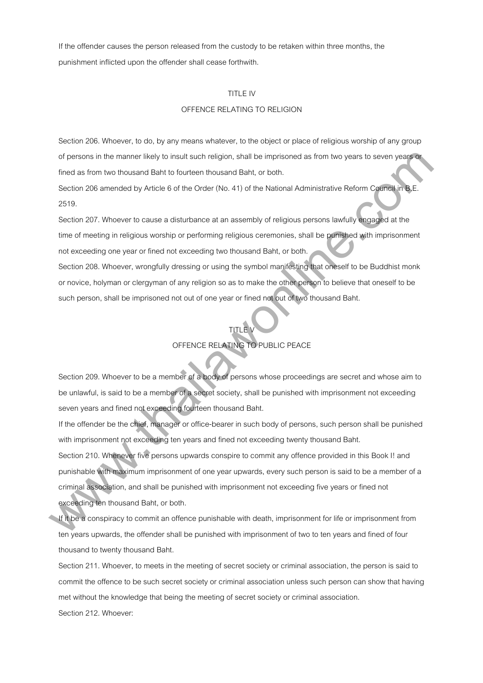If the offender causes the person released from the custody to be retaken within three months, the punishment inflicted upon the offender shall cease forthwith.

# TITLE IV

# OFFENCE RELATING TO RELIGION

Section 206. Whoever, to do, by any means whatever, to the object or place of religious worship of any group of persons in the manner likely to insult such religion, shall be imprisoned as from two years to seven years or fined as from two thousand Baht to fourteen thousand Baht, or both.

Section 206 amended by Article 6 of the Order (No. 41) of the National Administrative Reform Council in B.E. 2519.

Section 207. Whoever to cause a disturbance at an assembly of religious persons lawfully engaged at the time of meeting in religious worship or performing religious ceremonies, shall be punished with imprisonment not exceeding one year or fined not exceeding two thousand Baht, or both.

Section 208. Whoever, wrongfully dressing or using the symbol manifesting that oneself to be Buddhist monk or novice, holyman or clergyman of any religion so as to make the other person to believe that oneself to be such person, shall be imprisoned not out of one year or fined not out of two thousand Baht.

# TITLE V OFFENCE RELATING TO PUBLIC PEACE

Section 209. Whoever to be a member of a body of persons whose proceedings are secret and whose aim to be unlawful, is said to be a member of a secret society, shall be punished with imprisonment not exceeding seven years and fined not exceeding fourteen thousand Baht.

If the offender be the chief, manager or office-bearer in such body of persons, such person shall be punished with imprisonment not exceeding ten years and fined not exceeding twenty thousand Baht. Section 210. Whenever five persons upwards conspire to commit any offence provided in this Book I! and punishable with maximum imprisonment of one year upwards, every such person is said to be a member of a criminal association, and shall be punished with imprisonment not exceeding five years or fined not exceeding ten thousand Baht, or both. of persons in the manner likely to insult such neiglen, shall be impresened as from two years to severi years<br>Insel as hom to should find to tourise of the Order (No. 41) of the Nadional Administrative Reform Cyannel integ

If it be a conspiracy to commit an offence punishable with death, imprisonment for life or imprisonment from ten years upwards, the offender shall be punished with imprisonment of two to ten years and fined of four thousand to twenty thousand Baht.

Section 211. Whoever, to meets in the meeting of secret society or criminal association, the person is said to commit the offence to be such secret society or criminal association unless such person can show that having met without the knowledge that being the meeting of secret society or criminal association. Section 212. Whoever: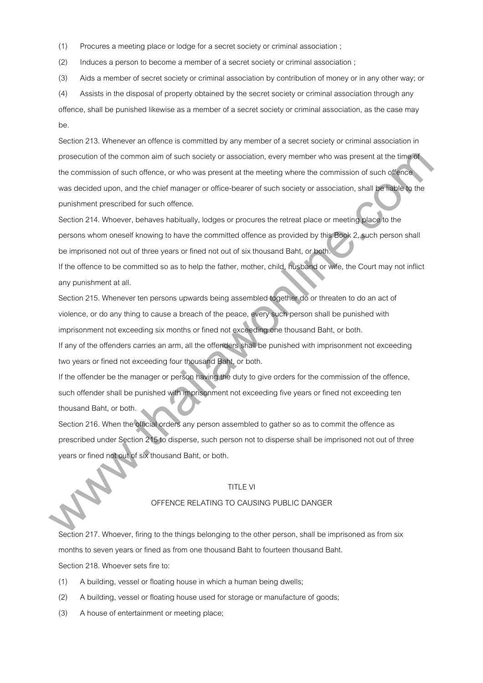(1) Procures a meeting place or lodge for a secret society or criminal association ;

(2) Induces a person to become a member of a secret society or criminal association ;

(3) Aids a member of secret society or criminal association by contribution of money or in any other way; or

(4) Assists in the disposal of property obtained by the secret society or criminal association through any

offence, shall be punished likewise as a member of a secret society or criminal association, as the case may be.

Section 213. Whenever an offence is committed by any member of a secret society or criminal association in prosecution of the common aim of such society or association, every member who was present at the time of the commission of such offence, or who was present at the meeting where the commission of such offence was decided upon, and the chief manager or office-bearer of such society or association, shall be liable to the punishment prescribed for such offence. proseculate at the common sim at such society or association, every member who was present at the firm<br>the commission at such altimate, or who was present at the meeting where the commission of such clience<br>we decided upot

Section 214. Whoever, behaves habitually, lodges or procures the retreat place or meeting place to the persons whom oneself knowing to have the committed offence as provided by this Book 2, such person shall be imprisoned not out of three years or fined not out of six thousand Baht, or both.

If the offence to be committed so as to help the father, mother, child, husband or wife, the Court may not inflict any punishment at all.

Section 215. Whenever ten persons upwards being assembled together do or threaten to do an act of violence, or do any thing to cause a breach of the peace, every such person shall be punished with imprisonment not exceeding six months or fined not exceeding one thousand Baht, or both.

If any of the offenders carries an arm, all the offenders shall be punished with imprisonment not exceeding two years or fined not exceeding four thousand Baht, or both.

If the offender be the manager or person having the duty to give orders for the commission of the offence, such offender shall be punished with imprisonment not exceeding five years or fined not exceeding ten thousand Baht, or both.

Section 216. When the official orders any person assembled to gather so as to commit the offence as prescribed under Section 215 to disperse, such person not to disperse shall be imprisoned not out of three years or fined not out of six thousand Baht, or both.

#### TITLE VI

# OFFENCE RELATING TO CAUSING PUBLIC DANGER

Section 217. Whoever, firing to the things belonging to the other person, shall be imprisoned as from six months to seven years or fined as from one thousand Baht to fourteen thousand Baht. Section 218. Whoever sets fire to:

- (1) A building, vessel or floating house in which a human being dwells;
- (2) A building, vessel or floating house used for storage or manufacture of goods;
- (3) A house of entertainment or meeting place;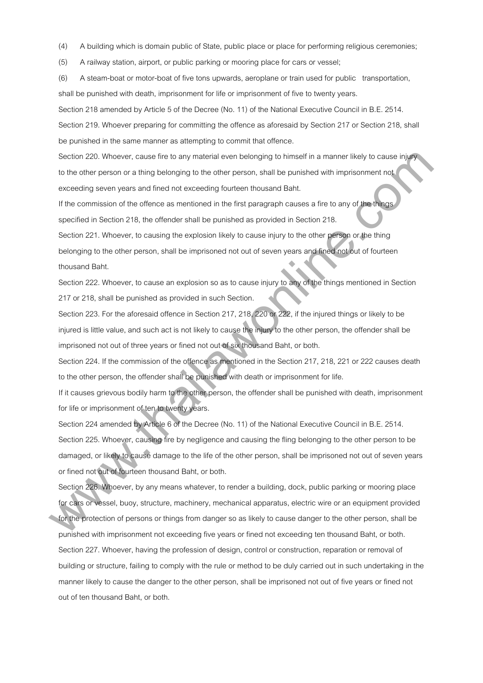(4) A building which is domain public of State, public place or place for performing religious ceremonies;

(5) A railway station, airport, or public parking or mooring place for cars or vessel;

(6) A steam-boat or motor-boat of five tons upwards, aeroplane or train used for public transportation, shall be punished with death, imprisonment for life or imprisonment of five to twenty years.

Section 218 amended by Article 5 of the Decree (No. 11) of the National Executive Council in B.E. 2514.

Section 219. Whoever preparing for committing the offence as aforesaid by Section 217 or Section 218, shall be punished in the same manner as attempting to commit that offence.

Section 220. Whoever, cause fire to any material even belonging to himself in a manner likely to cause injury to the other person or a thing belonging to the other person, shall be punished with imprisonment not exceeding seven years and fined not exceeding fourteen thousand Baht.

If the commission of the offence as mentioned in the first paragraph causes a fire to any of the things specified in Section 218, the offender shall be punished as provided in Section 218.

Section 221. Whoever, to causing the explosion likely to cause injury to the other person or the thing belonging to the other person, shall be imprisoned not out of seven years and fined not out of fourteen thousand Baht.

Section 222. Whoever, to cause an explosion so as to cause injury to any of the things mentioned in Section 217 or 218, shall be punished as provided in such Section.

Section 223. For the aforesaid offence in Section 217, 218, 220 or 222, if the injured things or likely to be injured is little value, and such act is not likely to cause the injury to the other person, the offender shall be imprisoned not out of three years or fined not out of six thousand Baht, or both.

Section 224. If the commission of the offence as mentioned in the Section 217, 218, 221 or 222 causes death to the other person, the offender shall be punished with death or imprisonment for life.

If it causes grievous bodily harm to the other person, the offender shall be punished with death, imprisonment for life or imprisonment of ten to twenty years.

Section 224 amended by Article 6 of the Decree (No. 11) of the National Executive Council in B.E. 2514. Section 225. Whoever, causing fire by negligence and causing the fling belonging to the other person to be damaged, or likely to cause damage to the life of the other person, shall be imprisoned not out of seven years or fined not out of fourteen thousand Baht, or both. Sinction 220, Wholewir, cause limito any material even belonging to himsell in a manner likely to cause injertical<br>to the charge more or a linit placing in the tather person, whill the purished with imprisonment red<br>exerci

Section 226. Whoever, by any means whatever, to render a building, dock, public parking or mooring place for cars or vessel, buoy, structure, machinery, mechanical apparatus, electric wire or an equipment provided for the protection of persons or things from danger so as likely to cause danger to the other person, shall be punished with imprisonment not exceeding five years or fined not exceeding ten thousand Baht, or both. Section 227. Whoever, having the profession of design, control or construction, reparation or removal of building or structure, failing to comply with the rule or method to be duly carried out in such undertaking in the manner likely to cause the danger to the other person, shall be imprisoned not out of five years or fined not out of ten thousand Baht, or both.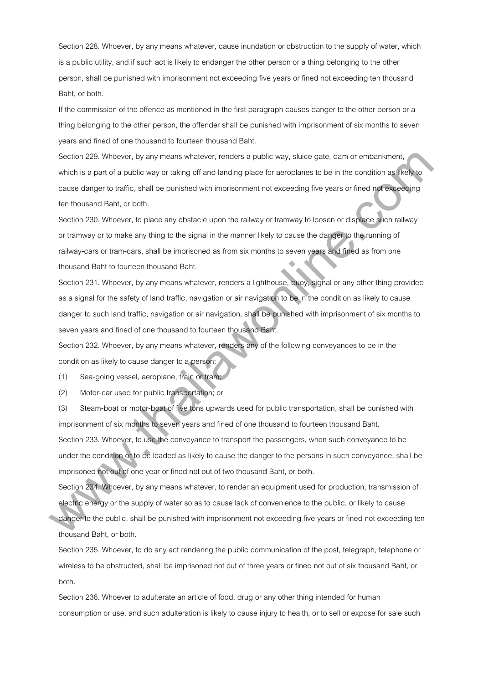Section 228. Whoever, by any means whatever, cause inundation or obstruction to the supply of water, which is a public utility, and if such act is likely to endanger the other person or a thing belonging to the other person, shall be punished with imprisonment not exceeding five years or fined not exceeding ten thousand Baht, or both.

If the commission of the offence as mentioned in the first paragraph causes danger to the other person or a thing belonging to the other person, the offender shall be punished with imprisonment of six months to seven years and fined of one thousand to fourteen thousand Baht.

Section 229. Whoever, by any means whatever, renders a public way, sluice gate, dam or embankment, which is a part of a public way or taking off and landing place for aeroplanes to be in the condition as likely to cause danger to traffic, shall be punished with imprisonment not exceeding five years or fined not exceeding ten thousand Baht, or both.

Section 230. Whoever, to place any obstacle upon the railway or tramway to loosen or displace such railway or tramway or to make any thing to the signal in the manner likely to cause the danger to the running of railway-cars or tram-cars, shall be imprisoned as from six months to seven years and fined as from one thousand Baht to fourteen thousand Baht.

Section 231. Whoever, by any means whatever, renders a lighthouse, buoy, signal or any other thing provided as a signal for the safety of land traffic, navigation or air navigation to be in the condition as likely to cause danger to such land traffic, navigation or air navigation, shall be punished with imprisonment of six months to seven years and fined of one thousand to fourteen thousand Baht.

Section 232. Whoever, by any means whatever, renders any of the following conveyances to be in the condition as likely to cause danger to a person:

(1) Sea-going vessel, aeroplane, train or tram;

(2) Motor-car used for public transportation; or

(3) Steam-boat or motor-boat of five tons upwards used for public transportation, shall be punished with imprisonment of six months to seven years and fined of one thousand to fourteen thousand Baht. Section 233. Whoever, to use the conveyance to transport the passengers, when such conveyance to be under the condition or to be loaded as likely to cause the danger to the persons in such conveyance, shall be imprisoned not out of one year or fined not out of two thousand Baht, or both. Section 229. Whoever, by any means whatever, renders a public way, skicke gain, darm or ambanisment,<br>which is a part all a public way or taking oil and landing place for anothelines to be in the considerable size.<br>We can c

Section 234. Whoever, by any means whatever, to render an equipment used for production, transmission of electric energy or the supply of water so as to cause lack of convenience to the public, or likely to cause danger to the public, shall be punished with imprisonment not exceeding five years or fined not exceeding ten

thousand Baht, or both.

Section 235. Whoever, to do any act rendering the public communication of the post, telegraph, telephone or wireless to be obstructed, shall be imprisoned not out of three years or fined not out of six thousand Baht, or both.

Section 236. Whoever to adulterate an article of food, drug or any other thing intended for human consumption or use, and such adulteration is likely to cause injury to health, or to sell or expose for sale such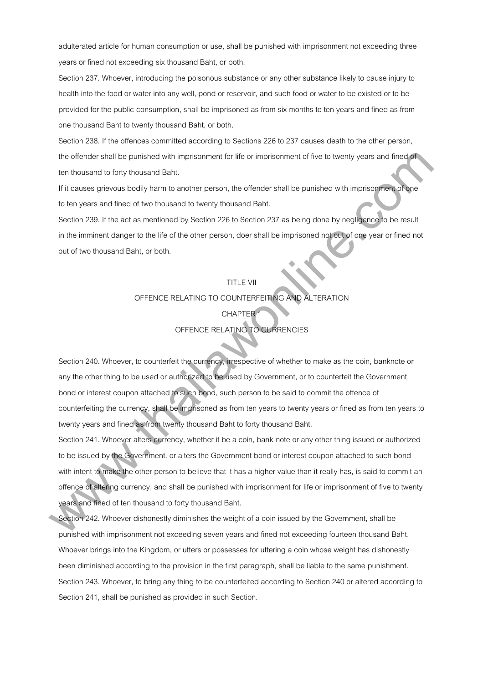adulterated article for human consumption or use, shall be punished with imprisonment not exceeding three years or fined not exceeding six thousand Baht, or both.

Section 237. Whoever, introducing the poisonous substance or any other substance likely to cause injury to health into the food or water into any well, pond or reservoir, and such food or water to be existed or to be provided for the public consumption, shall be imprisoned as from six months to ten years and fined as from one thousand Baht to twenty thousand Baht, or both.

Section 238. If the offences committed according to Sections 226 to 237 causes death to the other person, the offender shall be punished with imprisonment for life or imprisonment of five to twenty years and fined of ten thousand to forty thousand Baht.

If it causes grievous bodily harm to another person, the offender shall be punished with imprisonment of one to ten years and fined of two thousand to twenty thousand Baht.

Section 239. If the act as mentioned by Section 226 to Section 237 as being done by negligence to be result in the imminent danger to the life of the other person, doer shall be imprisoned not out of one year or fined not out of two thousand Baht, or both.

# TITLE VII OFFENCE RELATING TO COUNTERFEITING AND ALTERATION **CHAPTER** OFFENCE RELATING TO CURRENCIES

Section 240. Whoever, to counterfeit the currency, irrespective of whether to make as the coin, banknote or any the other thing to be used or authorized to be used by Government, or to counterfeit the Government bond or interest coupon attached to such bond, such person to be said to commit the offence of counterfeiting the currency, shall be imprisoned as from ten years to twenty years or fined as from ten years to twenty years and fined as from twenty thousand Baht to forty thousand Baht. the otherder shall but punished with imprisonment for Bire or imprisonment for two there is the punished with imprisonment for the punished with imprisonment and the punished with imprisonment and the punished with impriso

Section 241. Whoever alters currency, whether it be a coin, bank-note or any other thing issued or authorized to be issued by the Government. or alters the Government bond or interest coupon attached to such bond with intent to make the other person to believe that it has a higher value than it really has, is said to commit an offence of altering currency, and shall be punished with imprisonment for life or imprisonment of five to twenty years and fined of ten thousand to forty thousand Baht.

Section 242. Whoever dishonestly diminishes the weight of a coin issued by the Government, shall be punished with imprisonment not exceeding seven years and fined not exceeding fourteen thousand Baht. Whoever brings into the Kingdom, or utters or possesses for uttering a coin whose weight has dishonestly been diminished according to the provision in the first paragraph, shall be liable to the same punishment. Section 243. Whoever, to bring any thing to be counterfeited according to Section 240 or altered according to Section 241, shall be punished as provided in such Section.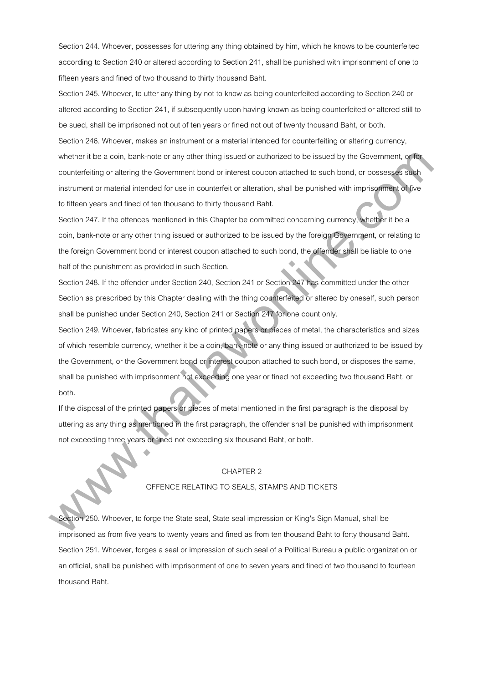Section 244. Whoever, possesses for uttering any thing obtained by him, which he knows to be counterfeited according to Section 240 or altered according to Section 241, shall be punished with imprisonment of one to fifteen years and fined of two thousand to thirty thousand Baht.

Section 245. Whoever, to utter any thing by not to know as being counterfeited according to Section 240 or altered according to Section 241, if subsequently upon having known as being counterfeited or altered still to be sued, shall be imprisoned not out of ten years or fined not out of twenty thousand Baht, or both. Section 246. Whoever, makes an instrument or a material intended for counterfeiting or altering currency, whether it be a coin, bank-note or any other thing issued or authorized to be issued by the Government, or for counterfeiting or altering the Government bond or interest coupon attached to such bond, or possesses such instrument or material intended for use in counterfeit or alteration, shall be punished with imprisonment of five to fifteen years and fined of ten thousand to thirty thousand Baht.

Section 247. If the offences mentioned in this Chapter be committed concerning currency, whether it be a coin, bank-note or any other thing issued or authorized to be issued by the foreign Government, or relating to the foreign Government bond or interest coupon attached to such bond, the offender shall be liable to one half of the punishment as provided in such Section.

Section 248. If the offender under Section 240, Section 241 or Section 247 has committed under the other Section as prescribed by this Chapter dealing with the thing counterfeited or altered by oneself, such person shall be punished under Section 240, Section 241 or Section 247 for one count only.

Section 249. Whoever, fabricates any kind of printed papers or pieces of metal, the characteristics and sizes of which resemble currency, whether it be a coin, bank-note or any thing issued or authorized to be issued by the Government, or the Government bond or interest coupon attached to such bond, or disposes the same, shall be punished with imprisonment not exceeding one year or fined not exceeding two thousand Baht, or both. whether it is a point, bank-real or any other thing issued or authorized to be issued by the Covernment, orthonormalized contribution or any contribution or any contribution of commutation of the method of the commutation

If the disposal of the printed papers or pieces of metal mentioned in the first paragraph is the disposal by uttering as any thing as mentioned in the first paragraph, the offender shall be punished with imprisonment not exceeding three years or fined not exceeding six thousand Baht, or both.

# CHAPTER 2

# OFFENCE RELATING TO SEALS, STAMPS AND TICKETS

Section 250. Whoever, to forge the State seal, State seal impression or King's Sign Manual, shall be imprisoned as from five years to twenty years and fined as from ten thousand Baht to forty thousand Baht. Section 251. Whoever, forges a seal or impression of such seal of a Political Bureau a public organization or an official, shall be punished with imprisonment of one to seven years and fined of two thousand to fourteen thousand Baht.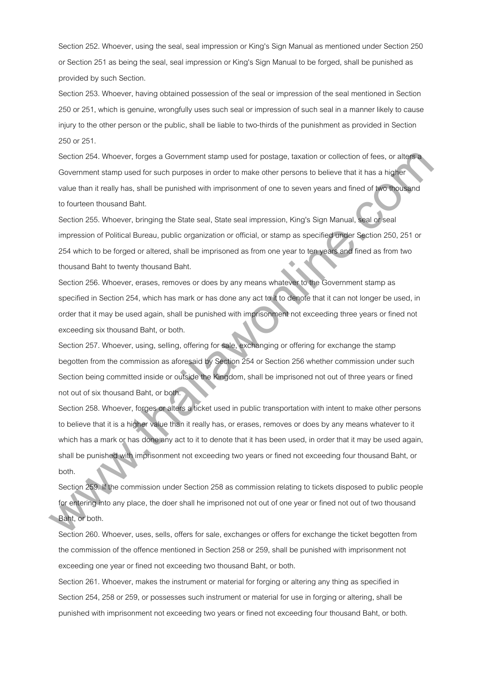Section 252. Whoever, using the seal, seal impression or King's Sign Manual as mentioned under Section 250 or Section 251 as being the seal, seal impression or King's Sign Manual to be forged, shall be punished as provided by such Section.

Section 253. Whoever, having obtained possession of the seal or impression of the seal mentioned in Section 250 or 251, which is genuine, wrongfully uses such seal or impression of such seal in a manner likely to cause injury to the other person or the public, shall be liable to two-thirds of the punishment as provided in Section 250 or 251.

Section 254. Whoever, forges a Government stamp used for postage, taxation or collection of fees, or alters a Government stamp used for such purposes in order to make other persons to believe that it has a higher value than it really has, shall be punished with imprisonment of one to seven years and fined of two thousand to fourteen thousand Baht.

Section 255. Whoever, bringing the State seal, State seal impression, King's Sign Manual, seal or seal impression of Political Bureau, public organization or official, or stamp as specified under Section 250, 251 or 254 which to be forged or altered, shall be imprisoned as from one year to ten years and fined as from two thousand Baht to twenty thousand Baht.

Section 256. Whoever, erases, removes or does by any means whatever to the Government stamp as specified in Section 254, which has mark or has done any act to it to denote that it can not longer be used, in order that it may be used again, shall be punished with imprisonment not exceeding three years or fined not exceeding six thousand Baht, or both.

Section 257. Whoever, using, selling, offering for sale, exchanging or offering for exchange the stamp begotten from the commission as aforesaid by Section 254 or Section 256 whether commission under such Section being committed inside or outside the Kingdom, shall be imprisoned not out of three years or fined not out of six thousand Baht, or both.

Section 258. Whoever, forges or alters a ticket used in public transportation with intent to make other persons to believe that it is a higher value than it really has, or erases, removes or does by any means whatever to it which has a mark or has done any act to it to denote that it has been used, in order that it may be used again, shall be punished with imprisonment not exceeding two years or fined not exceeding four thousand Baht, or both. Section 254. Whowever, torgets a Covernment stamp used for positage, issualion or collection of lines, or allegation<br>Covernment stamp used for such purpleses in order to make other persons to believe that it has a higher C

Section 259. If the commission under Section 258 as commission relating to tickets disposed to public people for entering into any place, the doer shall he imprisoned not out of one year or fined not out of two thousand Baht, or both.

Section 260. Whoever, uses, sells, offers for sale, exchanges or offers for exchange the ticket begotten from the commission of the offence mentioned in Section 258 or 259, shall be punished with imprisonment not exceeding one year or fined not exceeding two thousand Baht, or both.

Section 261. Whoever, makes the instrument or material for forging or altering any thing as specified in Section 254, 258 or 259, or possesses such instrument or material for use in forging or altering, shall be punished with imprisonment not exceeding two years or fined not exceeding four thousand Baht, or both.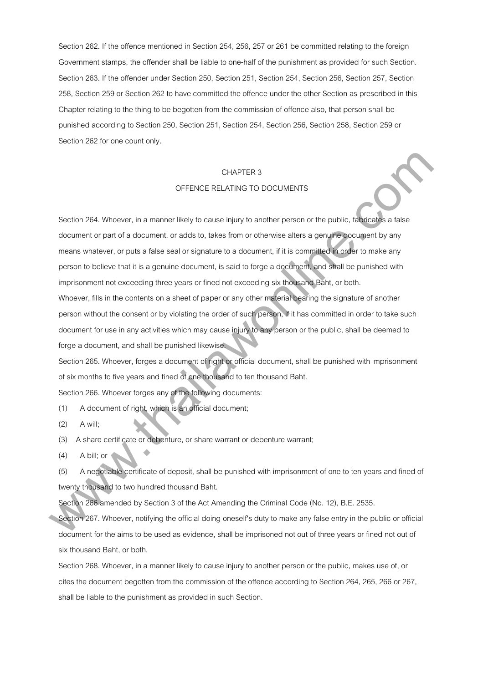Section 262. If the offence mentioned in Section 254, 256, 257 or 261 be committed relating to the foreign Government stamps, the offender shall be liable to one-half of the punishment as provided for such Section. Section 263. If the offender under Section 250, Section 251, Section 254, Section 256, Section 257, Section 258, Section 259 or Section 262 to have committed the offence under the other Section as prescribed in this Chapter relating to the thing to be begotten from the commission of offence also, that person shall be punished according to Section 250, Section 251, Section 254, Section 256, Section 258, Section 259 or Section 262 for one count only.

# CHAPTER 3

# OFFENCE RELATING TO DOCUMENTS

Section 264. Whoever, in a manner likely to cause injury to another person or the public, fabricates a false document or part of a document, or adds to, takes from or otherwise alters a genuine document by any means whatever, or puts a false seal or signature to a document, if it is committed in order to make any person to believe that it is a genuine document, is said to forge a document, and shall be punished with imprisonment not exceeding three years or fined not exceeding six thousand Baht, or both. CHAPTER 3<br>
CHAPTER 3<br>
Section 264. Whoever, in a manner likely to cause injury to another person or the public, is applied<br>
document or part of a document, or adds to, takes from or otherwise aters a genuine document by an

Whoever, fills in the contents on a sheet of paper or any other material bearing the signature of another person without the consent or by violating the order of such person, if it has committed in order to take such document for use in any activities which may cause injury to any person or the public, shall be deemed to forge a document, and shall be punished likewise.

Section 265. Whoever, forges a document of right or official document, shall be punished with imprisonment of six months to five years and fined of one thousand to ten thousand Baht.

Section 266. Whoever forges any of the following documents:

(1) A document of right, which is an official document;

 $(2)$  A will;

(3) A share certificate or debenture, or share warrant or debenture warrant;

 $(4)$  A bill; or

(5) A negotiable certificate of deposit, shall be punished with imprisonment of one to ten years and fined of twenty thousand to two hundred thousand Baht.

Section 266 amended by Section 3 of the Act Amending the Criminal Code (No. 12), B.E. 2535.

Section 267. Whoever, notifying the official doing oneself's duty to make any false entry in the public or official document for the aims to be used as evidence, shall be imprisoned not out of three years or fined not out of six thousand Baht, or both.

Section 268. Whoever, in a manner likely to cause injury to another person or the public, makes use of, or cites the document begotten from the commission of the offence according to Section 264, 265, 266 or 267, shall be liable to the punishment as provided in such Section.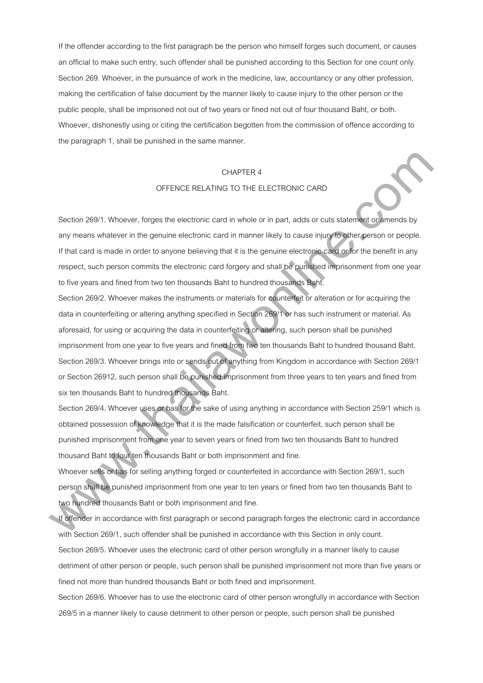If the offender according to the first paragraph be the person who himself forges such document, or causes an official to make such entry, such offender shall be punished according to this Section for one count only. Section 269. Whoever, in the pursuance of work in the medicine, law, accountancy or any other profession, making the certification of false document by the manner likely to cause injury to the other person or the public people, shall be imprisoned not out of two years or fined not out of four thousand Baht, or both. Whoever, dishonestly using or citing the certification begotten from the commission of offence according to the paragraph 1, shall be punished in the same manner.

#### CHAPTER 4

# OFFENCE RELATING TO THE ELECTRONIC CARD

Section 269/1. Whoever, forges the electronic card in whole or in part, adds or cuts statement or amends by any means whatever in the genuine electronic card in manner likely to cause injury to other person or people. If that card is made in order to anyone believing that it is the genuine electronic card or for the benefit in any respect, such person commits the electronic card forgery and shall be punished imprisonment from one year to five years and fined from two ten thousands Baht to hundred thousands Baht.

Section 269/2. Whoever makes the instruments or materials for counterfeit or alteration or for acquiring the data in counterfeiting or altering anything specified in Section 269/1 or has such instrument or material. As aforesaid, for using or acquiring the data in counterfeiting or altering, such person shall be punished imprisonment from one year to five years and fined from two ten thousands Baht to hundred thousand Baht. Section 269/3. Whoever brings into or sends out of anything from Kingdom in accordance with Section 269/1 or Section 26912, such person shall be punished imprisonment from three years to ten years and fined from six ten thousands Baht to hundred thousands Baht. CHAPTER 4<br>
CFENCE RELATING TO THE ELECTRONIC CARD<br>
Section 26941. Whoever, forges the electronic card in whole or in part, accs or outs attempts by<br>
any means whatever in the genuine electronic card in whole or in part, ac

Section 269/4. Whoever uses or has for the sake of using anything in accordance with Section 259/1 which is obtained possession of knowledge that it is the made falsification or counterfeit, such person shall be punished imprisonment from one year to seven years or fined from two ten thousands Baht to hundred thousand Baht to four ten thousands Baht or both imprisonment and fine.

Whoever sells or has for selling anything forged or counterfeited in accordance with Section 269/1, such person shall be punished imprisonment from one year to ten years or fined from two ten thousands Baht to two hundred thousands Baht or both imprisonment and fine.

If offender in accordance with first paragraph or second paragraph forges the electronic card in accordance with Section 269/1, such offender shall be punished in accordance with this Section in only count. Section 269/5. Whoever uses the electronic card of other person wrongfully in a manner likely to cause detriment of other person or people, such person shall be punished imprisonment not more than five years or fined not more than hundred thousands Baht or both fined and imprisonment. Section 269/6. Whoever has to use the electronic card of other person wrongfully in accordance with Section

269/5 in a manner likely to cause detriment to other person or people, such person shall be punished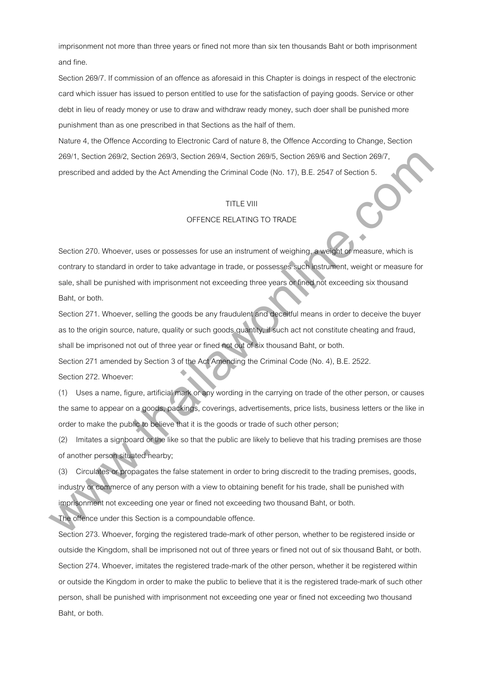imprisonment not more than three years or fined not more than six ten thousands Baht or both imprisonment and fine.

Section 269/7. If commission of an offence as aforesaid in this Chapter is doings in respect of the electronic card which issuer has issued to person entitled to use for the satisfaction of paying goods. Service or other debt in lieu of ready money or use to draw and withdraw ready money, such doer shall be punished more punishment than as one prescribed in that Sections as the half of them.

Nature 4, the Offence According to Electronic Card of nature 8, the Offence According to Change, Section 269/1, Section 269/2, Section 269/3, Section 269/4, Section 269/5, Section 269/6 and Section 269/7, prescribed and added by the Act Amending the Criminal Code (No. 17), B.E. 2547 of Section 5.

# TITLE VIII

# OFFENCE RELATING TO TRADE

Section 270. Whoever, uses or possesses for use an instrument of weighing, a weight or measure, which is contrary to standard in order to take advantage in trade, or possesses such instrument, weight or measure for sale, shall be punished with imprisonment not exceeding three years or fined not exceeding six thousand Baht, or both. 2004), Section 2004, Section 2003, Section 2004, Section 2004, Section 2004 and Section 2007,<br>
presentivad and added by the Act Amending the Criminal Cade (Na. 17), B.E. 2547 et Section 5.<br>
TITLE VII<br>
OFFENCE RELATING TO T

Section 271. Whoever, selling the goods be any fraudulent and deceitful means in order to deceive the buyer as to the origin source, nature, quality or such goods quantity, if such act not constitute cheating and fraud, shall be imprisoned not out of three year or fined not out of six thousand Baht, or both.

Section 271 amended by Section 3 of the Act Amending the Criminal Code (No. 4), B.E. 2522.

Section 272. Whoever:

(1) Uses a name, figure, artificial mark or any wording in the carrying on trade of the other person, or causes the same to appear on a goods, packings, coverings, advertisements, price lists, business letters or the like in order to make the public to believe that it is the goods or trade of such other person;

(2) Imitates a signboard or the like so that the public are likely to believe that his trading premises are those of another person situated nearby;

(3) Circulates or propagates the false statement in order to bring discredit to the trading premises, goods, industry or commerce of any person with a view to obtaining benefit for his trade, shall be punished with imprisonment not exceeding one year or fined not exceeding two thousand Baht, or both.

The offence under this Section is a compoundable offence.

Section 273. Whoever, forging the registered trade-mark of other person, whether to be registered inside or outside the Kingdom, shall be imprisoned not out of three years or fined not out of six thousand Baht, or both. Section 274. Whoever, imitates the registered trade-mark of the other person, whether it be registered within or outside the Kingdom in order to make the public to believe that it is the registered trade-mark of such other person, shall be punished with imprisonment not exceeding one year or fined not exceeding two thousand Baht, or both.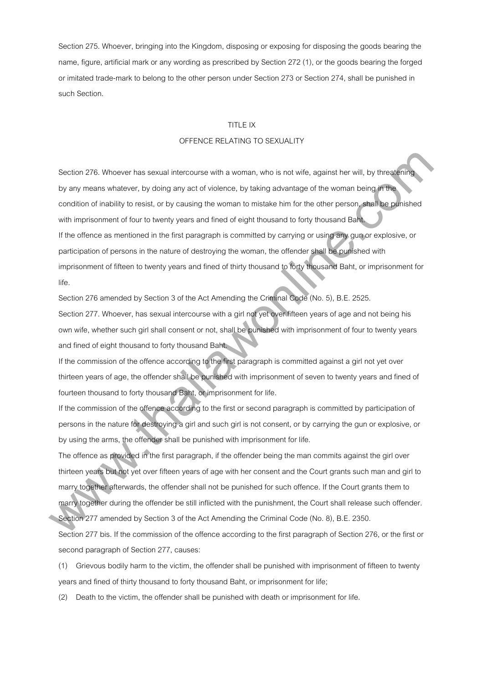Section 275. Whoever, bringing into the Kingdom, disposing or exposing for disposing the goods bearing the name, figure, artificial mark or any wording as prescribed by Section 272 (1), or the goods bearing the forged or imitated trade-mark to belong to the other person under Section 273 or Section 274, shall be punished in such Section.

#### TITLE IX

# OFFENCE RELATING TO SEXUALITY

Section 276. Whoever has sexual intercourse with a woman, who is not wife, against her will, by threatening by any means whatever, by doing any act of violence, by taking advantage of the woman being in the condition of inability to resist, or by causing the woman to mistake him for the other person, shall be punished with imprisonment of four to twenty years and fined of eight thousand to forty thousand Baht. If the offence as mentioned in the first paragraph is committed by carrying or using any gun or explosive, or participation of persons in the nature of destroying the woman, the offender shall be punished with imprisonment of fifteen to twenty years and fined of thirty thousand to forty thousand Baht, or imprisonment for life. Section 278. Whowever has sexual intercourse with a woman, who is not wite, against her will, by three first pay<br>by any means whatever, by doing any act of violence, by taking advantage of the woman being justified<br>conditi

Section 276 amended by Section 3 of the Act Amending the Criminal Code (No. 5), B.E. 2525.

Section 277. Whoever, has sexual intercourse with a girl not yet over fifteen years of age and not being his own wife, whether such girl shall consent or not, shall be punished with imprisonment of four to twenty years and fined of eight thousand to forty thousand Baht.

If the commission of the offence according to the first paragraph is committed against a girl not yet over thirteen years of age, the offender shall be punished with imprisonment of seven to twenty years and fined of fourteen thousand to forty thousand Baht, or imprisonment for life.

If the commission of the offence according to the first or second paragraph is committed by participation of persons in the nature for destroying a girl and such girl is not consent, or by carrying the gun or explosive, or by using the arms, the offender shall be punished with imprisonment for life.

The offence as provided in the first paragraph, if the offender being the man commits against the girl over thirteen years but not yet over fifteen years of age with her consent and the Court grants such man and girl to marry together afterwards, the offender shall not be punished for such offence. If the Court grants them to marry together during the offender be still inflicted with the punishment, the Court shall release such offender.

Section 277 amended by Section 3 of the Act Amending the Criminal Code (No. 8), B.E. 2350.

Section 277 bis. If the commission of the offence according to the first paragraph of Section 276, or the first or second paragraph of Section 277, causes:

(1) Grievous bodily harm to the victim, the offender shall be punished with imprisonment of fifteen to twenty years and fined of thirty thousand to forty thousand Baht, or imprisonment for life;

(2) Death to the victim, the offender shall be punished with death or imprisonment for life.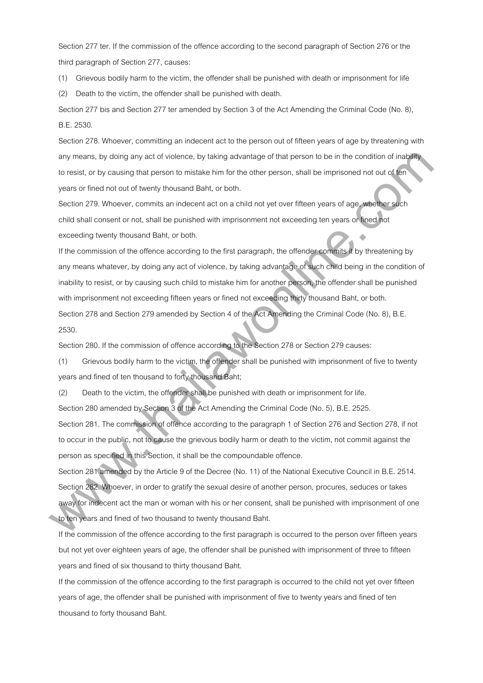Section 277 ter. If the commission of the offence according to the second paragraph of Section 276 or the third paragraph of Section 277, causes:

(1) Grievous bodily harm to the victim, the offender shall be punished with death or imprisonment for life

(2) Death to the victim, the offender shall be punished with death.

Section 277 bis and Section 277 ter amended by Section 3 of the Act Amending the Criminal Code (No. 8), B.E. 2530.

Section 278. Whoever, committing an indecent act to the person out of fifteen years of age by threatening with any means, by doing any act of violence, by taking advantage of that person to be in the condition of inability to resist, or by causing that person to mistake him for the other person, shall be imprisoned not out of ten years or fined not out of twenty thousand Baht, or both.

Section 279. Whoever, commits an indecent act on a child not yet over fifteen years of age, whether such child shall consent or not, shall be punished with imprisonment not exceeding ten years or fined not exceeding twenty thousand Baht, or both.

If the commission of the offence according to the first paragraph, the offender commits it by threatening by any means whatever, by doing any act of violence, by taking advantage of such child being in the condition of inability to resist, or by causing such child to mistake him for another person, the offender shall be punished with imprisonment not exceeding fifteen years or fined not exceeding thirty thousand Baht, or both. Section 278 and Section 279 amended by Section 4 of the Act Amending the Criminal Code (No. 8), B.E. 2530. any mixins, by doing any set of violence, by isking advantage of that parton to be in the condition of including<br>to resist, or by causing that person to mixiske thin to the other parton shall be imprisoned red out of time<br>

Section 280. If the commission of offence according to the Section 278 or Section 279 causes:

(1) Grievous bodily harm to the victim, the offender shall be punished with imprisonment of five to twenty years and fined of ten thousand to forty thousand Baht;

(2) Death to the victim, the offender shall be punished with death or imprisonment for life.

Section 280 amended by Section 3 of the Act Amending the Criminal Code (No. 5), B.E. 2525.

Section 281. The commission of offence according to the paragraph 1 of Section 276 and Section 278, if not to occur in the public, not to cause the grievous bodily harm or death to the victim, not commit against the person as specified in this Section, it shall be the compoundable offence.

Section 281 amended by the Article 9 of the Decree (No. 11) of the National Executive Council in B.E. 2514. Section 282. Whoever, in order to gratify the sexual desire of another person, procures, seduces or takes away for indecent act the man or woman with his or her consent, shall be punished with imprisonment of one to ten years and fined of two thousand to twenty thousand Baht.

If the commission of the offence according to the first paragraph is occurred to the person over fifteen years but not yet over eighteen years of age, the offender shall be punished with imprisonment of three to fifteen years and fined of six thousand to thirty thousand Baht.

If the commission of the offence according to the first paragraph is occurred to the child not yet over fifteen years of age, the offender shall be punished with imprisonment of five to twenty years and fined of ten thousand to forty thousand Baht.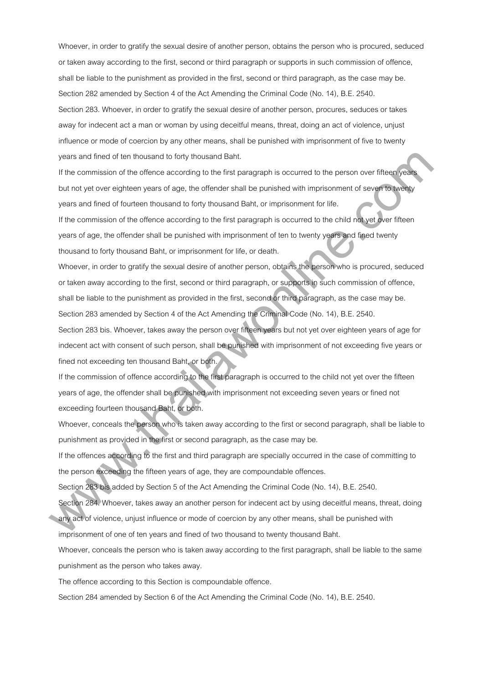Whoever, in order to gratify the sexual desire of another person, obtains the person who is procured, seduced or taken away according to the first, second or third paragraph or supports in such commission of offence, shall be liable to the punishment as provided in the first, second or third paragraph, as the case may be. Section 282 amended by Section 4 of the Act Amending the Criminal Code (No. 14), B.E. 2540. Section 283. Whoever, in order to gratify the sexual desire of another person, procures, seduces or takes away for indecent act a man or woman by using deceitful means, threat, doing an act of violence, unjust influence or mode of coercion by any other means, shall be punished with imprisonment of five to twenty years and fined of ten thousand to forty thousand Baht.

If the commission of the offence according to the first paragraph is occurred to the person over fifteen years but not yet over eighteen years of age, the offender shall be punished with imprisonment of seven to twenty years and fined of fourteen thousand to forty thousand Baht, or imprisonment for life.

If the commission of the offence according to the first paragraph is occurred to the child not yet over fifteen years of age, the offender shall be punished with imprisonment of ten to twenty years and fined twenty thousand to forty thousand Baht, or imprisonment for life, or death.

Whoever, in order to gratify the sexual desire of another person, obtains the person who is procured, seduced or taken away according to the first, second or third paragraph, or supports in such commission of offence, shall be liable to the punishment as provided in the first, second or third paragraph, as the case may be. Section 283 amended by Section 4 of the Act Amending the Criminal Code (No. 14), B.E. 2540. yians and lined of tain theosemetrics torty thousand Baht.<br>If the commission all the ollence according to the life paragraph is occurred to the person own filter (increases)<br>years and fined of fourteen thousand to forty th

Section 283 bis. Whoever, takes away the person over fifteen years but not yet over eighteen years of age for indecent act with consent of such person, shall be punished with imprisonment of not exceeding five years or fined not exceeding ten thousand Baht, or both.

If the commission of offence according to the first paragraph is occurred to the child not yet over the fifteen years of age, the offender shall be punished with imprisonment not exceeding seven years or fined not exceeding fourteen thousand Baht, or both.

Whoever, conceals the person who is taken away according to the first or second paragraph, shall be liable to punishment as provided in the first or second paragraph, as the case may be.

If the offences according to the first and third paragraph are specially occurred in the case of committing to the person exceeding the fifteen years of age, they are compoundable offences.

Section 283 bis added by Section 5 of the Act Amending the Criminal Code (No. 14), B.E. 2540.

Section 284. Whoever, takes away an another person for indecent act by using deceitful means, threat, doing any act of violence, unjust influence or mode of coercion by any other means, shall be punished with

imprisonment of one of ten years and fined of two thousand to twenty thousand Baht.

Whoever, conceals the person who is taken away according to the first paragraph, shall be liable to the same punishment as the person who takes away.

The offence according to this Section is compoundable offence.

Section 284 amended by Section 6 of the Act Amending the Criminal Code (No. 14), B.E. 2540.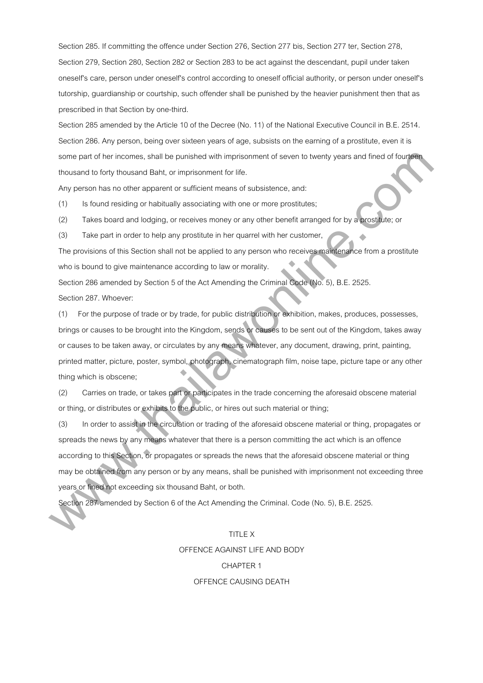Section 285. If committing the offence under Section 276, Section 277 bis, Section 277 ter, Section 278, Section 279, Section 280, Section 282 or Section 283 to be act against the descendant, pupil under taken oneself's care, person under oneself's control according to oneself official authority, or person under oneself's tutorship, guardianship or courtship, such offender shall be punished by the heavier punishment then that as prescribed in that Section by one-third.

Section 285 amended by the Article 10 of the Decree (No. 11) of the National Executive Council in B.E. 2514. Section 286. Any person, being over sixteen years of age, subsists on the earning of a prostitute, even it is some part of her incomes, shall be punished with imprisonment of seven to twenty years and fined of fourteen thousand to forty thousand Baht, or imprisonment for life.

Any person has no other apparent or sufficient means of subsistence, and:

(1) Is found residing or habitually associating with one or more prostitutes;

(2) Takes board and lodging, or receives money or any other benefit arranged for by a prostitute; or

(3) Take part in order to help any prostitute in her quarrel with her customer,

The provisions of this Section shall not be applied to any person who receives maintenance from a prostitute who is bound to give maintenance according to law or morality.

Section 286 amended by Section 5 of the Act Amending the Criminal Code (No. 5), B.E. 2525.

Section 287. Whoever:

(1) For the purpose of trade or by trade, for public distribution or exhibition, makes, produces, possesses, brings or causes to be brought into the Kingdom, sends or causes to be sent out of the Kingdom, takes away or causes to be taken away, or circulates by any means whatever, any document, drawing, print, painting, printed matter, picture, poster, symbol, photograph, cinematograph film, noise tape, picture tape or any other thing which is obscene;

(2) Carries on trade, or takes part or participates in the trade concerning the aforesaid obscene material or thing, or distributes or exhibits to the public, or hires out such material or thing;

(3) In order to assist in the circulation or trading of the aforesaid obscene material or thing, propagates or spreads the news by any means whatever that there is a person committing the act which is an offence according to this Section, or propagates or spreads the news that the aforesaid obscene material or thing may be obtained from any person or by any means, shall be punished with imprisonment not exceeding three years or fined not exceeding six thousand Baht, or both. same part of the incomes, shall be punished with imprisonment of seven to kwenty years and final of the planet<br>Incousant lo lony theosanet Bahl, or imprisonment for file. This formulation is the fourth of the fourth of the

Section 287 amended by Section 6 of the Act Amending the Criminal. Code (No. 5), B.E. 2525.

# TITLE X OFFENCE AGAINST LIFE AND BODY CHAPTER 1

# OFFENCE CAUSING DEATH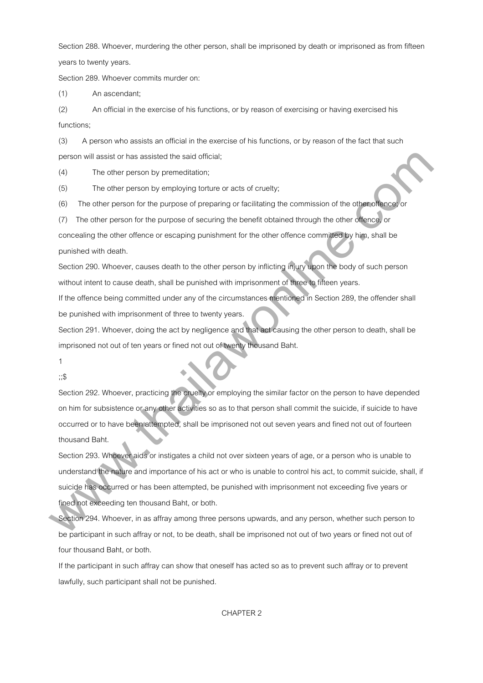Section 288. Whoever, murdering the other person, shall be imprisoned by death or imprisoned as from fifteen years to twenty years.

Section 289. Whoever commits murder on:

(1) An ascendant;

(2) An official in the exercise of his functions, or by reason of exercising or having exercised his functions;

(3) A person who assists an official in the exercise of his functions, or by reason of the fact that such person will assist or has assisted the said official;

(4) The other person by premeditation;

(5) The other person by employing torture or acts of cruelty;

(6) The other person for the purpose of preparing or facilitating the commission of the other offence; or

(7) The other person for the purpose of securing the benefit obtained through the other offence, or

concealing the other offence or escaping punishment for the other offence committed by him, shall be punished with death.

Section 290. Whoever, causes death to the other person by inflicting injury upon the body of such person without intent to cause death, shall be punished with imprisonment of three to fifteen years.

If the offence being committed under any of the circumstances mentioned in Section 289, the offender shall be punished with imprisonment of three to twenty years.

Section 291. Whoever, doing the act by negligence and that act causing the other person to death, shall be imprisoned not out of ten years or fined not out of twenty thousand Baht.

1

;;\$

Section 292. Whoever, practicing the cruelty or employing the similar factor on the person to have depended on him for subsistence or any other activities so as to that person shall commit the suicide, if suicide to have occurred or to have been attempted, shall be imprisoned not out seven years and fined not out of fourteen thousand Baht.

Section 293. Whoever aids or instigates a child not over sixteen years of age, or a person who is unable to understand the nature and importance of his act or who is unable to control his act, to commit suicide, shall, if suicide has occurred or has been attempted, be punished with imprisonment not exceeding five years or fined not exceeding ten thousand Baht, or both. purson will assist ar has assisted the said diletait;<br>
(4) The other person by rememblation;<br>
The other person for the purpose of preparing or facilitating the commission of the other dense<br>
(6) The other person for the pu

Section 294. Whoever, in as affray among three persons upwards, and any person, whether such person to be participant in such affray or not, to be death, shall be imprisoned not out of two years or fined not out of four thousand Baht, or both.

If the participant in such affray can show that oneself has acted so as to prevent such affray or to prevent lawfully, such participant shall not be punished.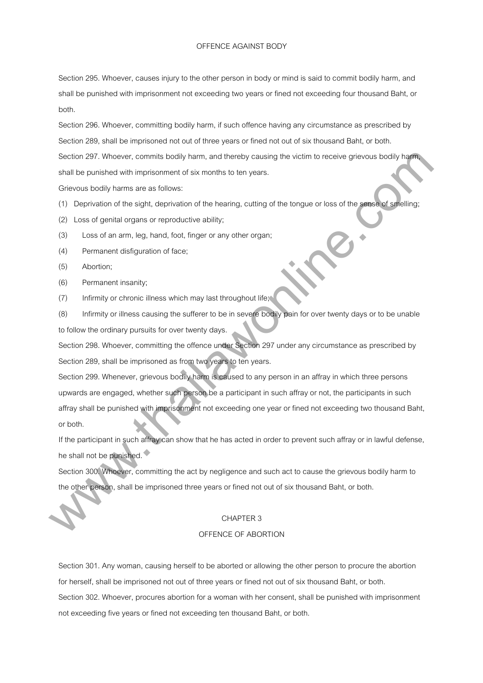#### OFFENCE AGAINST BODY

Section 295. Whoever, causes injury to the other person in body or mind is said to commit bodily harm, and shall be punished with imprisonment not exceeding two years or fined not exceeding four thousand Baht, or both.

Section 296. Whoever, committing bodily harm, if such offence having any circumstance as prescribed by Section 289, shall be imprisoned not out of three years or fined not out of six thousand Baht, or both. Section 297. Whoever, commits bodily harm, and thereby causing the victim to receive grievous bodily harm, shall be punished with imprisonment of six months to ten years.

Grievous bodily harms are as follows:

- (1) Deprivation of the sight, deprivation of the hearing, cutting of the tongue or loss of the sense of smelling;
- (2) Loss of genital organs or reproductive ability;
- (3) Loss of an arm, leg, hand, foot, finger or any other organ;
- (4) Permanent disfiguration of face;
- (5) Abortion;
- (6) Permanent insanity;
- (7) Infirmity or chronic illness which may last throughout life;

(8) Infirmity or illness causing the sufferer to be in severe bodily pain for over twenty days or to be unable to follow the ordinary pursuits for over twenty days.

Section 298. Whoever, committing the offence under Section 297 under any circumstance as prescribed by Section 289, shall be imprisoned as from two years to ten years.

Section 299. Whenever, grievous bodily harm is caused to any person in an affray in which three persons upwards are engaged, whether such person be a participant in such affray or not, the participants in such affray shall be punished with imprisonment not exceeding one year or fined not exceeding two thousand Baht, or both. Siaction 297. Whowever, commits bodly harm, and thereby causing the victim to receive greeves bodly hamping that the product of the signal be producted with implementation of the heading, cutting of the tongue or loss of t

If the participant in such affray can show that he has acted in order to prevent such affray or in lawful defense, he shall not be punished.

Section 300. Whoever, committing the act by negligence and such act to cause the grievous bodily harm to the other person, shall be imprisoned three years or fined not out of six thousand Baht, or both.

## CHAPTER 3

#### OFFENCE OF ABORTION

Section 301. Any woman, causing herself to be aborted or allowing the other person to procure the abortion for herself, shall be imprisoned not out of three years or fined not out of six thousand Baht, or both. Section 302. Whoever, procures abortion for a woman with her consent, shall be punished with imprisonment not exceeding five years or fined not exceeding ten thousand Baht, or both.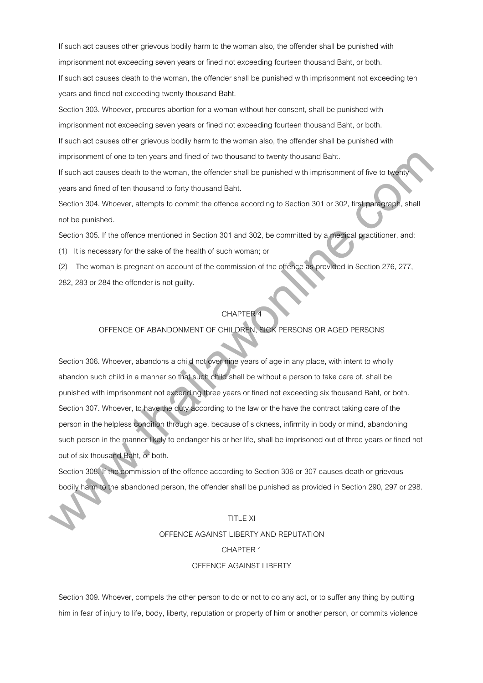If such act causes other grievous bodily harm to the woman also, the offender shall be punished with imprisonment not exceeding seven years or fined not exceeding fourteen thousand Baht, or both. If such act causes death to the woman, the offender shall be punished with imprisonment not exceeding ten years and fined not exceeding twenty thousand Baht.

Section 303. Whoever, procures abortion for a woman without her consent, shall be punished with imprisonment not exceeding seven years or fined not exceeding fourteen thousand Baht, or both.

If such act causes other grievous bodily harm to the woman also, the offender shall be punished with imprisonment of one to ten years and fined of two thousand to twenty thousand Baht.

If such act causes death to the woman, the offender shall be punished with imprisonment of five to twenty years and fined of ten thousand to forty thousand Baht.

Section 304. Whoever, attempts to commit the offence according to Section 301 or 302, first paragraph, shall not be punished.

Section 305. If the offence mentioned in Section 301 and 302, be committed by a medical practitioner, and:

(1) It is necessary for the sake of the health of such woman; or

(2) The woman is pregnant on account of the commission of the offence as provided in Section 276, 277,

282, 283 or 284 the offender is not guilty.

# **CHAPTER**

# OFFENCE OF ABANDONMENT OF CHILDREN, SICK PERSONS OR AGED PERSONS

Section 306. Whoever, abandons a child not over nine years of age in any place, with intent to wholly abandon such child in a manner so that such child shall be without a person to take care of, shall be punished with imprisonment not exceeding three years or fined not exceeding six thousand Baht, or both. Section 307. Whoever, to have the duty according to the law or the have the contract taking care of the person in the helpless condition through age, because of sickness, infirmity in body or mind, abandoning such person in the manner likely to endanger his or her life, shall be imprisoned out of three years or fined not out of six thousand Baht, or both. imprisonment of one to len years and lined of two thousand is twenty thousand Batt.<br>
If such ast susses destrict the wemme, the olerdre shall be punished with imprisonment of two to hydrogeneous<br>
Section 304. Whosever, att

Section 308. If the commission of the offence according to Section 306 or 307 causes death or grievous bodily harm to the abandoned person, the offender shall be punished as provided in Section 290, 297 or 298.

# TITLE XI

# OFFENCE AGAINST LIBERTY AND REPUTATION

# CHAPTER 1

# OFFENCE AGAINST LIBERTY

Section 309. Whoever, compels the other person to do or not to do any act, or to suffer any thing by putting him in fear of injury to life, body, liberty, reputation or property of him or another person, or commits violence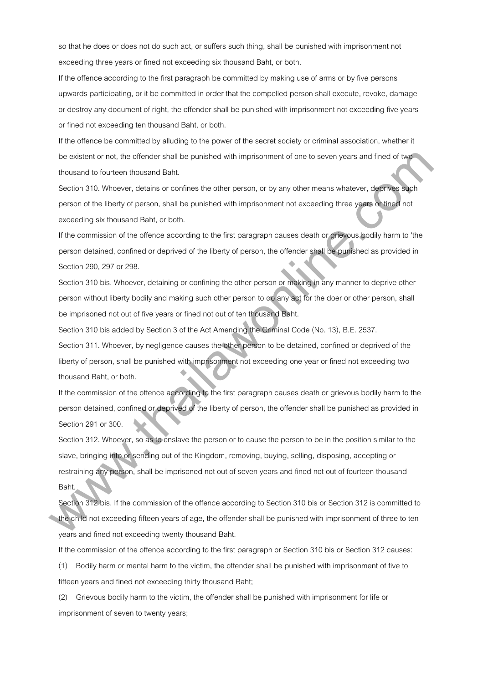so that he does or does not do such act, or suffers such thing, shall be punished with imprisonment not exceeding three years or fined not exceeding six thousand Baht, or both.

If the offence according to the first paragraph be committed by making use of arms or by five persons upwards participating, or it be committed in order that the compelled person shall execute, revoke, damage or destroy any document of right, the offender shall be punished with imprisonment not exceeding five years or fined not exceeding ten thousand Baht, or both.

If the offence be committed by alluding to the power of the secret society or criminal association, whether it be existent or not, the offender shall be punished with imprisonment of one to seven years and fined of two thousand to fourteen thousand Baht.

Section 310. Whoever, detains or confines the other person, or by any other means whatever, deprives such person of the liberty of person, shall be punished with imprisonment not exceeding three years or fined not exceeding six thousand Baht, or both.

If the commission of the offence according to the first paragraph causes death or grievous bodily harm to 'the person detained, confined or deprived of the liberty of person, the offender shall be punished as provided in Section 290, 297 or 298.

Section 310 bis. Whoever, detaining or confining the other person or making in any manner to deprive other person without liberty bodily and making such other person to do any act for the doer or other person, shall be imprisoned not out of five years or fined not out of ten thousand Baht.

Section 310 bis added by Section 3 of the Act Amending the Criminal Code (No. 13), B.E. 2537.

Section 311. Whoever, by negligence causes the other person to be detained, confined or deprived of the liberty of person, shall be punished with imprisonment not exceeding one year or fined not exceeding two thousand Baht, or both.

If the commission of the offence according to the first paragraph causes death or grievous bodily harm to the person detained, confined or deprived of the liberty of person, the offender shall be punished as provided in Section 291 or 300.

Section 312. Whoever, so as to enslave the person or to cause the person to be in the position similar to the slave, bringing into or sending out of the Kingdom, removing, buying, selling, disposing, accepting or restraining any person, shall be imprisoned not out of seven years and fined not out of fourteen thousand Baht. bin existent or not, the offereder shall be purishbed with imprisonment of one to severy years and fined of hoperation in boundaries becomes the other person, or by any other means whistever, displaced by the following the

Section 312 bis. If the commission of the offence according to Section 310 bis or Section 312 is committed to the child not exceeding fifteen years of age, the offender shall be punished with imprisonment of three to ten years and fined not exceeding twenty thousand Baht.

If the commission of the offence according to the first paragraph or Section 310 bis or Section 312 causes:

(1) Bodily harm or mental harm to the victim, the offender shall be punished with imprisonment of five to fifteen years and fined not exceeding thirty thousand Baht;

(2) Grievous bodily harm to the victim, the offender shall be punished with imprisonment for life or imprisonment of seven to twenty years;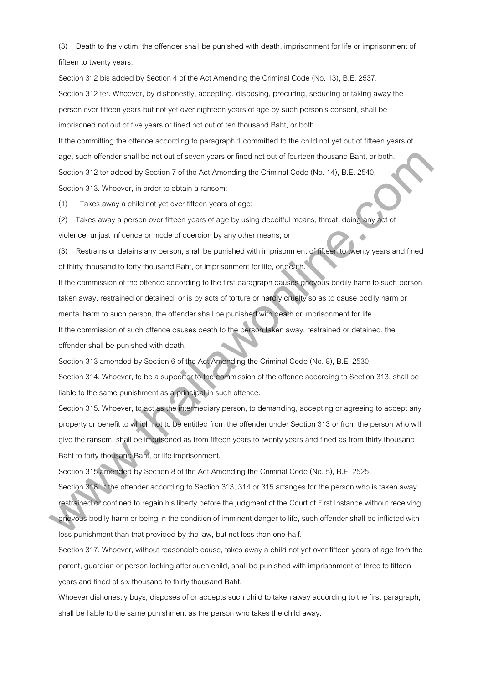(3) Death to the victim, the offender shall be punished with death, imprisonment for life or imprisonment of fifteen to twenty years.

Section 312 bis added by Section 4 of the Act Amending the Criminal Code (No. 13), B.E. 2537. Section 312 ter. Whoever, by dishonestly, accepting, disposing, procuring, seducing or taking away the person over fifteen years but not yet over eighteen years of age by such person's consent, shall be imprisoned not out of five years or fined not out of ten thousand Baht, or both.

If the committing the offence according to paragraph 1 committed to the child not yet out of fifteen years of age, such offender shall be not out of seven years or fined not out of fourteen thousand Baht, or both. Section 312 ter added by Section 7 of the Act Amending the Criminal Code (No. 14), B.E. 2540. Section 313. Whoever, in order to obtain a ransom:

(1) Takes away a child not yet over fifteen years of age;

(2) Takes away a person over fifteen years of age by using deceitful means, threat, doing any act of violence, unjust influence or mode of coercion by any other means; or

(3) Restrains or detains any person, shall be punished with imprisonment of fifteen to twenty years and fined of thirty thousand to forty thousand Baht, or imprisonment for life, or death.

If the commission of the offence according to the first paragraph causes grievous bodily harm to such person taken away, restrained or detained, or is by acts of torture or hardly cruelty so as to cause bodily harm or mental harm to such person, the offender shall be punished with death or imprisonment for life.

If the commission of such offence causes death to the person taken away, restrained or detained, the offender shall be punished with death.

Section 313 amended by Section 6 of the Act Amending the Criminal Code (No. 8), B.E. 2530.

Section 314. Whoever, to be a supporter to the commission of the offence according to Section 313, shall be liable to the same punishment as a principal in such offence.

Section 315. Whoever, to act as the intermediary person, to demanding, accepting or agreeing to accept any property or benefit to which not to be entitled from the offender under Section 313 or from the person who will give the ransom, shall be imprisoned as from fifteen years to twenty years and fined as from thirty thousand Baht to forty thousand Baht, or life imprisonment. age, such ollerider shall be not east of smell parts of finite not dutie to the Machinara Alah, or behind the Station 7 of the Acid Amending the Griminal Cade (No. 14), B.E. 2540.<br>Section 312 Whowever, in order to obtain a

Section 315 amended by Section 8 of the Act Amending the Criminal Code (No. 5), B.E. 2525.

Section 316. If the offender according to Section 313, 314 or 315 arranges for the person who is taken away, restrained or confined to regain his liberty before the judgment of the Court of First Instance without receiving grievous bodily harm or being in the condition of imminent danger to life, such offender shall be inflicted with

less punishment than that provided by the law, but not less than one-half.

Section 317. Whoever, without reasonable cause, takes away a child not yet over fifteen years of age from the parent, guardian or person looking after such child, shall be punished with imprisonment of three to fifteen years and fined of six thousand to thirty thousand Baht.

Whoever dishonestly buys, disposes of or accepts such child to taken away according to the first paragraph, shall be liable to the same punishment as the person who takes the child away.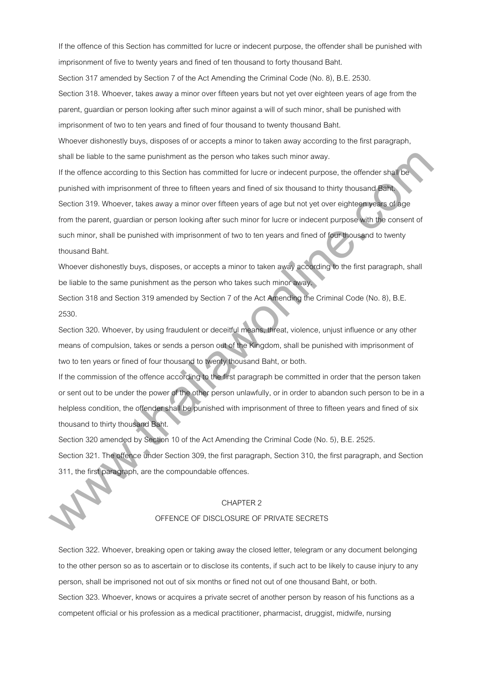If the offence of this Section has committed for lucre or indecent purpose, the offender shall be punished with imprisonment of five to twenty years and fined of ten thousand to forty thousand Baht.

Section 317 amended by Section 7 of the Act Amending the Criminal Code (No. 8), B.E. 2530.

Section 318. Whoever, takes away a minor over fifteen years but not yet over eighteen years of age from the parent, guardian or person looking after such minor against a will of such minor, shall be punished with imprisonment of two to ten years and fined of four thousand to twenty thousand Baht.

Whoever dishonestly buys, disposes of or accepts a minor to taken away according to the first paragraph, shall be liable to the same punishment as the person who takes such minor away.

If the offence according to this Section has committed for lucre or indecent purpose, the offender shall be punished with imprisonment of three to fifteen years and fined of six thousand to thirty thousand Baht. Section 319. Whoever, takes away a minor over fifteen years of age but not yet over eighteen years of age from the parent, guardian or person looking after such minor for lucre or indecent purpose with the consent of such minor, shall be punished with imprisonment of two to ten years and fined of four thousand to twenty thousand Baht. shall be liable to this sums punishment as the pinnon who listes such minor away.<br>If the otherese correcting to this Section has committed for luce or indeterminations, the otheresis with minister between the pinnon of the

Whoever dishonestly buys, disposes, or accepts a minor to taken away according to the first paragraph, shall be liable to the same punishment as the person who takes such minor away.

Section 318 and Section 319 amended by Section 7 of the Act Amending the Criminal Code (No. 8), B.E. 2530.

Section 320. Whoever, by using fraudulent or deceitful means, threat, violence, unjust influence or any other means of compulsion, takes or sends a person out of the Kingdom, shall be punished with imprisonment of two to ten years or fined of four thousand to twenty thousand Baht, or both.

If the commission of the offence according to the first paragraph be committed in order that the person taken or sent out to be under the power of the other person unlawfully, or in order to abandon such person to be in a helpless condition, the offender shall be punished with imprisonment of three to fifteen years and fined of six thousand to thirty thousand Baht.

Section 320 amended by Section 10 of the Act Amending the Criminal Code (No. 5), B.E. 2525. Section 321. The offence under Section 309, the first paragraph, Section 310, the first paragraph, and Section 311, the first paragraph, are the compoundable offences.

#### CHAPTER 2

# OFFENCE OF DISCLOSURE OF PRIVATE SECRETS

Section 322. Whoever, breaking open or taking away the closed letter, telegram or any document belonging to the other person so as to ascertain or to disclose its contents, if such act to be likely to cause injury to any person, shall be imprisoned not out of six months or fined not out of one thousand Baht, or both. Section 323. Whoever, knows or acquires a private secret of another person by reason of his functions as a competent official or his profession as a medical practitioner, pharmacist, druggist, midwife, nursing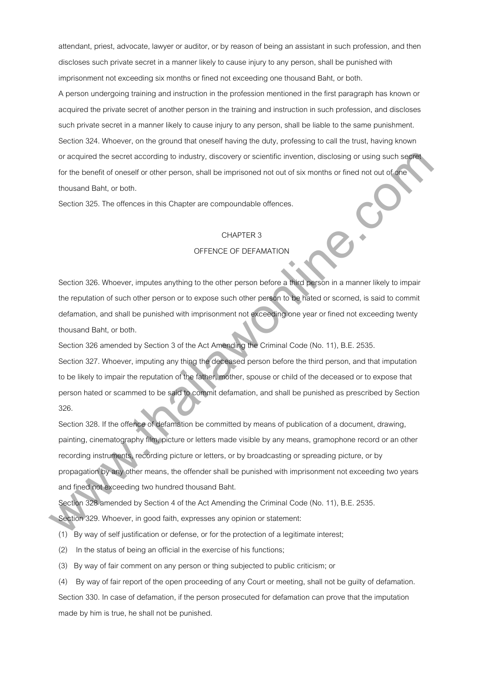attendant, priest, advocate, lawyer or auditor, or by reason of being an assistant in such profession, and then discloses such private secret in a manner likely to cause injury to any person, shall be punished with imprisonment not exceeding six months or fined not exceeding one thousand Baht, or both.

A person undergoing training and instruction in the profession mentioned in the first paragraph has known or acquired the private secret of another person in the training and instruction in such profession, and discloses such private secret in a manner likely to cause injury to any person, shall be liable to the same punishment. Section 324. Whoever, on the ground that oneself having the duty, professing to call the trust, having known or acquired the secret according to industry, discovery or scientific invention, disclosing or using such secret for the benefit of oneself or other person, shall be imprisoned not out of six months or fined not out of one thousand Baht, or both.

Section 325. The offences in this Chapter are compoundable offences.

# CHAPTER 3

#### OFFENCE OF DEFAMATION

Section 326. Whoever, imputes anything to the other person before a third person in a manner likely to impair the reputation of such other person or to expose such other person to be hated or scorned, is said to commit defamation, and shall be punished with imprisonment not exceeding one year or fined not exceeding twenty thousand Baht, or both.

Section 326 amended by Section 3 of the Act Amending the Criminal Code (No. 11), B.E. 2535.

Section 327. Whoever, imputing any thing the deceased person before the third person, and that imputation to be likely to impair the reputation of the father, mother, spouse or child of the deceased or to expose that person hated or scammed to be said to commit defamation, and shall be punished as prescribed by Section 326.

Section 328. If the offence of defamation be committed by means of publication of a document, drawing, painting, cinematography film, picture or letters made visible by any means, gramophone record or an other recording instruments, recording picture or letters, or by broadcasting or spreading picture, or by propagation by any other means, the offender shall be punished with imprisonment not exceeding two years and fined not exceeding two hundred thousand Baht. or acquired this secret according to inclusivy, discovery or scientific livention, disclosiving or using such septer<br>the benarite of our companies of the parton, shall be imprisoned rot out of six menths or timed rot out o

Section 328 amended by Section 4 of the Act Amending the Criminal Code (No. 11), B.E. 2535.

Section 329. Whoever, in good faith, expresses any opinion or statement:

(1) By way of self justification or defense, or for the protection of a legitimate interest;

- (2) In the status of being an official in the exercise of his functions;
- (3) By way of fair comment on any person or thing subjected to public criticism; or

(4) By way of fair report of the open proceeding of any Court or meeting, shall not be guilty of defamation. Section 330. In case of defamation, if the person prosecuted for defamation can prove that the imputation made by him is true, he shall not be punished.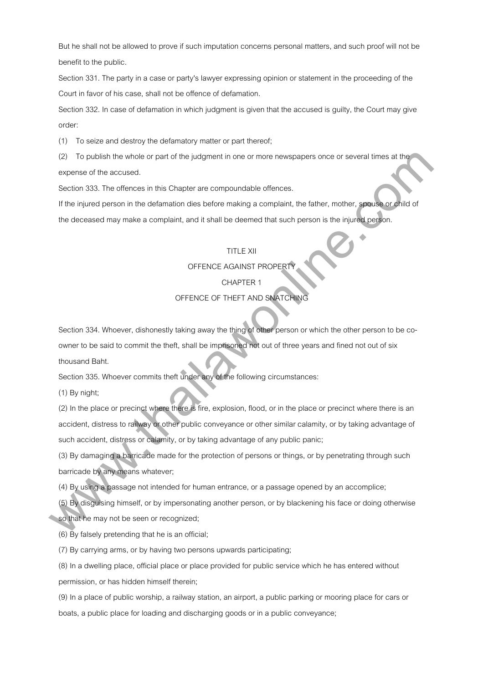But he shall not be allowed to prove if such imputation concerns personal matters, and such proof will not be benefit to the public.

Section 331. The party in a case or party's lawyer expressing opinion or statement in the proceeding of the Court in favor of his case, shall not be offence of defamation.

Section 332. In case of defamation in which judgment is given that the accused is guilty, the Court may give order:

(1) To seize and destroy the defamatory matter or part thereof;

(2) To publish the whole or part of the judgment in one or more newspapers once or several times at the expense of the accused.

Section 333. The offences in this Chapter are compoundable offences.

If the injured person in the defamation dies before making a complaint, the father, mother, spouse or child of the deceased may make a complaint, and it shall be deemed that such person is the injured person.

# TITLE XII

OFFENCE AGAINST PROPERT

# CHAPTER 1

# OFFENCE OF THEFT AND SNATCHING

Section 334. Whoever, dishonestly taking away the thing of other person or which the other person to be coowner to be said to commit the theft, shall be imprisoned not out of three years and fined not out of six thousand Baht. (2) To publish the whole or part of the judgment in one ar more newspapers once or several times at the successed the successed in this Chapter are compoundable offences.<br>
When lighted person in the defination disc before

Section 335. Whoever commits theft under any of the following circumstances:

(1) By night;

(2) In the place or precinct where there is fire, explosion, flood, or in the place or precinct where there is an accident, distress to railway or other public conveyance or other similar calamity, or by taking advantage of such accident, distress or calamity, or by taking advantage of any public panic;

(3) By damaging a barricade made for the protection of persons or things, or by penetrating through such barricade by any means whatever;

(4) By using a passage not intended for human entrance, or a passage opened by an accomplice;

(5) By disguising himself, or by impersonating another person, or by blackening his face or doing otherwise so that he may not be seen or recognized;

(6) By falsely pretending that he is an official;

(7) By carrying arms, or by having two persons upwards participating;

(8) In a dwelling place, official place or place provided for public service which he has entered without

permission, or has hidden himself therein;

(9) In a place of public worship, a railway station, an airport, a public parking or mooring place for cars or boats, a public place for loading and discharging goods or in a public conveyance;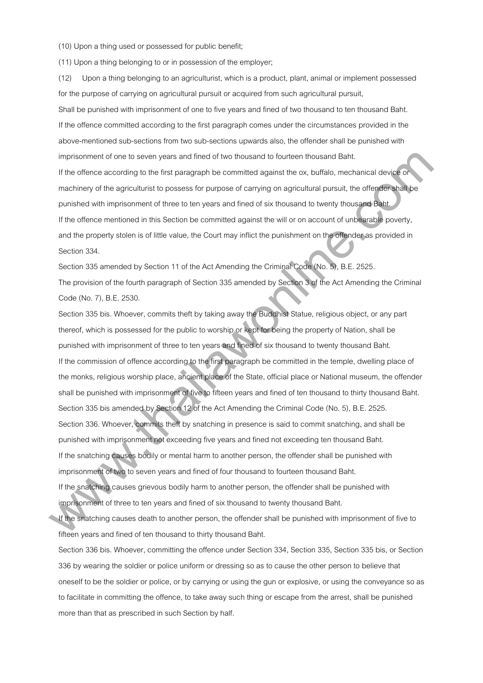(10) Upon a thing used or possessed for public benefit;

(11) Upon a thing belonging to or in possession of the employer;

(12) Upon a thing belonging to an agriculturist, which is a product, plant, animal or implement possessed for the purpose of carrying on agricultural pursuit or acquired from such agricultural pursuit, Shall be punished with imprisonment of one to five years and fined of two thousand to ten thousand Baht. If the offence committed according to the first paragraph comes under the circumstances provided in the above-mentioned sub-sections from two sub-sections upwards also, the offender shall be punished with imprisonment of one to seven years and fined of two thousand to fourteen thousand Baht. If the offence according to the first paragraph be committed against the ox, buffalo, mechanical device or machinery of the agriculturist to possess for purpose of carrying on agricultural pursuit, the offender shall be punished with imprisonment of three to ten years and fined of six thousand to twenty thousand Baht. If the offence mentioned in this Section be committed against the will or on account of unbearable poverty, and the property stolen is of little value, the Court may inflict the punishment on the offender as provided in Section 334.

Section 335 amended by Section 11 of the Act Amending the Criminal Code (No. 5), B.E. 2525. The provision of the fourth paragraph of Section 335 amended by Section 3 of the Act Amending the Criminal Code (No. 7), B.E. 2530.

Section 335 bis. Whoever, commits theft by taking away the Buddhist Statue, religious object, or any part thereof, which is possessed for the public to worship or kept for being the property of Nation, shall be punished with imprisonment of three to ten years and fined of six thousand to twenty thousand Baht. If the commission of offence according to the first paragraph be committed in the temple, dwelling place of the monks, religious worship place, ancient place of the State, official place or National museum, the offender shall be punished with imprisonment of five to fifteen years and fined of ten thousand to thirty thousand Baht. Section 335 bis amended by Section 12 of the Act Amending the Criminal Code (No. 5), B.E. 2525. Section 336. Whoever, commits theft by snatching in presence is said to commit snatching, and shall be punished with imprisonment not exceeding five years and fined not exceeding ten thousand Baht. If the snatching causes bodily or mental harm to another person, the offender shall be punished with imprisonment of two to seven years and fined of four thousand to fourteen thousand Baht. If the snatching causes grievous bodily harm to another person, the offender shall be punished with imprisonment of one to seven years and lined of two thousand to buriean thousand Bant.<br>If the othere according to the first paragraph the committed against the oxytuation method of the ofference committed against the origi

imprisonment of three to ten years and fined of six thousand to twenty thousand Baht.

If the snatching causes death to another person, the offender shall be punished with imprisonment of five to fifteen years and fined of ten thousand to thirty thousand Baht.

Section 336 bis. Whoever, committing the offence under Section 334, Section 335, Section 335 bis, or Section 336 by wearing the soldier or police uniform or dressing so as to cause the other person to believe that oneself to be the soldier or police, or by carrying or using the gun or explosive, or using the conveyance so as to facilitate in committing the offence, to take away such thing or escape from the arrest, shall be punished more than that as prescribed in such Section by half.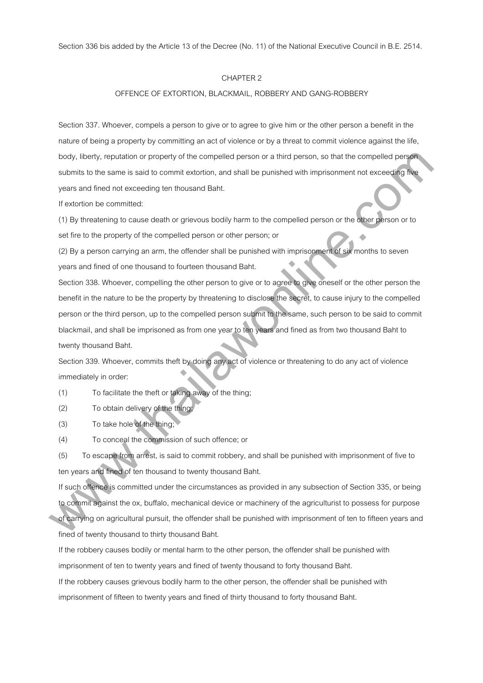Section 336 bis added by the Article 13 of the Decree (No. 11) of the National Executive Council in B.E. 2514.

# CHAPTER 2

# OFFENCE OF EXTORTION, BLACKMAIL, ROBBERY AND GANG-ROBBERY

Section 337. Whoever, compels a person to give or to agree to give him or the other person a benefit in the nature of being a property by committing an act of violence or by a threat to commit violence against the life, body, liberty, reputation or property of the compelled person or a third person, so that the compelled person submits to the same is said to commit extortion, and shall be punished with imprisonment not exceeding five years and fined not exceeding ten thousand Baht.

If extortion be committed:

(1) By threatening to cause death or grievous bodily harm to the compelled person or the other person or to set fire to the property of the compelled person or other person; or

(2) By a person carrying an arm, the offender shall be punished with imprisonment of six months to seven years and fined of one thousand to fourteen thousand Baht.

Section 338. Whoever, compelling the other person to give or to agree to give oneself or the other person the benefit in the nature to be the property by threatening to disclose the secret, to cause injury to the compelled person or the third person, up to the compelled person submit to the same, such person to be said to commit blackmail, and shall be imprisoned as from one year to ten years and fined as from two thousand Baht to twenty thousand Baht. backy, liberty, repulsion or property of the competed person or a third person, so that the competed person<br>submit is to be same is asside to commit statistical, and shall be punished with imprisonment not exceeding in<br>the

Section 339. Whoever, commits theft by doing any act of violence or threatening to do any act of violence immediately in order:

(1) To facilitate the theft or taking away of the thing;

(2) To obtain delivery of the thing;

(3) To take hole of the thing;

(4) To conceal the commission of such offence; or

(5) To escape from arrest, is said to commit robbery, and shall be punished with imprisonment of five to ten years and fined of ten thousand to twenty thousand Baht.

If such offence is committed under the circumstances as provided in any subsection of Section 335, or being to commit against the ox, buffalo, mechanical device or machinery of the agriculturist to possess for purpose of carrying on agricultural pursuit, the offender shall be punished with imprisonment of ten to fifteen years and fined of twenty thousand to thirty thousand Baht.

If the robbery causes bodily or mental harm to the other person, the offender shall be punished with imprisonment of ten to twenty years and fined of twenty thousand to forty thousand Baht.

If the robbery causes grievous bodily harm to the other person, the offender shall be punished with imprisonment of fifteen to twenty years and fined of thirty thousand to forty thousand Baht.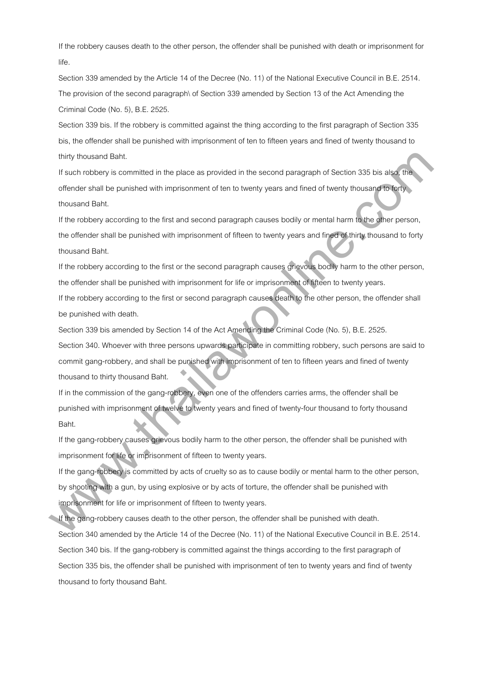If the robbery causes death to the other person, the offender shall be punished with death or imprisonment for life.

Section 339 amended by the Article 14 of the Decree (No. 11) of the National Executive Council in B.E. 2514. The provision of the second paragraph\ of Section 339 amended by Section 13 of the Act Amending the Criminal Code (No. 5), B.E. 2525.

Section 339 bis. If the robbery is committed against the thing according to the first paragraph of Section 335 bis, the offender shall be punished with imprisonment of ten to fifteen years and fined of twenty thousand to thirty thousand Baht.

If such robbery is committed in the place as provided in the second paragraph of Section 335 bis also, the offender shall be punished with imprisonment of ten to twenty years and fined of twenty thousand to forty thousand Baht.

If the robbery according to the first and second paragraph causes bodily or mental harm to the other person, the offender shall be punished with imprisonment of fifteen to twenty years and fined of thirty thousand to forty thousand Baht.

If the robbery according to the first or the second paragraph causes grievous bodily harm to the other person, the offender shall be punished with imprisonment for life or imprisonment of fifteen to twenty years. If the robbery according to the first or second paragraph causes death to the other person, the offender shall

be punished with death.

Section 339 bis amended by Section 14 of the Act Amending the Criminal Code (No. 5), B.E. 2525. Section 340. Whoever with three persons upwards participate in committing robbery, such persons are said to commit gang-robbery, and shall be punished with imprisonment of ten to fifteen years and fined of twenty thousand to thirty thousand Baht. thirty thousand Baht.<br>It auch reddery is committed in the place as provided in the second paragraph of Section 385 bis also the<br>order arbitration of particle with imprisonment of ten to twenty years and fined of twenty tho

If in the commission of the gang-robbery, even one of the offenders carries arms, the offender shall be punished with imprisonment of twelve to twenty years and fined of twenty-four thousand to forty thousand Baht.

If the gang-robbery causes grievous bodily harm to the other person, the offender shall be punished with imprisonment for life or imprisonment of fifteen to twenty years.

If the gang-robbery is committed by acts of cruelty so as to cause bodily or mental harm to the other person, by shooting with a gun, by using explosive or by acts of torture, the offender shall be punished with imprisonment for life or imprisonment of fifteen to twenty years.

If the gang-robbery causes death to the other person, the offender shall be punished with death. Section 340 amended by the Article 14 of the Decree (No. 11) of the National Executive Council in B.E. 2514. Section 340 bis. If the gang-robbery is committed against the things according to the first paragraph of Section 335 bis, the offender shall be punished with imprisonment of ten to twenty years and find of twenty thousand to forty thousand Baht.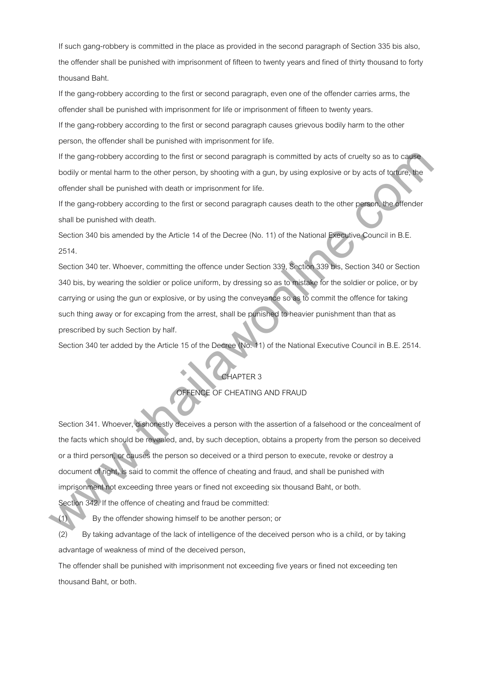If such gang-robbery is committed in the place as provided in the second paragraph of Section 335 bis also, the offender shall be punished with imprisonment of fifteen to twenty years and fined of thirty thousand to forty thousand Baht.

If the gang-robbery according to the first or second paragraph, even one of the offender carries arms, the offender shall be punished with imprisonment for life or imprisonment of fifteen to twenty years.

If the gang-robbery according to the first or second paragraph causes grievous bodily harm to the other person, the offender shall be punished with imprisonment for life.

If the gang-robbery according to the first or second paragraph is committed by acts of cruelty so as to cause bodily or mental harm to the other person, by shooting with a gun, by using explosive or by acts of torture, the offender shall be punished with death or imprisonment for life.

If the gang-robbery according to the first or second paragraph causes death to the other person, the offender shall be punished with death.

Section 340 bis amended by the Article 14 of the Decree (No. 11) of the National Executive Council in B.E. 2514.

Section 340 ter. Whoever, committing the offence under Section 339, Section 339 bis, Section 340 or Section 340 bis, by wearing the soldier or police uniform, by dressing so as to mistake for the soldier or police, or by carrying or using the gun or explosive, or by using the conveyance so as to commit the offence for taking such thing away or for excaping from the arrest, shall be punished to heavier punishment than that as prescribed by such Section by half.

Section 340 ter added by the Article 15 of the Decree (No. 11) of the National Executive Council in B.E. 2514.

# CHAPTER 3

# OFFENCE OF CHEATING AND FRAUD

Section 341. Whoever, dishonestly deceives a person with the assertion of a falsehood or the concealment of the facts which should be revealed, and, by such deception, obtains a property from the person so deceived or a third person, or causes the person so deceived or a third person to execute, revoke or destroy a document of right, is said to commit the offence of cheating and fraud, and shall be punished with imprisonment not exceeding three years or fined not exceeding six thousand Baht, or both. If the gang-robbany scoording to the first or second paragraph is committed by sets of coultly so as to capable<br>bodily or mentio harm to the other person, by shoreing with a gun, by using explosive or by acts of landing<br>of

Section 342. If the offence of cheating and fraud be committed:

(1) By the offender showing himself to be another person; or

(2) By taking advantage of the lack of intelligence of the deceived person who is a child, or by taking advantage of weakness of mind of the deceived person,

The offender shall be punished with imprisonment not exceeding five years or fined not exceeding ten thousand Baht, or both.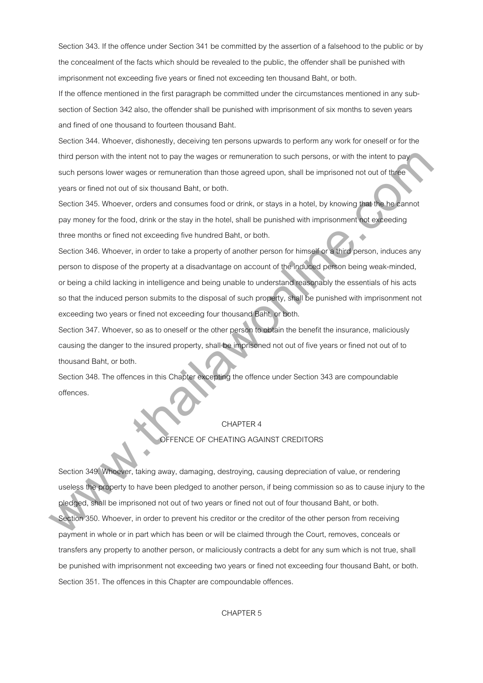Section 343. If the offence under Section 341 be committed by the assertion of a falsehood to the public or by the concealment of the facts which should be revealed to the public, the offender shall be punished with imprisonment not exceeding five years or fined not exceeding ten thousand Baht, or both.

If the offence mentioned in the first paragraph be committed under the circumstances mentioned in any subsection of Section 342 also, the offender shall be punished with imprisonment of six months to seven years and fined of one thousand to fourteen thousand Baht.

Section 344. Whoever, dishonestly, deceiving ten persons upwards to perform any work for oneself or for the third person with the intent not to pay the wages or remuneration to such persons, or with the intent to pay such persons lower wages or remuneration than those agreed upon, shall be imprisoned not out of three years or fined not out of six thousand Baht, or both.

Section 345. Whoever, orders and consumes food or drink, or stays in a hotel, by knowing that the he cannot pay money for the food, drink or the stay in the hotel, shall be punished with imprisonment not exceeding three months or fined not exceeding five hundred Baht, or both.

Section 346. Whoever, in order to take a property of another person for himself or a third person, induces any person to dispose of the property at a disadvantage on account of the induced person being weak-minded, or being a child lacking in intelligence and being unable to understand reasonably the essentials of his acts so that the induced person submits to the disposal of such property, shall be punished with imprisonment not exceeding two years or fined not exceeding four thousand Baht, or both. third penson with the intertrial body the wages or remuneration to such pensons, or with the intertion persons of the the person of the distribution them hence appear to person for the intertion person of the distribution

Section 347. Whoever, so as to oneself or the other person to obtain the benefit the insurance, maliciously causing the danger to the insured property, shall be imprisoned not out of five years or fined not out of to thousand Baht, or both.

Section 348. The offences in this Chapter excepting the offence under Section 343 are compoundable offences.

# CHAPTER 4

# OFFENCE OF CHEATING AGAINST CREDITORS

Section 349. Whoever, taking away, damaging, destroying, causing depreciation of value, or rendering useless the property to have been pledged to another person, if being commission so as to cause injury to the pledged, shall be imprisoned not out of two years or fined not out of four thousand Baht, or both. Section 350. Whoever, in order to prevent his creditor or the creditor of the other person from receiving payment in whole or in part which has been or will be claimed through the Court, removes, conceals or transfers any property to another person, or maliciously contracts a debt for any sum which is not true, shall be punished with imprisonment not exceeding two years or fined not exceeding four thousand Baht, or both. Section 351. The offences in this Chapter are compoundable offences.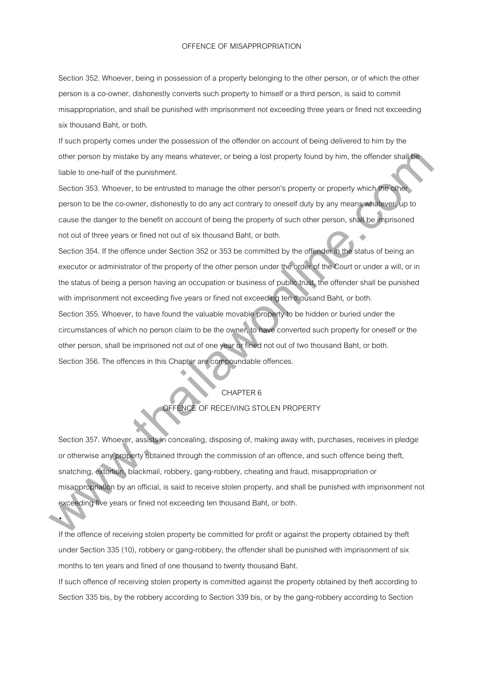#### OFFENCE OF MISAPPROPRIATION

Section 352. Whoever, being in possession of a property belonging to the other person, or of which the other person is a co-owner, dishonestly converts such property to himself or a third person, is said to commit misappropriation, and shall be punished with imprisonment not exceeding three years or fined not exceeding six thousand Baht, or both.

If such property comes under the possession of the offender on account of being delivered to him by the other person by mistake by any means whatever, or being a lost property found by him, the offender shall be liable to one-half of the punishment.

Section 353. Whoever, to be entrusted to manage the other person's property or property which the other person to be the co-owner, dishonestly to do any act contrary to oneself duty by any means whatever, up to cause the danger to the benefit on account of being the property of such other person, shall be imprisoned not out of three years or fined not out of six thousand Baht, or both.

Section 354. If the offence under Section 352 or 353 be committed by the offender in the status of being an executor or administrator of the property of the other person under the order of the Court or under a will, or in the status of being a person having an occupation or business of public trust, the offender shall be punished with imprisonment not exceeding five years or fined not exceeding ten thousand Baht, or both.

Section 355. Whoever, to have found the valuable movable property to be hidden or buried under the circumstances of which no person claim to be the owner, to have converted such property for oneself or the other person, shall be imprisoned not out of one year or fined not out of two thousand Baht, or both. Section 356. The offences in this Chapter are compoundable offences.

# CHAPTER 6

# OFFENCE OF RECEIVING STOLEN PROPERTY

Section 357. Whoever, assists in concealing, disposing of, making away with, purchases, receives in pledge or otherwise any property obtained through the commission of an offence, and such offence being theft, snatching, extortion, blackmail, robbery, gang-robbery, cheating and fraud, misappropriation or misappropriation by an official, is said to receive stolen property, and shall be punished with imprisonment not exceeding five years or fined not exceeding ten thousand Baht, or both. mistive person by mistickia by any means whistever, or being a list property bund by him, the otherder shall film<br>liable is constant of the purishment.<br>
In another of the parameteristic by manage the other person's propert

If the offence of receiving stolen property be committed for profit or against the property obtained by theft under Section 335 (10), robbery or gang-robbery, the offender shall be punished with imprisonment of six months to ten years and fined of one thousand to twenty thousand Baht.

•

If such offence of receiving stolen property is committed against the property obtained by theft according to Section 335 bis, by the robbery according to Section 339 bis, or by the gang-robbery according to Section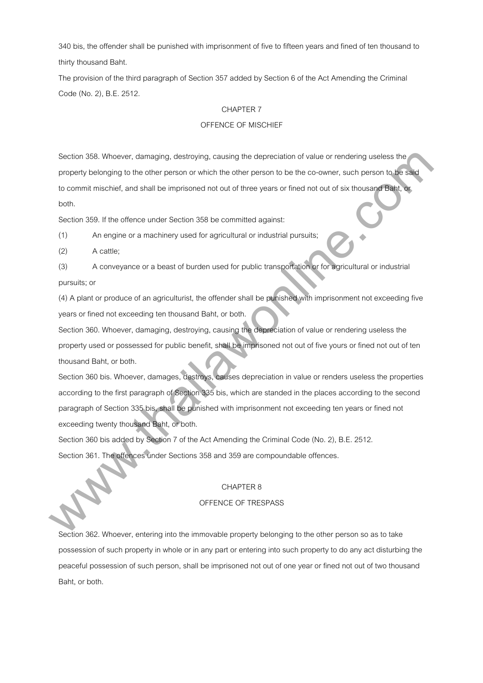340 bis, the offender shall be punished with imprisonment of five to fifteen years and fined of ten thousand to thirty thousand Baht.

The provision of the third paragraph of Section 357 added by Section 6 of the Act Amending the Criminal Code (No. 2), B.E. 2512.

#### CHAPTER 7

# OFFENCE OF MISCHIEF

Section 358. Whoever, damaging, destroying, causing the depreciation of value or rendering useless the property belonging to the other person or which the other person to be the co-owner, such person to be said to commit mischief, and shall be imprisoned not out of three years or fined not out of six thousand Baht, or both.

Section 359. If the offence under Section 358 be committed against:

(1) An engine or a machinery used for agricultural or industrial pursuits;

(2) A cattle;

(3) A conveyance or a beast of burden used for public transportation or for agricultural or industrial pursuits; or

(4) A plant or produce of an agriculturist, the offender shall be punished with imprisonment not exceeding five years or fined not exceeding ten thousand Baht, or both.

Section 360. Whoever, damaging, destroying, causing the depreciation of value or rendering useless the property used or possessed for public benefit, shall be imprisoned not out of five yours or fined not out of ten thousand Baht, or both.

Section 360 bis. Whoever, damages, destroys, causes depreciation in value or renders useless the properties according to the first paragraph of Section 335 bis, which are standed in the places according to the second paragraph of Section 335 bis, shall be punished with imprisonment not exceeding ten years or fined not exceeding twenty thousand Baht, or both. Saccion 368. Whowever, damaging, destroying, causing the depreciation of value or ministering useless the<br>property belonging to the enterprison or which the other parson to be the do-cavine, such parson to the state<br>to com

Section 360 bis added by Section 7 of the Act Amending the Criminal Code (No. 2), B.E. 2512. Section 361. The offences under Sections 358 and 359 are compoundable offences.

#### CHAPTER 8

# OFFENCE OF TRESPASS

Section 362. Whoever, entering into the immovable property belonging to the other person so as to take possession of such property in whole or in any part or entering into such property to do any act disturbing the peaceful possession of such person, shall be imprisoned not out of one year or fined not out of two thousand Baht, or both.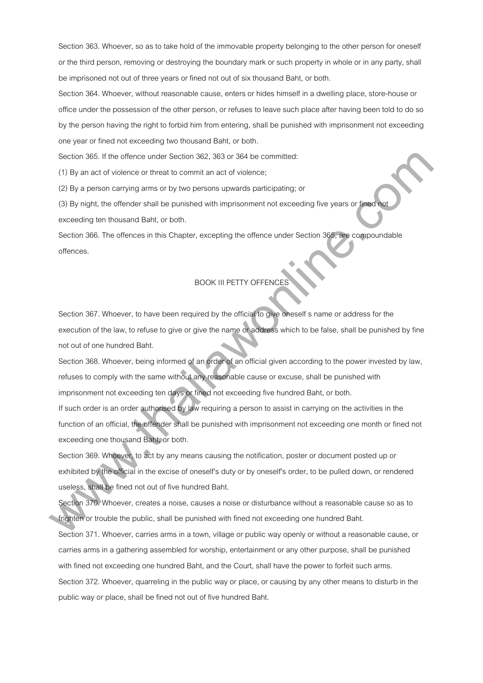Section 363. Whoever, so as to take hold of the immovable property belonging to the other person for oneself or the third person, removing or destroying the boundary mark or such property in whole or in any party, shall be imprisoned not out of three years or fined not out of six thousand Baht, or both.

Section 364. Whoever, without reasonable cause, enters or hides himself in a dwelling place, store-house or office under the possession of the other person, or refuses to leave such place after having been told to do so by the person having the right to forbid him from entering, shall be punished with imprisonment not exceeding one year or fined not exceeding two thousand Baht, or both.

Section 365. If the offence under Section 362, 363 or 364 be committed:

(1) By an act of violence or threat to commit an act of violence;

(2) By a person carrying arms or by two persons upwards participating; or

(3) By night, the offender shall be punished with imprisonment not exceeding five years or fined not exceeding ten thousand Baht, or both.

Section 366. The offences in this Chapter, excepting the offence under Section 365, are compoundable offences.

# BOOK III PETTY OFFENCES

Section 367. Whoever, to have been required by the official to give oneself s name or address for the execution of the law, to refuse to give or give the name or address which to be false, shall be punished by fine not out of one hundred Baht.

Section 368. Whoever, being informed of an order of an official given according to the power invested by law, refuses to comply with the same without any reasonable cause or excuse, shall be punished with imprisonment not exceeding ten days or fined not exceeding five hundred Baht, or both. Sincition 365. If the offence under Section 367, 363 or 364 be committed:<br>
(1) By an act of violence or threat to commit sm and of violence,<br>
(2) By a person compling ams or by two persons upwards participating; or<br>
(3) By

If such order is an order authorised by law requiring a person to assist in carrying on the activities in the function of an official, the offender shall be punished with imprisonment not exceeding one month or fined not exceeding one thousand Baht, or both.

Section 369. Whoever, to act by any means causing the notification, poster or document posted up or exhibited by the official in the excise of oneself's duty or by oneself's order, to be pulled down, or rendered useless, shall be fined not out of five hundred Baht.

Section 370. Whoever, creates a noise, causes a noise or disturbance without a reasonable cause so as to frighten or trouble the public, shall be punished with fined not exceeding one hundred Baht.

Section 371. Whoever, carries arms in a town, village or public way openly or without a reasonable cause, or carries arms in a gathering assembled for worship, entertainment or any other purpose, shall be punished with fined not exceeding one hundred Baht, and the Court, shall have the power to forfeit such arms.

Section 372. Whoever, quarreling in the public way or place, or causing by any other means to disturb in the public way or place, shall be fined not out of five hundred Baht.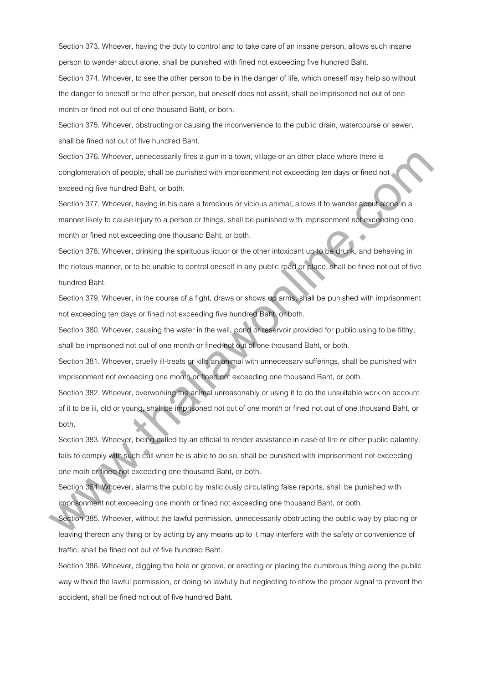Section 373. Whoever, having the duty to control and to take care of an insane person, allows such insane person to wander about alone, shall be punished with fined not exceeding five hundred Baht.

Section 374. Whoever, to see the other person to be in the danger of life, which oneself may help so without the danger to oneself or the other person, but oneself does not assist, shall be imprisoned not out of one month or fined not out of one thousand Baht, or both.

Section 375. Whoever, obstructing or causing the inconvenience to the public drain, watercourse or sewer, shall be fined not out of five hundred Baht.

Section 376. Whoever, unnecessarily fires a gun in a town, village or an other place where there is conglomeration of people, shall be punished with imprisonment not exceeding ten days or fined not exceeding five hundred Baht, or both.

Section 377. Whoever, having in his care a ferocious or vicious animal, allows it to wander about alone in a manner likely to cause injury to a person or things, shall be punished with imprisonment not exceeding one month or fined not exceeding one thousand Baht, or both.

Section 378. Whoever, drinking the spirituous liquor or the other intoxicant up to be drunk, and behaving in the riotous manner, or to be unable to control oneself in any public road or place, shall be fined not out of five hundred Baht.

Section 379. Whoever, in the course of a fight, draws or shows up arms, shall be punished with imprisonment not exceeding ten days or fined not exceeding five hundred Baht, or both.

Section 380. Whoever, causing the water in the well, pond or reservoir provided for public using to be filthy, shall be imprisoned not out of one month or fined not out of one thousand Baht, or both.

Section 381. Whoever, cruelly ill-treats or kills an animal with unnecessary sufferings, shall be punished with imprisonment not exceeding one month or fined not exceeding one thousand Baht, or both.

Section 382. Whoever, overworking the animal unreasonably or using it to do the unsuitable work on account of it to be iii, old or young, shall be imprisoned not out of one month or fined not out of one thousand Baht, or both. Saccian 376, Whowev, unnecessarily lies a gam in a town, village or an other place where there is<br>congromeration of people, althil the purished with imprisonment indivected by the days or lined net<br>Section 377. Whosever, h

Section 383. Whoever, being called by an official to render assistance in case of fire or other public calamity, fails to comply with such call when he is able to do so, shall be punished with imprisonment not exceeding one moth or fined not exceeding one thousand Baht, or both.

Section 384. Whoever, alarms the public by maliciously circulating false reports, shall be punished with imprisonment not exceeding one month or fined not exceeding one thousand Baht, or both.

Section 385. Whoever, without the lawful permission, unnecessarily obstructing the public way by placing or leaving thereon any thing or by acting by any means up to it may interfere with the safety or convenience of traffic, shall be fined not out of five hundred Baht.

Section 386. Whoever, digging the hole or groove, or erecting or placing the cumbrous thing along the public way without the lawful permission, or doing so lawfully but neglecting to show the proper signal to prevent the accident, shall be fined not out of five hundred Baht.